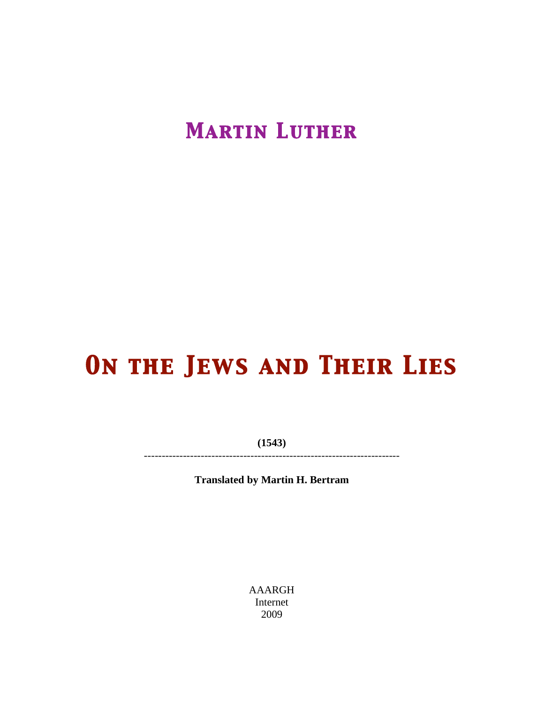# *Martin Luther*

# *On the Jews and Their Lies*

**(1543)**

------------------------------------------------------------------------

**Translated by Martin H. Bertram** 

AAARGH Internet 2009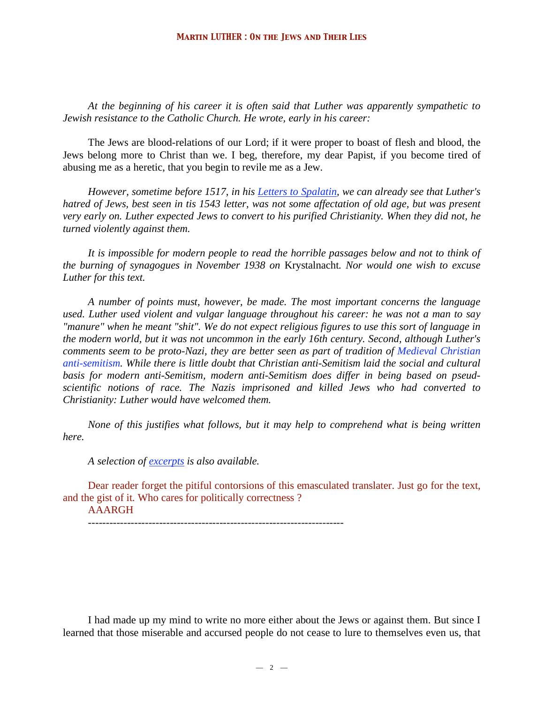*At the beginning of his career it is often said that Luther was apparently sympathetic to Jewish resistance to the Catholic Church. He wrote, early in his career:*

The Jews are blood-relations of our Lord; if it were proper to boast of flesh and blood, the Jews belong more to Christ than we. I beg, therefore, my dear Papist, if you become tired of abusing me as a heretic, that you begin to revile me as a Jew.

*However, sometime before 1517, in his Letters to Spalatin, we can already see that Luther's hatred of Jews, best seen in tis 1543 letter, was not some affectation of old age, but was present very early on. Luther expected Jews to convert to his purified Christianity. When they did not, he turned violently against them.* 

*It is impossible for modern people to read the horrible passages below and not to think of the burning of synagogues in November 1938 on* Krystalnacht*. Nor would one wish to excuse Luther for this text.* 

*A number of points must, however, be made. The most important concerns the language used. Luther used violent and vulgar language throughout his career: he was not a man to say "manure" when he meant "shit". We do not expect religious figures to use this sort of language in the modern world, but it was not uncommon in the early 16th century. Second, although Luther's comments seem to be proto-Nazi, they are better seen as part of tradition of Medieval Christian anti-semitism. While there is little doubt that Christian anti-Semitism laid the social and cultural basis for modern anti-Semitism, modern anti-Semitism does differ in being based on pseudscientific notions of race. The Nazis imprisoned and killed Jews who had converted to Christianity: Luther would have welcomed them.* 

*None of this justifies what follows, but it may help to comprehend what is being written here.*

*A selection of excerpts is also available.* 

Dear reader forget the pitiful contorsions of this emasculated translater. Just go for the text, and the gist of it. Who cares for politically correctness ?

AAARGH

------------------------------------------------------------------------

I had made up my mind to write no more either about the Jews or against them. But since I learned that those miserable and accursed people do not cease to lure to themselves even us, that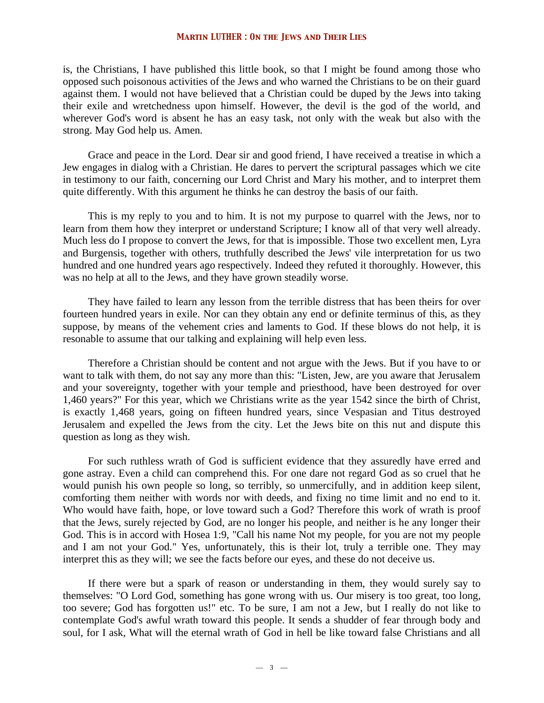is, the Christians, I have published this little book, so that I might be found among those who opposed such poisonous activities of the Jews and who warned the Christians to be on their guard against them. I would not have believed that a Christian could be duped by the Jews into taking their exile and wretchedness upon himself. However, the devil is the god of the world, and wherever God's word is absent he has an easy task, not only with the weak but also with the strong. May God help us. Amen.

Grace and peace in the Lord. Dear sir and good friend, I have received a treatise in which a Jew engages in dialog with a Christian. He dares to pervert the scriptural passages which we cite in testimony to our faith, concerning our Lord Christ and Mary his mother, and to interpret them quite differently. With this argument he thinks he can destroy the basis of our faith.

This is my reply to you and to him. It is not my purpose to quarrel with the Jews, nor to learn from them how they interpret or understand Scripture; I know all of that very well already. Much less do I propose to convert the Jews, for that is impossible. Those two excellent men, Lyra and Burgensis, together with others, truthfully described the Jews' vile interpretation for us two hundred and one hundred years ago respectively. Indeed they refuted it thoroughly. However, this was no help at all to the Jews, and they have grown steadily worse.

They have failed to learn any lesson from the terrible distress that has been theirs for over fourteen hundred years in exile. Nor can they obtain any end or definite terminus of this, as they suppose, by means of the vehement cries and laments to God. If these blows do not help, it is resonable to assume that our talking and explaining will help even less.

Therefore a Christian should be content and not argue with the Jews. But if you have to or want to talk with them, do not say any more than this: "Listen, Jew, are you aware that Jerusalem and your sovereignty, together with your temple and priesthood, have been destroyed for over 1,460 years?" For this year, which we Christians write as the year 1542 since the birth of Christ, is exactly 1,468 years, going on fifteen hundred years, since Vespasian and Titus destroyed Jerusalem and expelled the Jews from the city. Let the Jews bite on this nut and dispute this question as long as they wish.

For such ruthless wrath of God is sufficient evidence that they assuredly have erred and gone astray. Even a child can comprehend this. For one dare not regard God as so cruel that he would punish his own people so long, so terribly, so unmercifully, and in addition keep silent, comforting them neither with words nor with deeds, and fixing no time limit and no end to it. Who would have faith, hope, or love toward such a God? Therefore this work of wrath is proof that the Jews, surely rejected by God, are no longer his people, and neither is he any longer their God. This is in accord with Hosea 1:9, "Call his name Not my people, for you are not my people and I am not your God." Yes, unfortunately, this is their lot, truly a terrible one. They may interpret this as they will; we see the facts before our eyes, and these do not deceive us.

If there were but a spark of reason or understanding in them, they would surely say to themselves: "O Lord God, something has gone wrong with us. Our misery is too great, too long, too severe; God has forgotten us!" etc. To be sure, I am not a Jew, but I really do not like to contemplate God's awful wrath toward this people. It sends a shudder of fear through body and soul, for I ask, What will the eternal wrath of God in hell be like toward false Christians and all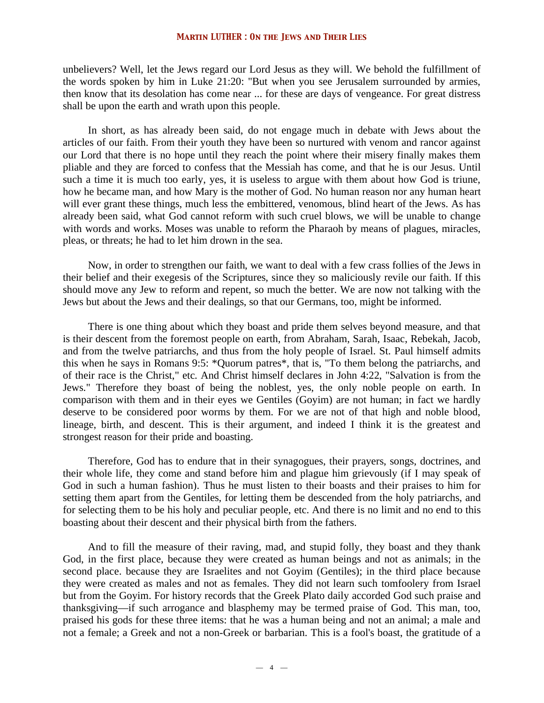unbelievers? Well, let the Jews regard our Lord Jesus as they will. We behold the fulfillment of the words spoken by him in Luke 21:20: "But when you see Jerusalem surrounded by armies, then know that its desolation has come near ... for these are days of vengeance. For great distress shall be upon the earth and wrath upon this people.

In short, as has already been said, do not engage much in debate with Jews about the articles of our faith. From their youth they have been so nurtured with venom and rancor against our Lord that there is no hope until they reach the point where their misery finally makes them pliable and they are forced to confess that the Messiah has come, and that he is our Jesus. Until such a time it is much too early, yes, it is useless to argue with them about how God is triune, how he became man, and how Mary is the mother of God. No human reason nor any human heart will ever grant these things, much less the embittered, venomous, blind heart of the Jews. As has already been said, what God cannot reform with such cruel blows, we will be unable to change with words and works. Moses was unable to reform the Pharaoh by means of plagues, miracles, pleas, or threats; he had to let him drown in the sea.

Now, in order to strengthen our faith, we want to deal with a few crass follies of the Jews in their belief and their exegesis of the Scriptures, since they so maliciously revile our faith. If this should move any Jew to reform and repent, so much the better. We are now not talking with the Jews but about the Jews and their dealings, so that our Germans, too, might be informed.

There is one thing about which they boast and pride them selves beyond measure, and that is their descent from the foremost people on earth, from Abraham, Sarah, Isaac, Rebekah, Jacob, and from the twelve patriarchs, and thus from the holy people of Israel. St. Paul himself admits this when he says in Romans 9:5: \*Quorum patres\*, that is, "To them belong the patriarchs, and of their race is the Christ," etc. And Christ himself declares in John 4:22, "Salvation is from the Jews." Therefore they boast of being the noblest, yes, the only noble people on earth. In comparison with them and in their eyes we Gentiles (Goyim) are not human; in fact we hardly deserve to be considered poor worms by them. For we are not of that high and noble blood, lineage, birth, and descent. This is their argument, and indeed I think it is the greatest and strongest reason for their pride and boasting.

Therefore, God has to endure that in their synagogues, their prayers, songs, doctrines, and their whole life, they come and stand before him and plague him grievously (if I may speak of God in such a human fashion). Thus he must listen to their boasts and their praises to him for setting them apart from the Gentiles, for letting them be descended from the holy patriarchs, and for selecting them to be his holy and peculiar people, etc. And there is no limit and no end to this boasting about their descent and their physical birth from the fathers.

And to fill the measure of their raving, mad, and stupid folly, they boast and they thank God, in the first place, because they were created as human beings and not as animals; in the second place. because they are Israelites and not Goyim (Gentiles); in the third place because they were created as males and not as females. They did not learn such tomfoolery from Israel but from the Goyim. For history records that the Greek Plato daily accorded God such praise and thanksgiving—if such arrogance and blasphemy may be termed praise of God. This man, too, praised his gods for these three items: that he was a human being and not an animal; a male and not a female; a Greek and not a non-Greek or barbarian. This is a fool's boast, the gratitude of a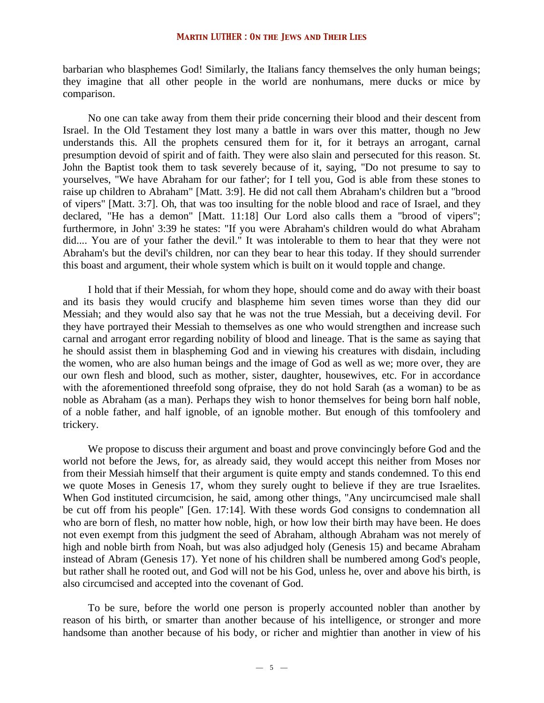barbarian who blasphemes God! Similarly, the Italians fancy themselves the only human beings; they imagine that all other people in the world are nonhumans, mere ducks or mice by comparison.

No one can take away from them their pride concerning their blood and their descent from Israel. In the Old Testament they lost many a battle in wars over this matter, though no Jew understands this. All the prophets censured them for it, for it betrays an arrogant, carnal presumption devoid of spirit and of faith. They were also slain and persecuted for this reason. St. John the Baptist took them to task severely because of it, saying, "Do not presume to say to yourselves, "We have Abraham for our father'; for I tell you, God is able from these stones to raise up children to Abraham" [Matt. 3:9]. He did not call them Abraham's children but a "brood of vipers" [Matt. 3:7]. Oh, that was too insulting for the noble blood and race of Israel, and they declared, "He has a demon" [Matt. 11:18] Our Lord also calls them a "brood of vipers"; furthermore, in John' 3:39 he states: "If you were Abraham's children would do what Abraham did.... You are of your father the devil." It was intolerable to them to hear that they were not Abraham's but the devil's children, nor can they bear to hear this today. If they should surrender this boast and argument, their whole system which is built on it would topple and change.

I hold that if their Messiah, for whom they hope, should come and do away with their boast and its basis they would crucify and blaspheme him seven times worse than they did our Messiah; and they would also say that he was not the true Messiah, but a deceiving devil. For they have portrayed their Messiah to themselves as one who would strengthen and increase such carnal and arrogant error regarding nobility of blood and lineage. That is the same as saying that he should assist them in blaspheming God and in viewing his creatures with disdain, including the women, who are also human beings and the image of God as well as we; more over, they are our own flesh and blood, such as mother, sister, daughter, housewives, etc. For in accordance with the aforementioned threefold song ofpraise, they do not hold Sarah (as a woman) to be as noble as Abraham (as a man). Perhaps they wish to honor themselves for being born half noble, of a noble father, and half ignoble, of an ignoble mother. But enough of this tomfoolery and trickery.

We propose to discuss their argument and boast and prove convincingly before God and the world not before the Jews, for, as already said, they would accept this neither from Moses nor from their Messiah himself that their argument is quite empty and stands condemned. To this end we quote Moses in Genesis 17, whom they surely ought to believe if they are true Israelites. When God instituted circumcision, he said, among other things, "Any uncircumcised male shall be cut off from his people" [Gen. 17:14]. With these words God consigns to condemnation all who are born of flesh, no matter how noble, high, or how low their birth may have been. He does not even exempt from this judgment the seed of Abraham, although Abraham was not merely of high and noble birth from Noah, but was also adjudged holy (Genesis 15) and became Abraham instead of Abram (Genesis 17). Yet none of his children shall be numbered among God's people, but rather shall he rooted out, and God will not be his God, unless he, over and above his birth, is also circumcised and accepted into the covenant of God.

To be sure, before the world one person is properly accounted nobler than another by reason of his birth, or smarter than another because of his intelligence, or stronger and more handsome than another because of his body, or richer and mightier than another in view of his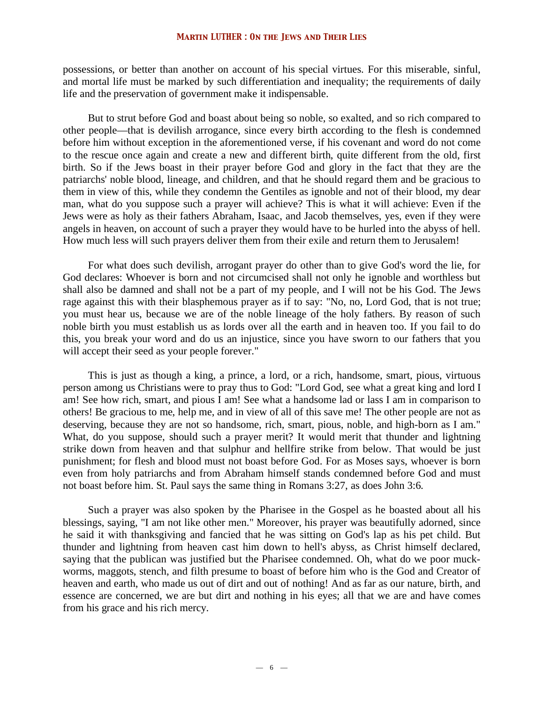possessions, or better than another on account of his special virtues. For this miserable, sinful, and mortal life must be marked by such differentiation and inequality; the requirements of daily life and the preservation of government make it indispensable.

But to strut before God and boast about being so noble, so exalted, and so rich compared to other people—that is devilish arrogance, since every birth according to the flesh is condemned before him without exception in the aforementioned verse, if his covenant and word do not come to the rescue once again and create a new and different birth, quite different from the old, first birth. So if the Jews boast in their prayer before God and glory in the fact that they are the patriarchs' noble blood, lineage, and children, and that he should regard them and be gracious to them in view of this, while they condemn the Gentiles as ignoble and not of their blood, my dear man, what do you suppose such a prayer will achieve? This is what it will achieve: Even if the Jews were as holy as their fathers Abraham, Isaac, and Jacob themselves, yes, even if they were angels in heaven, on account of such a prayer they would have to be hurled into the abyss of hell. How much less will such prayers deliver them from their exile and return them to Jerusalem!

For what does such devilish, arrogant prayer do other than to give God's word the lie, for God declares: Whoever is born and not circumcised shall not only he ignoble and worthless but shall also be damned and shall not be a part of my people, and I will not be his God. The Jews rage against this with their blasphemous prayer as if to say: "No, no, Lord God, that is not true; you must hear us, because we are of the noble lineage of the holy fathers. By reason of such noble birth you must establish us as lords over all the earth and in heaven too. If you fail to do this, you break your word and do us an injustice, since you have sworn to our fathers that you will accept their seed as your people forever."

This is just as though a king, a prince, a lord, or a rich, handsome, smart, pious, virtuous person among us Christians were to pray thus to God: "Lord God, see what a great king and lord I am! See how rich, smart, and pious I am! See what a handsome lad or lass I am in comparison to others! Be gracious to me, help me, and in view of all of this save me! The other people are not as deserving, because they are not so handsome, rich, smart, pious, noble, and high-born as I am." What, do you suppose, should such a prayer merit? It would merit that thunder and lightning strike down from heaven and that sulphur and hellfire strike from below. That would be just punishment; for flesh and blood must not boast before God. For as Moses says, whoever is born even from holy patriarchs and from Abraham himself stands condemned before God and must not boast before him. St. Paul says the same thing in Romans 3:27, as does John 3:6.

Such a prayer was also spoken by the Pharisee in the Gospel as he boasted about all his blessings, saying, "I am not like other men." Moreover, his prayer was beautifully adorned, since he said it with thanksgiving and fancied that he was sitting on God's lap as his pet child. But thunder and lightning from heaven cast him down to hell's abyss, as Christ himself declared, saying that the publican was justified but the Pharisee condemned. Oh, what do we poor muckworms, maggots, stench, and filth presume to boast of before him who is the God and Creator of heaven and earth, who made us out of dirt and out of nothing! And as far as our nature, birth, and essence are concerned, we are but dirt and nothing in his eyes; all that we are and have comes from his grace and his rich mercy.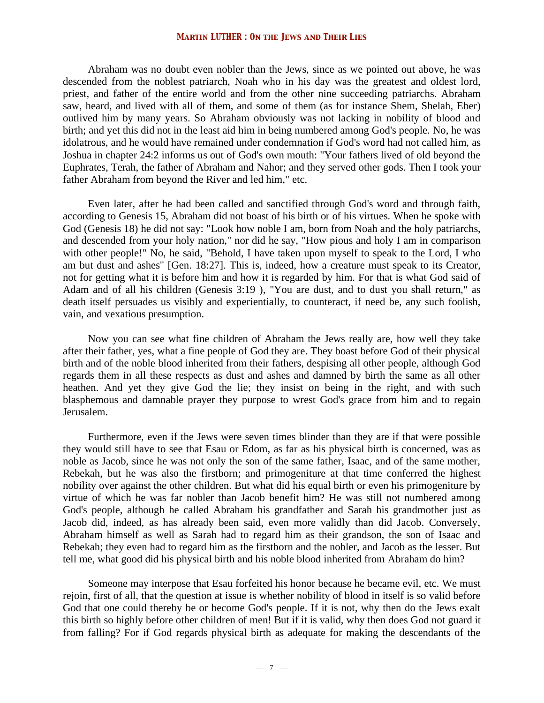Abraham was no doubt even nobler than the Jews, since as we pointed out above, he was descended from the noblest patriarch, Noah who in his day was the greatest and oldest lord, priest, and father of the entire world and from the other nine succeeding patriarchs. Abraham saw, heard, and lived with all of them, and some of them (as for instance Shem, Shelah, Eber) outlived him by many years. So Abraham obviously was not lacking in nobility of blood and birth; and yet this did not in the least aid him in being numbered among God's people. No, he was idolatrous, and he would have remained under condemnation if God's word had not called him, as Joshua in chapter 24:2 informs us out of God's own mouth: "Your fathers lived of old beyond the Euphrates, Terah, the father of Abraham and Nahor; and they served other gods. Then I took your father Abraham from beyond the River and led him," etc.

Even later, after he had been called and sanctified through God's word and through faith, according to Genesis 15, Abraham did not boast of his birth or of his virtues. When he spoke with God (Genesis 18) he did not say: "Look how noble I am, born from Noah and the holy patriarchs, and descended from your holy nation," nor did he say, "How pious and holy I am in comparison with other people!" No, he said, "Behold, I have taken upon myself to speak to the Lord, I who am but dust and ashes" [Gen. 18:27]. This is, indeed, how a creature must speak to its Creator, not for getting what it is before him and how it is regarded by him. For that is what God said of Adam and of all his children (Genesis 3:19 ), "You are dust, and to dust you shall return," as death itself persuades us visibly and experientially, to counteract, if need be, any such foolish, vain, and vexatious presumption.

Now you can see what fine children of Abraham the Jews really are, how well they take after their father, yes, what a fine people of God they are. They boast before God of their physical birth and of the noble blood inherited from their fathers, despising all other people, although God regards them in all these respects as dust and ashes and damned by birth the same as all other heathen. And yet they give God the lie; they insist on being in the right, and with such blasphemous and damnable prayer they purpose to wrest God's grace from him and to regain Jerusalem.

Furthermore, even if the Jews were seven times blinder than they are if that were possible they would still have to see that Esau or Edom, as far as his physical birth is concerned, was as noble as Jacob, since he was not only the son of the same father, Isaac, and of the same mother, Rebekah, but he was also the firstborn; and primogeniture at that time conferred the highest nobility over against the other children. But what did his equal birth or even his primogeniture by virtue of which he was far nobler than Jacob benefit him? He was still not numbered among God's people, although he called Abraham his grandfather and Sarah his grandmother just as Jacob did, indeed, as has already been said, even more validly than did Jacob. Conversely, Abraham himself as well as Sarah had to regard him as their grandson, the son of Isaac and Rebekah; they even had to regard him as the firstborn and the nobler, and Jacob as the lesser. But tell me, what good did his physical birth and his noble blood inherited from Abraham do him?

Someone may interpose that Esau forfeited his honor because he became evil, etc. We must rejoin, first of all, that the question at issue is whether nobility of blood in itself is so valid before God that one could thereby be or become God's people. If it is not, why then do the Jews exalt this birth so highly before other children of men! But if it is valid, why then does God not guard it from falling? For if God regards physical birth as adequate for making the descendants of the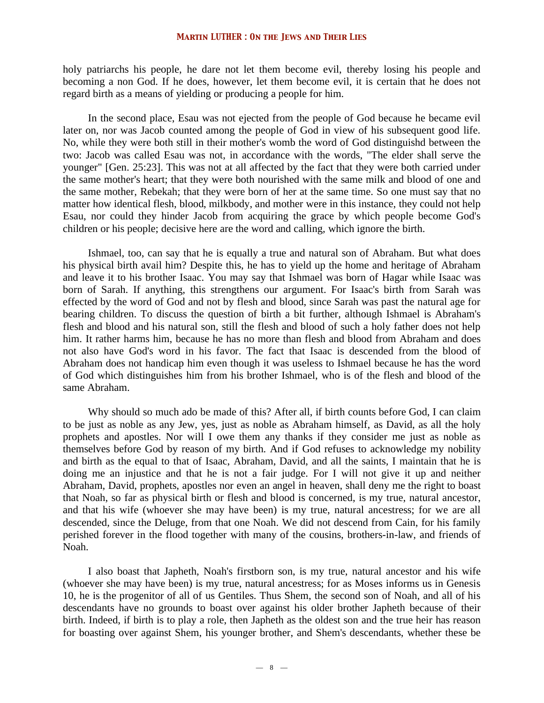holy patriarchs his people, he dare not let them become evil, thereby losing his people and becoming a non God. If he does, however, let them become evil, it is certain that he does not regard birth as a means of yielding or producing a people for him.

In the second place, Esau was not ejected from the people of God because he became evil later on, nor was Jacob counted among the people of God in view of his subsequent good life. No, while they were both still in their mother's womb the word of God distinguishd between the two: Jacob was called Esau was not, in accordance with the words, "The elder shall serve the younger" [Gen. 25:23]. This was not at all affected by the fact that they were both carried under the same mother's heart; that they were both nourished with the same milk and blood of one and the same mother, Rebekah; that they were born of her at the same time. So one must say that no matter how identical flesh, blood, milkbody, and mother were in this instance, they could not help Esau, nor could they hinder Jacob from acquiring the grace by which people become God's children or his people; decisive here are the word and calling, which ignore the birth.

Ishmael, too, can say that he is equally a true and natural son of Abraham. But what does his physical birth avail him? Despite this, he has to yield up the home and heritage of Abraham and leave it to his brother Isaac. You may say that Ishmael was born of Hagar while Isaac was born of Sarah. If anything, this strengthens our argument. For Isaac's birth from Sarah was effected by the word of God and not by flesh and blood, since Sarah was past the natural age for bearing children. To discuss the question of birth a bit further, although Ishmael is Abraham's flesh and blood and his natural son, still the flesh and blood of such a holy father does not help him. It rather harms him, because he has no more than flesh and blood from Abraham and does not also have God's word in his favor. The fact that Isaac is descended from the blood of Abraham does not handicap him even though it was useless to Ishmael because he has the word of God which distinguishes him from his brother Ishmael, who is of the flesh and blood of the same Abraham.

Why should so much ado be made of this? After all, if birth counts before God, I can claim to be just as noble as any Jew, yes, just as noble as Abraham himself, as David, as all the holy prophets and apostles. Nor will I owe them any thanks if they consider me just as noble as themselves before God by reason of my birth. And if God refuses to acknowledge my nobility and birth as the equal to that of Isaac, Abraham, David, and all the saints, I maintain that he is doing me an injustice and that he is not a fair judge. For I will not give it up and neither Abraham, David, prophets, apostles nor even an angel in heaven, shall deny me the right to boast that Noah, so far as physical birth or flesh and blood is concerned, is my true, natural ancestor, and that his wife (whoever she may have been) is my true, natural ancestress; for we are all descended, since the Deluge, from that one Noah. We did not descend from Cain, for his family perished forever in the flood together with many of the cousins, brothers-in-law, and friends of Noah.

I also boast that Japheth, Noah's firstborn son, is my true, natural ancestor and his wife (whoever she may have been) is my true, natural ancestress; for as Moses informs us in Genesis 10, he is the progenitor of all of us Gentiles. Thus Shem, the second son of Noah, and all of his descendants have no grounds to boast over against his older brother Japheth because of their birth. Indeed, if birth is to play a role, then Japheth as the oldest son and the true heir has reason for boasting over against Shem, his younger brother, and Shem's descendants, whether these be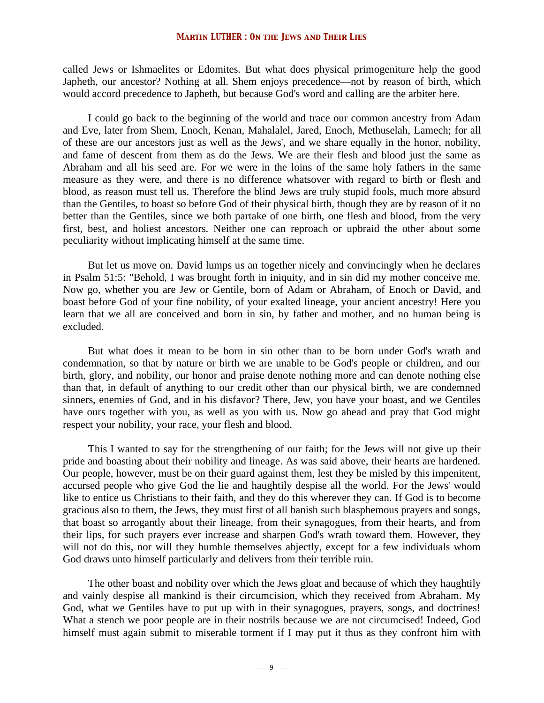called Jews or Ishmaelites or Edomites. But what does physical primogeniture help the good Japheth, our ancestor? Nothing at all. Shem enjoys precedence—not by reason of birth, which would accord precedence to Japheth, but because God's word and calling are the arbiter here.

I could go back to the beginning of the world and trace our common ancestry from Adam and Eve, later from Shem, Enoch, Kenan, Mahalalel, Jared, Enoch, Methuselah, Lamech; for all of these are our ancestors just as well as the Jews', and we share equally in the honor, nobility, and fame of descent from them as do the Jews. We are their flesh and blood just the same as Abraham and all his seed are. For we were in the loins of the same holy fathers in the same measure as they were, and there is no difference whatsover with regard to birth or flesh and blood, as reason must tell us. Therefore the blind Jews are truly stupid fools, much more absurd than the Gentiles, to boast so before God of their physical birth, though they are by reason of it no better than the Gentiles, since we both partake of one birth, one flesh and blood, from the very first, best, and holiest ancestors. Neither one can reproach or upbraid the other about some peculiarity without implicating himself at the same time.

But let us move on. David lumps us an together nicely and convincingly when he declares in Psalm 51:5: "Behold, I was brought forth in iniquity, and in sin did my mother conceive me. Now go, whether you are Jew or Gentile, born of Adam or Abraham, of Enoch or David, and boast before God of your fine nobility, of your exalted lineage, your ancient ancestry! Here you learn that we all are conceived and born in sin, by father and mother, and no human being is excluded.

But what does it mean to be born in sin other than to be born under God's wrath and condemnation, so that by nature or birth we are unable to be God's people or children, and our birth, glory, and nobility, our honor and praise denote nothing more and can denote nothing else than that, in default of anything to our credit other than our physical birth, we are condemned sinners, enemies of God, and in his disfavor? There, Jew, you have your boast, and we Gentiles have ours together with you, as well as you with us. Now go ahead and pray that God might respect your nobility, your race, your flesh and blood.

This I wanted to say for the strengthening of our faith; for the Jews will not give up their pride and boasting about their nobility and lineage. As was said above, their hearts are hardened. Our people, however, must be on their guard against them, lest they be misled by this impenitent, accursed people who give God the lie and haughtily despise all the world. For the Jews' would like to entice us Christians to their faith, and they do this wherever they can. If God is to become gracious also to them, the Jews, they must first of all banish such blasphemous prayers and songs, that boast so arrogantly about their lineage, from their synagogues, from their hearts, and from their lips, for such prayers ever increase and sharpen God's wrath toward them. However, they will not do this, nor will they humble themselves abjectly, except for a few individuals whom God draws unto himself particularly and delivers from their terrible ruin.

The other boast and nobility over which the Jews gloat and because of which they haughtily and vainly despise all mankind is their circumcision, which they received from Abraham. My God, what we Gentiles have to put up with in their synagogues, prayers, songs, and doctrines! What a stench we poor people are in their nostrils because we are not circumcised! Indeed, God himself must again submit to miserable torment if I may put it thus as they confront him with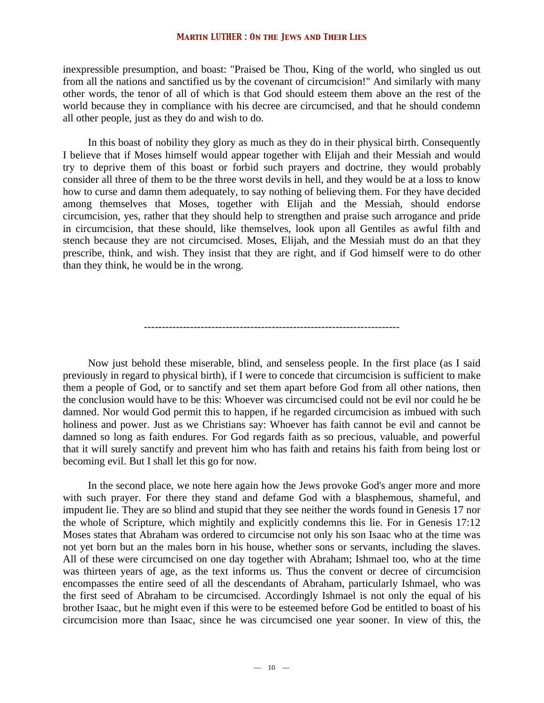inexpressible presumption, and boast: "Praised be Thou, King of the world, who singled us out from all the nations and sanctified us by the covenant of circumcision!" And similarly with many other words, the tenor of all of which is that God should esteem them above an the rest of the world because they in compliance with his decree are circumcised, and that he should condemn all other people, just as they do and wish to do.

In this boast of nobility they glory as much as they do in their physical birth. Consequently I believe that if Moses himself would appear together with Elijah and their Messiah and would try to deprive them of this boast or forbid such prayers and doctrine, they would probably consider all three of them to be the three worst devils in hell, and they would be at a loss to know how to curse and damn them adequately, to say nothing of believing them. For they have decided among themselves that Moses, together with Elijah and the Messiah, should endorse circumcision, yes, rather that they should help to strengthen and praise such arrogance and pride in circumcision, that these should, like themselves, look upon all Gentiles as awful filth and stench because they are not circumcised. Moses, Elijah, and the Messiah must do an that they prescribe, think, and wish. They insist that they are right, and if God himself were to do other than they think, he would be in the wrong.

------------------------------------------------------------------------

Now just behold these miserable, blind, and senseless people. In the first place (as I said previously in regard to physical birth), if I were to concede that circumcision is sufficient to make them a people of God, or to sanctify and set them apart before God from all other nations, then the conclusion would have to be this: Whoever was circumcised could not be evil nor could he be damned. Nor would God permit this to happen, if he regarded circumcision as imbued with such holiness and power. Just as we Christians say: Whoever has faith cannot be evil and cannot be damned so long as faith endures. For God regards faith as so precious, valuable, and powerful that it will surely sanctify and prevent him who has faith and retains his faith from being lost or becoming evil. But I shall let this go for now.

In the second place, we note here again how the Jews provoke God's anger more and more with such prayer. For there they stand and defame God with a blasphemous, shameful, and impudent lie. They are so blind and stupid that they see neither the words found in Genesis 17 nor the whole of Scripture, which mightily and explicitly condemns this lie. For in Genesis 17:12 Moses states that Abraham was ordered to circumcise not only his son Isaac who at the time was not yet born but an the males born in his house, whether sons or servants, including the slaves. All of these were circumcised on one day together with Abraham; Ishmael too, who at the time was thirteen years of age, as the text informs us. Thus the convent or decree of circumcision encompasses the entire seed of all the descendants of Abraham, particularly Ishmael, who was the first seed of Abraham to be circumcised. Accordingly Ishmael is not only the equal of his brother Isaac, but he might even if this were to be esteemed before God be entitled to boast of his circumcision more than Isaac, since he was circumcised one year sooner. In view of this, the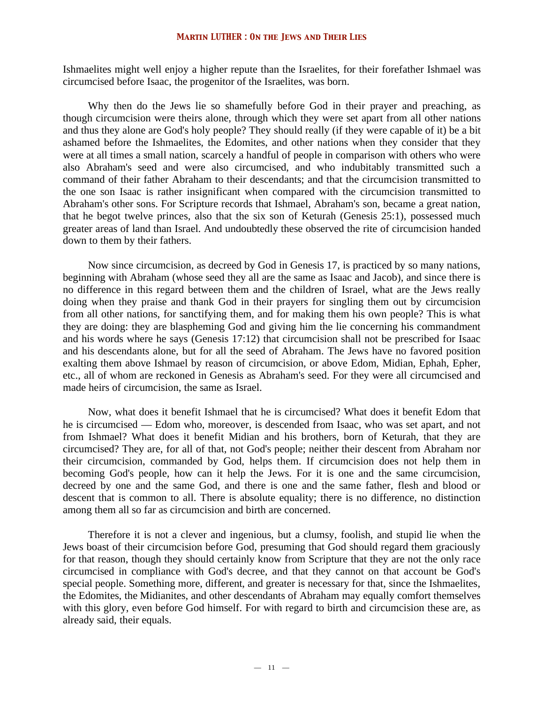Ishmaelites might well enjoy a higher repute than the Israelites, for their forefather Ishmael was circumcised before Isaac, the progenitor of the Israelites, was born.

Why then do the Jews lie so shamefully before God in their prayer and preaching, as though circumcision were theirs alone, through which they were set apart from all other nations and thus they alone are God's holy people? They should really (if they were capable of it) be a bit ashamed before the Ishmaelites, the Edomites, and other nations when they consider that they were at all times a small nation, scarcely a handful of people in comparison with others who were also Abraham's seed and were also circumcised, and who indubitably transmitted such a command of their father Abraham to their descendants; and that the circumcision transmitted to the one son Isaac is rather insignificant when compared with the circumcision transmitted to Abraham's other sons. For Scripture records that Ishmael, Abraham's son, became a great nation, that he begot twelve princes, also that the six son of Keturah (Genesis 25:1), possessed much greater areas of land than Israel. And undoubtedly these observed the rite of circumcision handed down to them by their fathers.

Now since circumcision, as decreed by God in Genesis 17, is practiced by so many nations, beginning with Abraham (whose seed they all are the same as Isaac and Jacob), and since there is no difference in this regard between them and the children of Israel, what are the Jews really doing when they praise and thank God in their prayers for singling them out by circumcision from all other nations, for sanctifying them, and for making them his own people? This is what they are doing: they are blaspheming God and giving him the lie concerning his commandment and his words where he says (Genesis 17:12) that circumcision shall not be prescribed for Isaac and his descendants alone, but for all the seed of Abraham. The Jews have no favored position exalting them above Ishmael by reason of circumcision, or above Edom, Midian, Ephah, Epher, etc., all of whom are reckoned in Genesis as Abraham's seed. For they were all circumcised and made heirs of circumcision, the same as Israel.

Now, what does it benefit Ishmael that he is circumcised? What does it benefit Edom that he is circumcised — Edom who, moreover, is descended from Isaac, who was set apart, and not from Ishmael? What does it benefit Midian and his brothers, born of Keturah, that they are circumcised? They are, for all of that, not God's people; neither their descent from Abraham nor their circumcision, commanded by God, helps them. If circumcision does not help them in becoming God's people, how can it help the Jews. For it is one and the same circumcision, decreed by one and the same God, and there is one and the same father, flesh and blood or descent that is common to all. There is absolute equality; there is no difference, no distinction among them all so far as circumcision and birth are concerned.

Therefore it is not a clever and ingenious, but a clumsy, foolish, and stupid lie when the Jews boast of their circumcision before God, presuming that God should regard them graciously for that reason, though they should certainly know from Scripture that they are not the only race circumcised in compliance with God's decree, and that they cannot on that account be God's special people. Something more, different, and greater is necessary for that, since the Ishmaelites, the Edomites, the Midianites, and other descendants of Abraham may equally comfort themselves with this glory, even before God himself. For with regard to birth and circumcision these are, as already said, their equals.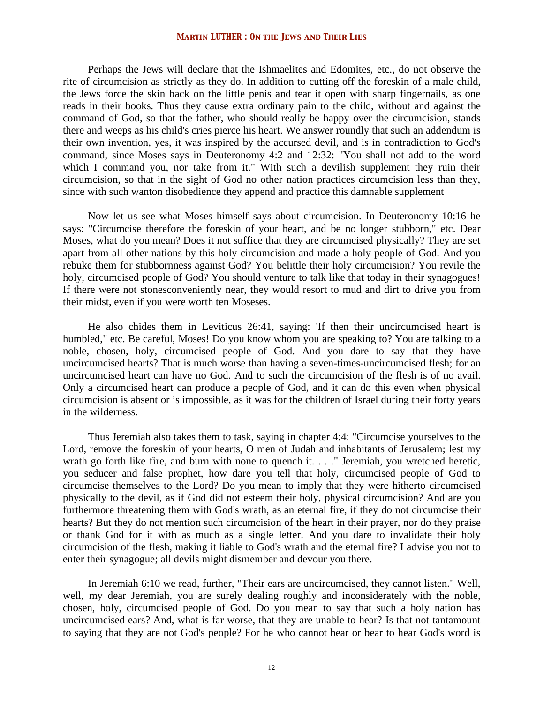Perhaps the Jews will declare that the Ishmaelites and Edomites, etc., do not observe the rite of circumcision as strictly as they do. In addition to cutting off the foreskin of a male child, the Jews force the skin back on the little penis and tear it open with sharp fingernails, as one reads in their books. Thus they cause extra ordinary pain to the child, without and against the command of God, so that the father, who should really be happy over the circumcision, stands there and weeps as his child's cries pierce his heart. We answer roundly that such an addendum is their own invention, yes, it was inspired by the accursed devil, and is in contradiction to God's command, since Moses says in Deuteronomy 4:2 and 12:32: "You shall not add to the word which I command you, nor take from it." With such a devilish supplement they ruin their circumcision, so that in the sight of God no other nation practices circumcision less than they, since with such wanton disobedience they append and practice this damnable supplement

Now let us see what Moses himself says about circumcision. In Deuteronomy 10:16 he says: "Circumcise therefore the foreskin of your heart, and be no longer stubborn," etc. Dear Moses, what do you mean? Does it not suffice that they are circumcised physically? They are set apart from all other nations by this holy circumcision and made a holy people of God. And you rebuke them for stubbornness against God? You belittle their holy circumcision? You revile the holy, circumcised people of God? You should venture to talk like that today in their synagogues! If there were not stonesconveniently near, they would resort to mud and dirt to drive you from their midst, even if you were worth ten Moseses.

He also chides them in Leviticus 26:41, saying: 'If then their uncircumcised heart is humbled," etc. Be careful, Moses! Do you know whom you are speaking to? You are talking to a noble, chosen, holy, circumcised people of God. And you dare to say that they have uncircumcised hearts? That is much worse than having a seven-times-uncircumcised flesh; for an uncircumcised heart can have no God. And to such the circumcision of the flesh is of no avail. Only a circumcised heart can produce a people of God, and it can do this even when physical circumcision is absent or is impossible, as it was for the children of Israel during their forty years in the wilderness.

Thus Jeremiah also takes them to task, saying in chapter 4:4: "Circumcise yourselves to the Lord, remove the foreskin of your hearts, O men of Judah and inhabitants of Jerusalem; lest my wrath go forth like fire, and burn with none to quench it. . . ." Jeremiah, you wretched heretic, you seducer and false prophet, how dare you tell that holy, circumcised people of God to circumcise themselves to the Lord? Do you mean to imply that they were hitherto circumcised physically to the devil, as if God did not esteem their holy, physical circumcision? And are you furthermore threatening them with God's wrath, as an eternal fire, if they do not circumcise their hearts? But they do not mention such circumcision of the heart in their prayer, nor do they praise or thank God for it with as much as a single letter. And you dare to invalidate their holy circumcision of the flesh, making it liable to God's wrath and the eternal fire? I advise you not to enter their synagogue; all devils might dismember and devour you there.

In Jeremiah 6:10 we read, further, "Their ears are uncircumcised, they cannot listen." Well, well, my dear Jeremiah, you are surely dealing roughly and inconsiderately with the noble, chosen, holy, circumcised people of God. Do you mean to say that such a holy nation has uncircumcised ears? And, what is far worse, that they are unable to hear? Is that not tantamount to saying that they are not God's people? For he who cannot hear or bear to hear God's word is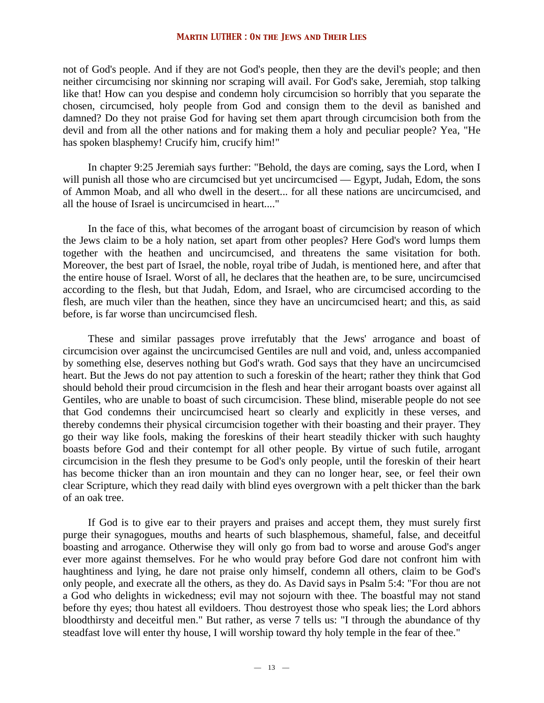not of God's people. And if they are not God's people, then they are the devil's people; and then neither circumcising nor skinning nor scraping will avail. For God's sake, Jeremiah, stop talking like that! How can you despise and condemn holy circumcision so horribly that you separate the chosen, circumcised, holy people from God and consign them to the devil as banished and damned? Do they not praise God for having set them apart through circumcision both from the devil and from all the other nations and for making them a holy and peculiar people? Yea, "He has spoken blasphemy! Crucify him, crucify him!"

In chapter 9:25 Jeremiah says further: "Behold, the days are coming, says the Lord, when I will punish all those who are circumcised but yet uncircumcised — Egypt, Judah, Edom, the sons of Ammon Moab, and all who dwell in the desert... for all these nations are uncircumcised, and all the house of Israel is uncircumcised in heart...."

In the face of this, what becomes of the arrogant boast of circumcision by reason of which the Jews claim to be a holy nation, set apart from other peoples? Here God's word lumps them together with the heathen and uncircumcised, and threatens the same visitation for both. Moreover, the best part of Israel, the noble, royal tribe of Judah, is mentioned here, and after that the entire house of Israel. Worst of all, he declares that the heathen are, to be sure, uncircumcised according to the flesh, but that Judah, Edom, and Israel, who are circumcised according to the flesh, are much viler than the heathen, since they have an uncircumcised heart; and this, as said before, is far worse than uncircumcised flesh.

These and similar passages prove irrefutably that the Jews' arrogance and boast of circumcision over against the uncircumcised Gentiles are null and void, and, unless accompanied by something else, deserves nothing but God's wrath. God says that they have an uncircumcised heart. But the Jews do not pay attention to such a foreskin of the heart; rather they think that God should behold their proud circumcision in the flesh and hear their arrogant boasts over against all Gentiles, who are unable to boast of such circumcision. These blind, miserable people do not see that God condemns their uncircumcised heart so clearly and explicitly in these verses, and thereby condemns their physical circumcision together with their boasting and their prayer. They go their way like fools, making the foreskins of their heart steadily thicker with such haughty boasts before God and their contempt for all other people. By virtue of such futile, arrogant circumcision in the flesh they presume to be God's only people, until the foreskin of their heart has become thicker than an iron mountain and they can no longer hear, see, or feel their own clear Scripture, which they read daily with blind eyes overgrown with a pelt thicker than the bark of an oak tree.

If God is to give ear to their prayers and praises and accept them, they must surely first purge their synagogues, mouths and hearts of such blasphemous, shameful, false, and deceitful boasting and arrogance. Otherwise they will only go from bad to worse and arouse God's anger ever more against themselves. For he who would pray before God dare not confront him with haughtiness and lying, he dare not praise only himself, condemn all others, claim to be God's only people, and execrate all the others, as they do. As David says in Psalm 5:4: "For thou are not a God who delights in wickedness; evil may not sojourn with thee. The boastful may not stand before thy eyes; thou hatest all evildoers. Thou destroyest those who speak lies; the Lord abhors bloodthirsty and deceitful men." But rather, as verse 7 tells us: "I through the abundance of thy steadfast love will enter thy house, I will worship toward thy holy temple in the fear of thee."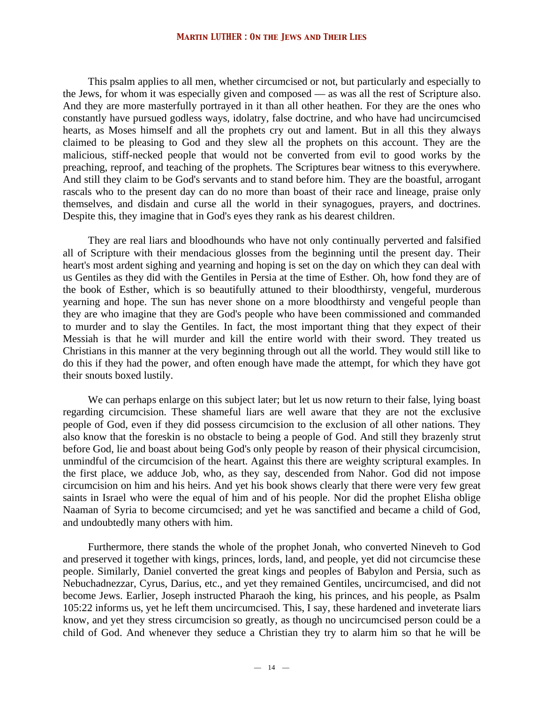This psalm applies to all men, whether circumcised or not, but particularly and especially to the Jews, for whom it was especially given and composed — as was all the rest of Scripture also. And they are more masterfully portrayed in it than all other heathen. For they are the ones who constantly have pursued godless ways, idolatry, false doctrine, and who have had uncircumcised hearts, as Moses himself and all the prophets cry out and lament. But in all this they always claimed to be pleasing to God and they slew all the prophets on this account. They are the malicious, stiff-necked people that would not be converted from evil to good works by the preaching, reproof, and teaching of the prophets. The Scriptures bear witness to this everywhere. And still they claim to be God's servants and to stand before him. They are the boastful, arrogant rascals who to the present day can do no more than boast of their race and lineage, praise only themselves, and disdain and curse all the world in their synagogues, prayers, and doctrines. Despite this, they imagine that in God's eyes they rank as his dearest children.

They are real liars and bloodhounds who have not only continually perverted and falsified all of Scripture with their mendacious glosses from the beginning until the present day. Their heart's most ardent sighing and yearning and hoping is set on the day on which they can deal with us Gentiles as they did with the Gentiles in Persia at the time of Esther. Oh, how fond they are of the book of Esther, which is so beautifully attuned to their bloodthirsty, vengeful, murderous yearning and hope. The sun has never shone on a more bloodthirsty and vengeful people than they are who imagine that they are God's people who have been commissioned and commanded to murder and to slay the Gentiles. In fact, the most important thing that they expect of their Messiah is that he will murder and kill the entire world with their sword. They treated us Christians in this manner at the very beginning through out all the world. They would still like to do this if they had the power, and often enough have made the attempt, for which they have got their snouts boxed lustily.

We can perhaps enlarge on this subject later; but let us now return to their false, lying boast regarding circumcision. These shameful liars are well aware that they are not the exclusive people of God, even if they did possess circumcision to the exclusion of all other nations. They also know that the foreskin is no obstacle to being a people of God. And still they brazenly strut before God, lie and boast about being God's only people by reason of their physical circumcision, unmindful of the circumcision of the heart. Against this there are weighty scriptural examples. In the first place, we adduce Job, who, as they say, descended from Nahor. God did not impose circumcision on him and his heirs. And yet his book shows clearly that there were very few great saints in Israel who were the equal of him and of his people. Nor did the prophet Elisha oblige Naaman of Syria to become circumcised; and yet he was sanctified and became a child of God, and undoubtedly many others with him.

Furthermore, there stands the whole of the prophet Jonah, who converted Nineveh to God and preserved it together with kings, princes, lords, land, and people, yet did not circumcise these people. Similarly, Daniel converted the great kings and peoples of Babylon and Persia, such as Nebuchadnezzar, Cyrus, Darius, etc., and yet they remained Gentiles, uncircumcised, and did not become Jews. Earlier, Joseph instructed Pharaoh the king, his princes, and his people, as Psalm 105:22 informs us, yet he left them uncircumcised. This, I say, these hardened and inveterate liars know, and yet they stress circumcision so greatly, as though no uncircumcised person could be a child of God. And whenever they seduce a Christian they try to alarm him so that he will be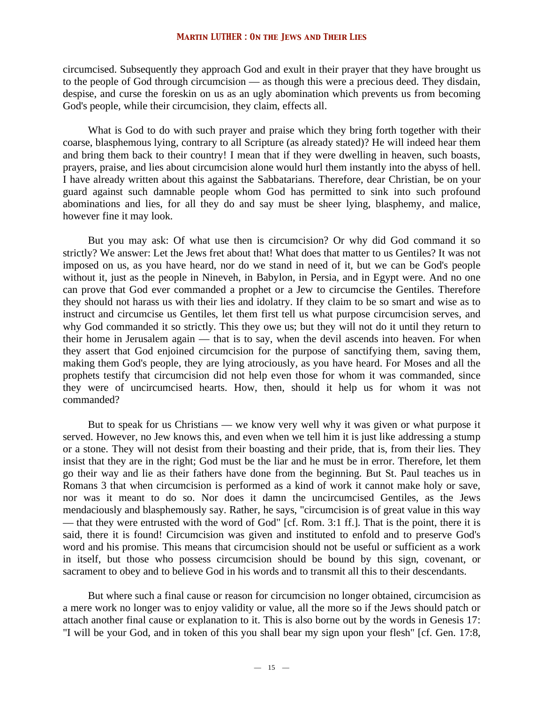circumcised. Subsequently they approach God and exult in their prayer that they have brought us to the people of God through circumcision — as though this were a precious deed. They disdain, despise, and curse the foreskin on us as an ugly abomination which prevents us from becoming God's people, while their circumcision, they claim, effects all.

What is God to do with such prayer and praise which they bring forth together with their coarse, blasphemous lying, contrary to all Scripture (as already stated)? He will indeed hear them and bring them back to their country! I mean that if they were dwelling in heaven, such boasts, prayers, praise, and lies about circumcision alone would hurl them instantly into the abyss of hell. I have already written about this against the Sabbatarians. Therefore, dear Christian, be on your guard against such damnable people whom God has permitted to sink into such profound abominations and lies, for all they do and say must be sheer lying, blasphemy, and malice, however fine it may look.

But you may ask: Of what use then is circumcision? Or why did God command it so strictly? We answer: Let the Jews fret about that! What does that matter to us Gentiles? It was not imposed on us, as you have heard, nor do we stand in need of it, but we can be God's people without it, just as the people in Nineveh, in Babylon, in Persia, and in Egypt were. And no one can prove that God ever commanded a prophet or a Jew to circumcise the Gentiles. Therefore they should not harass us with their lies and idolatry. If they claim to be so smart and wise as to instruct and circumcise us Gentiles, let them first tell us what purpose circumcision serves, and why God commanded it so strictly. This they owe us; but they will not do it until they return to their home in Jerusalem again — that is to say, when the devil ascends into heaven. For when they assert that God enjoined circumcision for the purpose of sanctifying them, saving them, making them God's people, they are lying atrociously, as you have heard. For Moses and all the prophets testify that circumcision did not help even those for whom it was commanded, since they were of uncircumcised hearts. How, then, should it help us for whom it was not commanded?

But to speak for us Christians — we know very well why it was given or what purpose it served. However, no Jew knows this, and even when we tell him it is just like addressing a stump or a stone. They will not desist from their boasting and their pride, that is, from their lies. They insist that they are in the right; God must be the liar and he must be in error. Therefore, let them go their way and lie as their fathers have done from the beginning. But St. Paul teaches us in Romans 3 that when circumcision is performed as a kind of work it cannot make holy or save, nor was it meant to do so. Nor does it damn the uncircumcised Gentiles, as the Jews mendaciously and blasphemously say. Rather, he says, "circumcision is of great value in this way — that they were entrusted with the word of God" [cf. Rom. 3:1 ff.]. That is the point, there it is said, there it is found! Circumcision was given and instituted to enfold and to preserve God's word and his promise. This means that circumcision should not be useful or sufficient as a work in itself, but those who possess circumcision should be bound by this sign, covenant, or sacrament to obey and to believe God in his words and to transmit all this to their descendants.

But where such a final cause or reason for circumcision no longer obtained, circumcision as a mere work no longer was to enjoy validity or value, all the more so if the Jews should patch or attach another final cause or explanation to it. This is also borne out by the words in Genesis 17: "I will be your God, and in token of this you shall bear my sign upon your flesh" [cf. Gen. 17:8,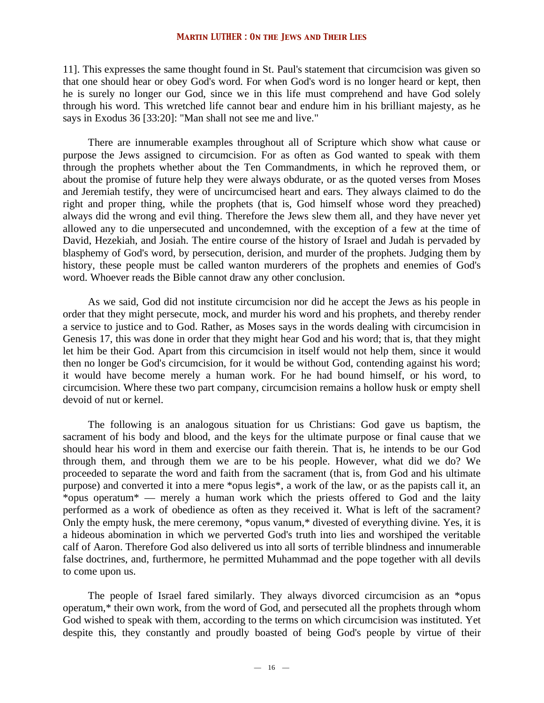11]. This expresses the same thought found in St. Paul's statement that circumcision was given so that one should hear or obey God's word. For when God's word is no longer heard or kept, then he is surely no longer our God, since we in this life must comprehend and have God solely through his word. This wretched life cannot bear and endure him in his brilliant majesty, as he says in Exodus 36 [33:20]: "Man shall not see me and live."

There are innumerable examples throughout all of Scripture which show what cause or purpose the Jews assigned to circumcision. For as often as God wanted to speak with them through the prophets whether about the Ten Commandments, in which he reproved them, or about the promise of future help they were always obdurate, or as the quoted verses from Moses and Jeremiah testify, they were of uncircumcised heart and ears. They always claimed to do the right and proper thing, while the prophets (that is, God himself whose word they preached) always did the wrong and evil thing. Therefore the Jews slew them all, and they have never yet allowed any to die unpersecuted and uncondemned, with the exception of a few at the time of David, Hezekiah, and Josiah. The entire course of the history of Israel and Judah is pervaded by blasphemy of God's word, by persecution, derision, and murder of the prophets. Judging them by history, these people must be called wanton murderers of the prophets and enemies of God's word. Whoever reads the Bible cannot draw any other conclusion.

As we said, God did not institute circumcision nor did he accept the Jews as his people in order that they might persecute, mock, and murder his word and his prophets, and thereby render a service to justice and to God. Rather, as Moses says in the words dealing with circumcision in Genesis 17, this was done in order that they might hear God and his word; that is, that they might let him be their God. Apart from this circumcision in itself would not help them, since it would then no longer be God's circumcision, for it would be without God, contending against his word; it would have become merely a human work. For he had bound himself, or his word, to circumcision. Where these two part company, circumcision remains a hollow husk or empty shell devoid of nut or kernel.

The following is an analogous situation for us Christians: God gave us baptism, the sacrament of his body and blood, and the keys for the ultimate purpose or final cause that we should hear his word in them and exercise our faith therein. That is, he intends to be our God through them, and through them we are to be his people. However, what did we do? We proceeded to separate the word and faith from the sacrament (that is, from God and his ultimate purpose) and converted it into a mere \*opus legis\*, a work of the law, or as the papists call it, an \*opus operatum\* — merely a human work which the priests offered to God and the laity performed as a work of obedience as often as they received it. What is left of the sacrament? Only the empty husk, the mere ceremony, \*opus vanum,\* divested of everything divine. Yes, it is a hideous abomination in which we perverted God's truth into lies and worshiped the veritable calf of Aaron. Therefore God also delivered us into all sorts of terrible blindness and innumerable false doctrines, and, furthermore, he permitted Muhammad and the pope together with all devils to come upon us.

The people of Israel fared similarly. They always divorced circumcision as an \*opus operatum,\* their own work, from the word of God, and persecuted all the prophets through whom God wished to speak with them, according to the terms on which circumcision was instituted. Yet despite this, they constantly and proudly boasted of being God's people by virtue of their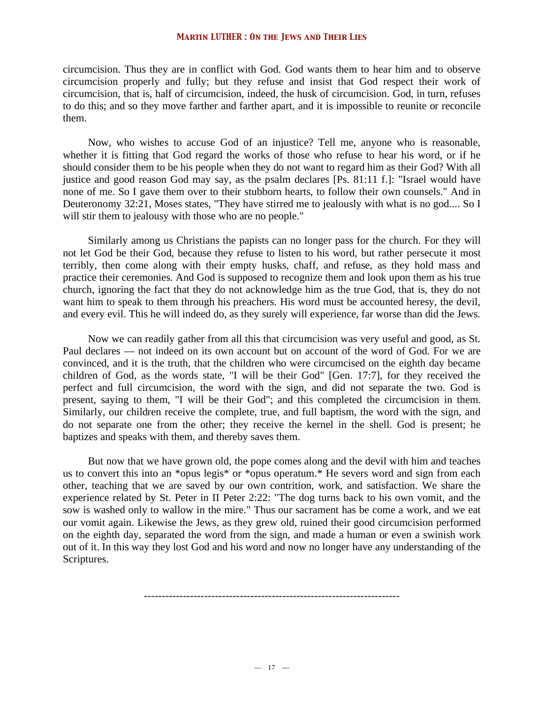circumcision. Thus they are in conflict with God. God wants them to hear him and to observe circumcision properly and fully; but they refuse and insist that God respect their work of circumcision, that is, half of circumcision, indeed, the husk of circumcision. God, in turn, refuses to do this; and so they move farther and farther apart, and it is impossible to reunite or reconcile them.

Now, who wishes to accuse God of an injustice? Tell me, anyone who is reasonable, whether it is fitting that God regard the works of those who refuse to hear his word, or if he should consider them to be his people when they do not want to regard him as their God? With all justice and good reason God may say, as the psalm declares [Ps. 81:11 f.]: "Israel would have none of me. So I gave them over to their stubborn hearts, to follow their own counsels." And in Deuteronomy 32:21, Moses states, "They have stirred me to jealously with what is no god.... So I will stir them to jealousy with those who are no people."

Similarly among us Christians the papists can no longer pass for the church. For they will not let God be their God, because they refuse to listen to his word, but rather persecute it most terribly, then come along with their empty husks, chaff, and refuse, as they hold mass and practice their ceremonies. And God is supposed to recognize them and look upon them as his true church, ignoring the fact that they do not acknowledge him as the true God, that is, they do not want him to speak to them through his preachers. His word must be accounted heresy, the devil, and every evil. This he will indeed do, as they surely will experience, far worse than did the Jews.

Now we can readily gather from all this that circumcision was very useful and good, as St. Paul declares — not indeed on its own account but on account of the word of God. For we are convinced, and it is the truth, that the children who were circumcised on the eighth day became children of God, as the words state, "I will be their God" [Gen. 17:7], for they received the perfect and full circumcision, the word with the sign, and did not separate the two. God is present, saying to them, "I will be their God"; and this completed the circumcision in them. Similarly, our children receive the complete, true, and full baptism, the word with the sign, and do not separate one from the other; they receive the kernel in the shell. God is present; he baptizes and speaks with them, and thereby saves them.

But now that we have grown old, the pope comes along and the devil with him and teaches us to convert this into an \*opus legis\* or \*opus operatum.\* He severs word and sign from each other, teaching that we are saved by our own contrition, work, and satisfaction. We share the experience related by St. Peter in II Peter 2:22: "The dog turns back to his own vomit, and the sow is washed only to wallow in the mire." Thus our sacrament has be come a work, and we eat our vomit again. Likewise the Jews, as they grew old, ruined their good circumcision performed on the eighth day, separated the word from the sign, and made a human or even a swinish work out of it. In this way they lost God and his word and now no longer have any understanding of the Scriptures.

------------------------------------------------------------------------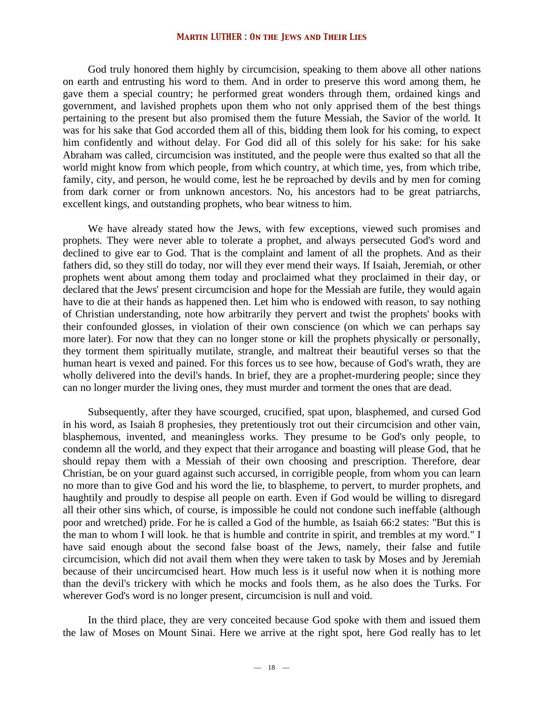God truly honored them highly by circumcision, speaking to them above all other nations on earth and entrusting his word to them. And in order to preserve this word among them, he gave them a special country; he performed great wonders through them, ordained kings and government, and lavished prophets upon them who not only apprised them of the best things pertaining to the present but also promised them the future Messiah, the Savior of the world. It was for his sake that God accorded them all of this, bidding them look for his coming, to expect him confidently and without delay. For God did all of this solely for his sake: for his sake Abraham was called, circumcision was instituted, and the people were thus exalted so that all the world might know from which people, from which country, at which time, yes, from which tribe, family, city, and person, he would come, lest he be reproached by devils and by men for coming from dark corner or from unknown ancestors. No, his ancestors had to be great patriarchs, excellent kings, and outstanding prophets, who bear witness to him.

We have already stated how the Jews, with few exceptions, viewed such promises and prophets. They were never able to tolerate a prophet, and always persecuted God's word and declined to give ear to God. That is the complaint and lament of all the prophets. And as their fathers did, so they still do today, nor will they ever mend their ways. If Isaiah, Jeremiah, or other prophets went about among them today and proclaimed what they proclaimed in their day, or declared that the Jews' present circumcision and hope for the Messiah are futile, they would again have to die at their hands as happened then. Let him who is endowed with reason, to say nothing of Christian understanding, note how arbitrarily they pervert and twist the prophets' books with their confounded glosses, in violation of their own conscience (on which we can perhaps say more later). For now that they can no longer stone or kill the prophets physically or personally, they torment them spiritually mutilate, strangle, and maltreat their beautiful verses so that the human heart is vexed and pained. For this forces us to see how, because of God's wrath, they are wholly delivered into the devil's hands. In brief, they are a prophet-murdering people; since they can no longer murder the living ones, they must murder and torment the ones that are dead.

Subsequently, after they have scourged, crucified, spat upon, blasphemed, and cursed God in his word, as Isaiah 8 prophesies, they pretentiously trot out their circumcision and other vain, blasphemous, invented, and meaningless works. They presume to be God's only people, to condemn all the world, and they expect that their arrogance and boasting will please God, that he should repay them with a Messiah of their own choosing and prescription. Therefore, dear Christian, be on your guard against such accursed, in corrigible people, from whom you can learn no more than to give God and his word the lie, to blaspheme, to pervert, to murder prophets, and haughtily and proudly to despise all people on earth. Even if God would be willing to disregard all their other sins which, of course, is impossible he could not condone such ineffable (although poor and wretched) pride. For he is called a God of the humble, as Isaiah 66:2 states: "But this is the man to whom I will look. he that is humble and contrite in spirit, and trembles at my word." I have said enough about the second false boast of the Jews, namely, their false and futile circumcision, which did not avail them when they were taken to task by Moses and by Jeremiah because of their uncircumcised heart. How much less is it useful now when it is nothing more than the devil's trickery with which he mocks and fools them, as he also does the Turks. For wherever God's word is no longer present, circumcision is null and void.

In the third place, they are very conceited because God spoke with them and issued them the law of Moses on Mount Sinai. Here we arrive at the right spot, here God really has to let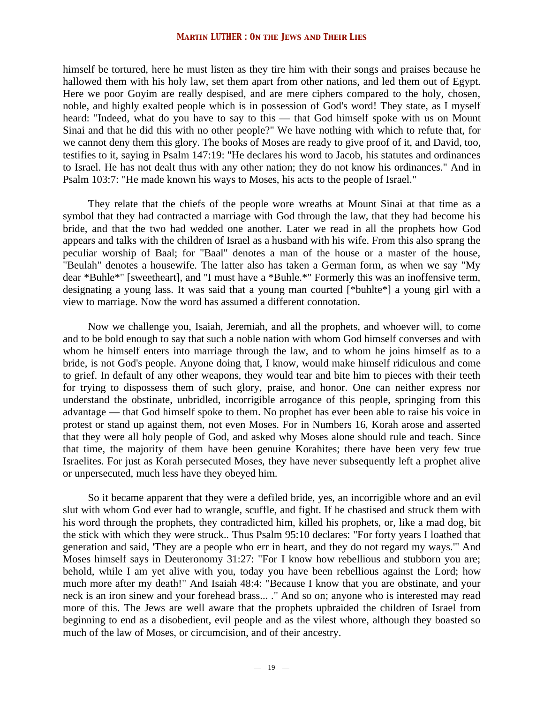himself be tortured, here he must listen as they tire him with their songs and praises because he hallowed them with his holy law, set them apart from other nations, and led them out of Egypt. Here we poor Goyim are really despised, and are mere ciphers compared to the holy, chosen, noble, and highly exalted people which is in possession of God's word! They state, as I myself heard: "Indeed, what do you have to say to this — that God himself spoke with us on Mount Sinai and that he did this with no other people?" We have nothing with which to refute that, for we cannot deny them this glory. The books of Moses are ready to give proof of it, and David, too, testifies to it, saying in Psalm 147:19: "He declares his word to Jacob, his statutes and ordinances to Israel. He has not dealt thus with any other nation; they do not know his ordinances." And in Psalm 103:7: "He made known his ways to Moses, his acts to the people of Israel."

They relate that the chiefs of the people wore wreaths at Mount Sinai at that time as a symbol that they had contracted a marriage with God through the law, that they had become his bride, and that the two had wedded one another. Later we read in all the prophets how God appears and talks with the children of Israel as a husband with his wife. From this also sprang the peculiar worship of Baal; for "Baal" denotes a man of the house or a master of the house, "Beulah" denotes a housewife. The latter also has taken a German form, as when we say "My dear \*Buhle\*" [sweetheart], and "I must have a \*Buhle.\*" Formerly this was an inoffensive term, designating a young lass. It was said that a young man courted [\*buhlte\*] a young girl with a view to marriage. Now the word has assumed a different connotation.

Now we challenge you, Isaiah, Jeremiah, and all the prophets, and whoever will, to come and to be bold enough to say that such a noble nation with whom God himself converses and with whom he himself enters into marriage through the law, and to whom he joins himself as to a bride, is not God's people. Anyone doing that, I know, would make himself ridiculous and come to grief. In default of any other weapons, they would tear and bite him to pieces with their teeth for trying to dispossess them of such glory, praise, and honor. One can neither express nor understand the obstinate, unbridled, incorrigible arrogance of this people, springing from this advantage — that God himself spoke to them. No prophet has ever been able to raise his voice in protest or stand up against them, not even Moses. For in Numbers 16, Korah arose and asserted that they were all holy people of God, and asked why Moses alone should rule and teach. Since that time, the majority of them have been genuine Korahites; there have been very few true Israelites. For just as Korah persecuted Moses, they have never subsequently left a prophet alive or unpersecuted, much less have they obeyed him.

So it became apparent that they were a defiled bride, yes, an incorrigible whore and an evil slut with whom God ever had to wrangle, scuffle, and fight. If he chastised and struck them with his word through the prophets, they contradicted him, killed his prophets, or, like a mad dog, bit the stick with which they were struck.. Thus Psalm 95:10 declares: "For forty years I loathed that generation and said, 'They are a people who err in heart, and they do not regard my ways.'" And Moses himself says in Deuteronomy 31:27: "For I know how rebellious and stubborn you are; behold, while I am yet alive with you, today you have been rebellious against the Lord; how much more after my death!" And Isaiah 48:4: "Because I know that you are obstinate, and your neck is an iron sinew and your forehead brass... ." And so on; anyone who is interested may read more of this. The Jews are well aware that the prophets upbraided the children of Israel from beginning to end as a disobedient, evil people and as the vilest whore, although they boasted so much of the law of Moses, or circumcision, and of their ancestry.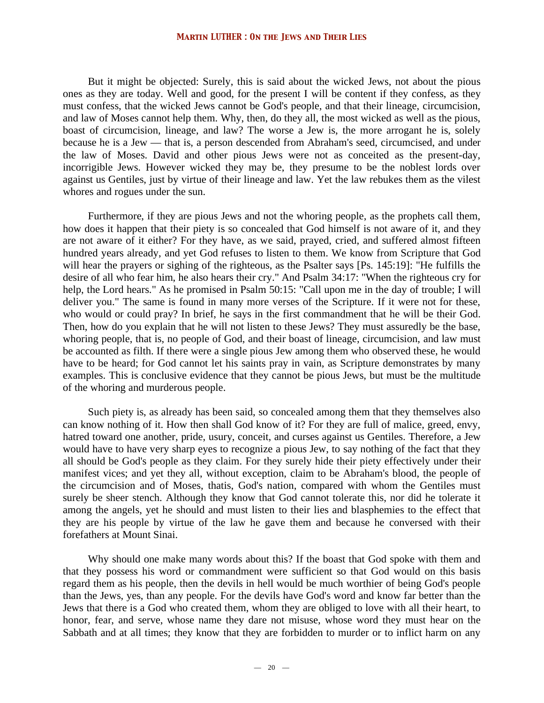But it might be objected: Surely, this is said about the wicked Jews, not about the pious ones as they are today. Well and good, for the present I will be content if they confess, as they must confess, that the wicked Jews cannot be God's people, and that their lineage, circumcision, and law of Moses cannot help them. Why, then, do they all, the most wicked as well as the pious, boast of circumcision, lineage, and law? The worse a Jew is, the more arrogant he is, solely because he is a Jew — that is, a person descended from Abraham's seed, circumcised, and under the law of Moses. David and other pious Jews were not as conceited as the present-day, incorrigible Jews. However wicked they may be, they presume to be the noblest lords over against us Gentiles, just by virtue of their lineage and law. Yet the law rebukes them as the vilest whores and rogues under the sun.

Furthermore, if they are pious Jews and not the whoring people, as the prophets call them, how does it happen that their piety is so concealed that God himself is not aware of it, and they are not aware of it either? For they have, as we said, prayed, cried, and suffered almost fifteen hundred years already, and yet God refuses to listen to them. We know from Scripture that God will hear the prayers or sighing of the righteous, as the Psalter says [Ps. 145:19]: "He fulfills the desire of all who fear him, he also hears their cry." And Psalm 34:17: "When the righteous cry for help, the Lord hears." As he promised in Psalm 50:15: "Call upon me in the day of trouble; I will deliver you." The same is found in many more verses of the Scripture. If it were not for these, who would or could pray? In brief, he says in the first commandment that he will be their God. Then, how do you explain that he will not listen to these Jews? They must assuredly be the base, whoring people, that is, no people of God, and their boast of lineage, circumcision, and law must be accounted as filth. If there were a single pious Jew among them who observed these, he would have to be heard; for God cannot let his saints pray in vain, as Scripture demonstrates by many examples. This is conclusive evidence that they cannot be pious Jews, but must be the multitude of the whoring and murderous people.

Such piety is, as already has been said, so concealed among them that they themselves also can know nothing of it. How then shall God know of it? For they are full of malice, greed, envy, hatred toward one another, pride, usury, conceit, and curses against us Gentiles. Therefore, a Jew would have to have very sharp eyes to recognize a pious Jew, to say nothing of the fact that they all should be God's people as they claim. For they surely hide their piety effectively under their manifest vices; and yet they all, without exception, claim to be Abraham's blood, the people of the circumcision and of Moses, thatis, God's nation, compared with whom the Gentiles must surely be sheer stench. Although they know that God cannot tolerate this, nor did he tolerate it among the angels, yet he should and must listen to their lies and blasphemies to the effect that they are his people by virtue of the law he gave them and because he conversed with their forefathers at Mount Sinai.

Why should one make many words about this? If the boast that God spoke with them and that they possess his word or commandment were sufficient so that God would on this basis regard them as his people, then the devils in hell would be much worthier of being God's people than the Jews, yes, than any people. For the devils have God's word and know far better than the Jews that there is a God who created them, whom they are obliged to love with all their heart, to honor, fear, and serve, whose name they dare not misuse, whose word they must hear on the Sabbath and at all times; they know that they are forbidden to murder or to inflict harm on any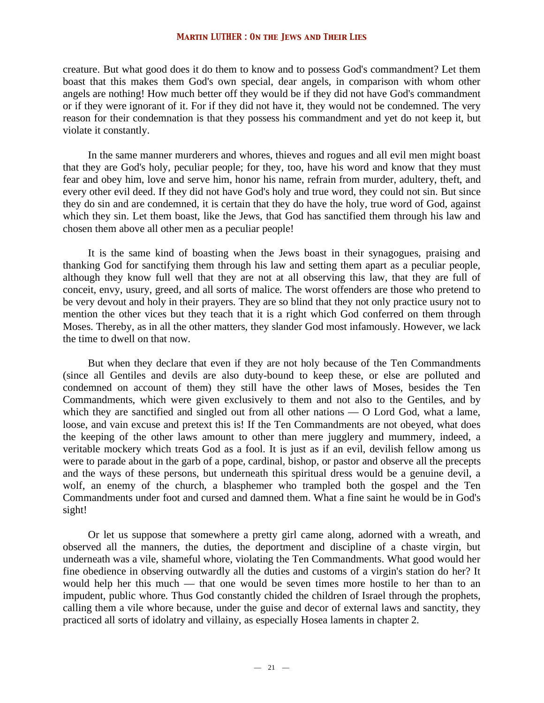creature. But what good does it do them to know and to possess God's commandment? Let them boast that this makes them God's own special, dear angels, in comparison with whom other angels are nothing! How much better off they would be if they did not have God's commandment or if they were ignorant of it. For if they did not have it, they would not be condemned. The very reason for their condemnation is that they possess his commandment and yet do not keep it, but violate it constantly.

In the same manner murderers and whores, thieves and rogues and all evil men might boast that they are God's holy, peculiar people; for they, too, have his word and know that they must fear and obey him, love and serve him, honor his name, refrain from murder, adultery, theft, and every other evil deed. If they did not have God's holy and true word, they could not sin. But since they do sin and are condemned, it is certain that they do have the holy, true word of God, against which they sin. Let them boast, like the Jews, that God has sanctified them through his law and chosen them above all other men as a peculiar people!

It is the same kind of boasting when the Jews boast in their synagogues, praising and thanking God for sanctifying them through his law and setting them apart as a peculiar people, although they know full well that they are not at all observing this law, that they are full of conceit, envy, usury, greed, and all sorts of malice. The worst offenders are those who pretend to be very devout and holy in their prayers. They are so blind that they not only practice usury not to mention the other vices but they teach that it is a right which God conferred on them through Moses. Thereby, as in all the other matters, they slander God most infamously. However, we lack the time to dwell on that now.

But when they declare that even if they are not holy because of the Ten Commandments (since all Gentiles and devils are also duty-bound to keep these, or else are polluted and condemned on account of them) they still have the other laws of Moses, besides the Ten Commandments, which were given exclusively to them and not also to the Gentiles, and by which they are sanctified and singled out from all other nations — O Lord God, what a lame, loose, and vain excuse and pretext this is! If the Ten Commandments are not obeyed, what does the keeping of the other laws amount to other than mere jugglery and mummery, indeed, a veritable mockery which treats God as a fool. It is just as if an evil, devilish fellow among us were to parade about in the garb of a pope, cardinal, bishop, or pastor and observe all the precepts and the ways of these persons, but underneath this spiritual dress would be a genuine devil, a wolf, an enemy of the church, a blasphemer who trampled both the gospel and the Ten Commandments under foot and cursed and damned them. What a fine saint he would be in God's sight!

Or let us suppose that somewhere a pretty girl came along, adorned with a wreath, and observed all the manners, the duties, the deportment and discipline of a chaste virgin, but underneath was a vile, shameful whore, violating the Ten Commandments. What good would her fine obedience in observing outwardly all the duties and customs of a virgin's station do her? It would help her this much — that one would be seven times more hostile to her than to an impudent, public whore. Thus God constantly chided the children of Israel through the prophets, calling them a vile whore because, under the guise and decor of external laws and sanctity, they practiced all sorts of idolatry and villainy, as especially Hosea laments in chapter 2.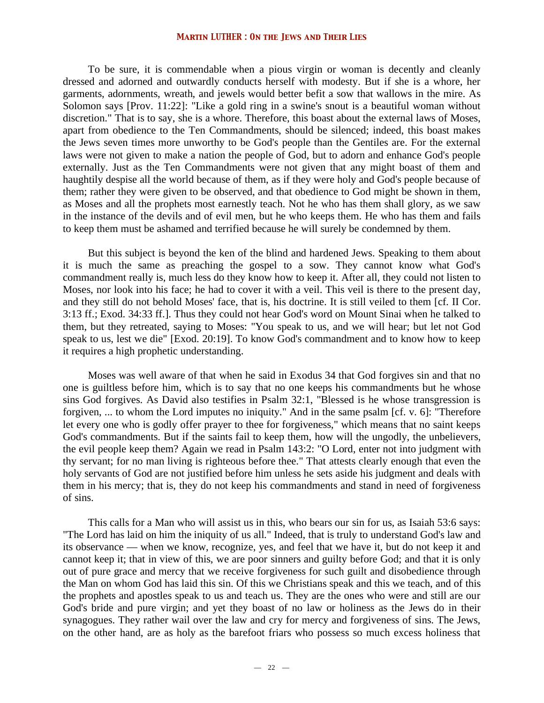To be sure, it is commendable when a pious virgin or woman is decently and cleanly dressed and adorned and outwardly conducts herself with modesty. But if she is a whore, her garments, adornments, wreath, and jewels would better befit a sow that wallows in the mire. As Solomon says [Prov. 11:22]: "Like a gold ring in a swine's snout is a beautiful woman without discretion." That is to say, she is a whore. Therefore, this boast about the external laws of Moses, apart from obedience to the Ten Commandments, should be silenced; indeed, this boast makes the Jews seven times more unworthy to be God's people than the Gentiles are. For the external laws were not given to make a nation the people of God, but to adorn and enhance God's people externally. Just as the Ten Commandments were not given that any might boast of them and haughtily despise all the world because of them, as if they were holy and God's people because of them; rather they were given to be observed, and that obedience to God might be shown in them, as Moses and all the prophets most earnestly teach. Not he who has them shall glory, as we saw in the instance of the devils and of evil men, but he who keeps them. He who has them and fails to keep them must be ashamed and terrified because he will surely be condemned by them.

But this subject is beyond the ken of the blind and hardened Jews. Speaking to them about it is much the same as preaching the gospel to a sow. They cannot know what God's commandment really is, much less do they know how to keep it. After all, they could not listen to Moses, nor look into his face; he had to cover it with a veil. This veil is there to the present day, and they still do not behold Moses' face, that is, his doctrine. It is still veiled to them [cf. II Cor. 3:13 ff.; Exod. 34:33 ff.]. Thus they could not hear God's word on Mount Sinai when he talked to them, but they retreated, saying to Moses: "You speak to us, and we will hear; but let not God speak to us, lest we die" [Exod. 20:19]. To know God's commandment and to know how to keep it requires a high prophetic understanding.

Moses was well aware of that when he said in Exodus 34 that God forgives sin and that no one is guiltless before him, which is to say that no one keeps his commandments but he whose sins God forgives. As David also testifies in Psalm 32:1, "Blessed is he whose transgression is forgiven, ... to whom the Lord imputes no iniquity." And in the same psalm [cf. v. 6]: "Therefore let every one who is godly offer prayer to thee for forgiveness," which means that no saint keeps God's commandments. But if the saints fail to keep them, how will the ungodly, the unbelievers, the evil people keep them? Again we read in Psalm 143:2: "O Lord, enter not into judgment with thy servant; for no man living is righteous before thee." That attests clearly enough that even the holy servants of God are not justified before him unless he sets aside his judgment and deals with them in his mercy; that is, they do not keep his commandments and stand in need of forgiveness of sins.

This calls for a Man who will assist us in this, who bears our sin for us, as Isaiah 53:6 says: "The Lord has laid on him the iniquity of us all." Indeed, that is truly to understand God's law and its observance — when we know, recognize, yes, and feel that we have it, but do not keep it and cannot keep it; that in view of this, we are poor sinners and guilty before God; and that it is only out of pure grace and mercy that we receive forgiveness for such guilt and disobedience through the Man on whom God has laid this sin. Of this we Christians speak and this we teach, and of this the prophets and apostles speak to us and teach us. They are the ones who were and still are our God's bride and pure virgin; and yet they boast of no law or holiness as the Jews do in their synagogues. They rather wail over the law and cry for mercy and forgiveness of sins. The Jews, on the other hand, are as holy as the barefoot friars who possess so much excess holiness that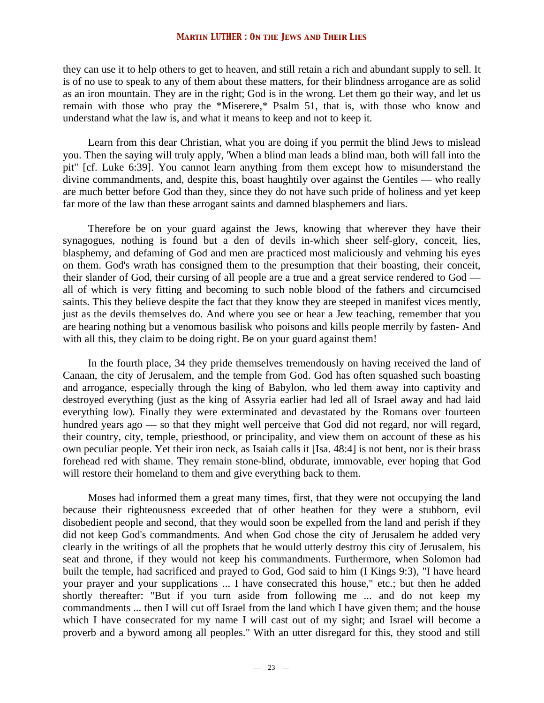they can use it to help others to get to heaven, and still retain a rich and abundant supply to sell. It is of no use to speak to any of them about these matters, for their blindness arrogance are as solid as an iron mountain. They are in the right; God is in the wrong. Let them go their way, and let us remain with those who pray the \*Miserere,\* Psalm 51, that is, with those who know and understand what the law is, and what it means to keep and not to keep it.

Learn from this dear Christian, what you are doing if you permit the blind Jews to mislead you. Then the saying will truly apply, 'When a blind man leads a blind man, both will fall into the pit" [cf. Luke 6:39]. You cannot learn anything from them except how to misunderstand the divine commandments, and, despite this, boast haughtily over against the Gentiles — who really are much better before God than they, since they do not have such pride of holiness and yet keep far more of the law than these arrogant saints and damned blasphemers and liars.

Therefore be on your guard against the Jews, knowing that wherever they have their synagogues, nothing is found but a den of devils in-which sheer self-glory, conceit, lies, blasphemy, and defaming of God and men are practiced most maliciously and vehming his eyes on them. God's wrath has consigned them to the presumption that their boasting, their conceit, their slander of God, their cursing of all people are a true and a great service rendered to God all of which is very fitting and becoming to such noble blood of the fathers and circumcised saints. This they believe despite the fact that they know they are steeped in manifest vices mently, just as the devils themselves do. And where you see or hear a Jew teaching, remember that you are hearing nothing but a venomous basilisk who poisons and kills people merrily by fasten- And with all this, they claim to be doing right. Be on your guard against them!

In the fourth place, 34 they pride themselves tremendously on having received the land of Canaan, the city of Jerusalem, and the temple from God. God has often squashed such boasting and arrogance, especially through the king of Babylon, who led them away into captivity and destroyed everything (just as the king of Assyria earlier had led all of Israel away and had laid everything low). Finally they were exterminated and devastated by the Romans over fourteen hundred years ago — so that they might well perceive that God did not regard, nor will regard, their country, city, temple, priesthood, or principality, and view them on account of these as his own peculiar people. Yet their iron neck, as Isaiah calls it [Isa. 48:4] is not bent, nor is their brass forehead red with shame. They remain stone-blind, obdurate, immovable, ever hoping that God will restore their homeland to them and give everything back to them.

Moses had informed them a great many times, first, that they were not occupying the land because their righteousness exceeded that of other heathen for they were a stubborn, evil disobedient people and second, that they would soon be expelled from the land and perish if they did not keep God's commandments. And when God chose the city of Jerusalem he added very clearly in the writings of all the prophets that he would utterly destroy this city of Jerusalem, his seat and throne, if they would not keep his commandments. Furthermore, when Solomon had built the temple, had sacrificed and prayed to God, God said to him (I Kings 9:3), "I have heard your prayer and your supplications ... I have consecrated this house," etc.; but then he added shortly thereafter: "But if you turn aside from following me ... and do not keep my commandments ... then I will cut off Israel from the land which I have given them; and the house which I have consecrated for my name I will cast out of my sight; and Israel will become a proverb and a byword among all peoples." With an utter disregard for this, they stood and still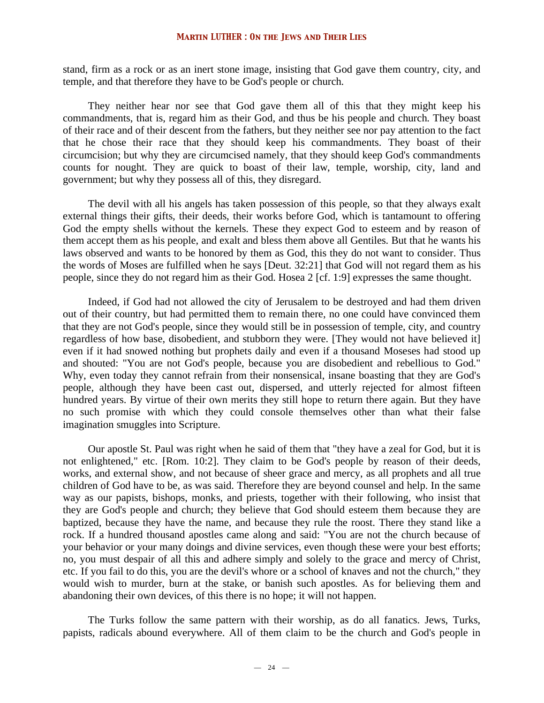stand, firm as a rock or as an inert stone image, insisting that God gave them country, city, and temple, and that therefore they have to be God's people or church.

They neither hear nor see that God gave them all of this that they might keep his commandments, that is, regard him as their God, and thus be his people and church. They boast of their race and of their descent from the fathers, but they neither see nor pay attention to the fact that he chose their race that they should keep his commandments. They boast of their circumcision; but why they are circumcised namely, that they should keep God's commandments counts for nought. They are quick to boast of their law, temple, worship, city, land and government; but why they possess all of this, they disregard.

The devil with all his angels has taken possession of this people, so that they always exalt external things their gifts, their deeds, their works before God, which is tantamount to offering God the empty shells without the kernels. These they expect God to esteem and by reason of them accept them as his people, and exalt and bless them above all Gentiles. But that he wants his laws observed and wants to be honored by them as God, this they do not want to consider. Thus the words of Moses are fulfilled when he says [Deut. 32:21] that God will not regard them as his people, since they do not regard him as their God. Hosea 2 [cf. 1:9] expresses the same thought.

Indeed, if God had not allowed the city of Jerusalem to be destroyed and had them driven out of their country, but had permitted them to remain there, no one could have convinced them that they are not God's people, since they would still be in possession of temple, city, and country regardless of how base, disobedient, and stubborn they were. [They would not have believed it] even if it had snowed nothing but prophets daily and even if a thousand Moseses had stood up and shouted: "You are not God's people, because you are disobedient and rebellious to God." Why, even today they cannot refrain from their nonsensical, insane boasting that they are God's people, although they have been cast out, dispersed, and utterly rejected for almost fifteen hundred years. By virtue of their own merits they still hope to return there again. But they have no such promise with which they could console themselves other than what their false imagination smuggles into Scripture.

Our apostle St. Paul was right when he said of them that "they have a zeal for God, but it is not enlightened," etc. [Rom. 10:2]. They claim to be God's people by reason of their deeds, works, and external show, and not because of sheer grace and mercy, as all prophets and all true children of God have to be, as was said. Therefore they are beyond counsel and help. In the same way as our papists, bishops, monks, and priests, together with their following, who insist that they are God's people and church; they believe that God should esteem them because they are baptized, because they have the name, and because they rule the roost. There they stand like a rock. If a hundred thousand apostles came along and said: "You are not the church because of your behavior or your many doings and divine services, even though these were your best efforts; no, you must despair of all this and adhere simply and solely to the grace and mercy of Christ, etc. If you fail to do this, you are the devil's whore or a school of knaves and not the church," they would wish to murder, burn at the stake, or banish such apostles. As for believing them and abandoning their own devices, of this there is no hope; it will not happen.

The Turks follow the same pattern with their worship, as do all fanatics. Jews, Turks, papists, radicals abound everywhere. All of them claim to be the church and God's people in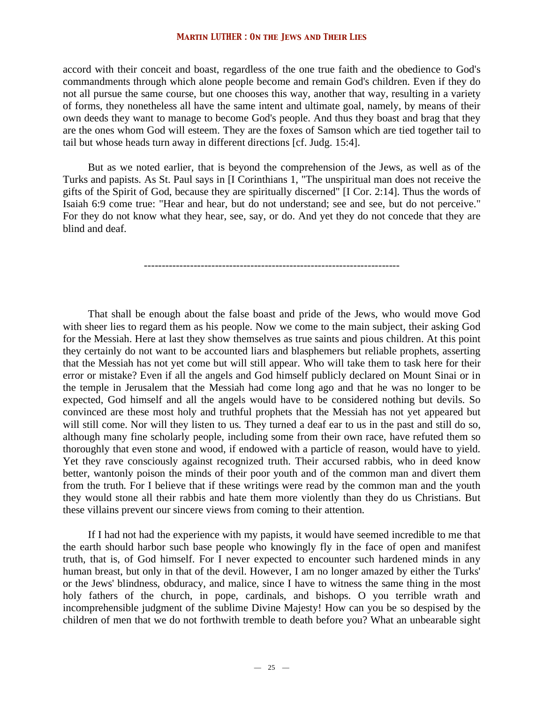accord with their conceit and boast, regardless of the one true faith and the obedience to God's commandments through which alone people become and remain God's children. Even if they do not all pursue the same course, but one chooses this way, another that way, resulting in a variety of forms, they nonetheless all have the same intent and ultimate goal, namely, by means of their own deeds they want to manage to become God's people. And thus they boast and brag that they are the ones whom God will esteem. They are the foxes of Samson which are tied together tail to tail but whose heads turn away in different directions [cf. Judg. 15:4].

But as we noted earlier, that is beyond the comprehension of the Jews, as well as of the Turks and papists. As St. Paul says in [I Corinthians 1, "The unspiritual man does not receive the gifts of the Spirit of God, because they are spiritually discerned" [I Cor. 2:14]. Thus the words of Isaiah 6:9 come true: "Hear and hear, but do not understand; see and see, but do not perceive." For they do not know what they hear, see, say, or do. And yet they do not concede that they are blind and deaf.

------------------------------------------------------------------------

That shall be enough about the false boast and pride of the Jews, who would move God with sheer lies to regard them as his people. Now we come to the main subject, their asking God for the Messiah. Here at last they show themselves as true saints and pious children. At this point they certainly do not want to be accounted liars and blasphemers but reliable prophets, asserting that the Messiah has not yet come but will still appear. Who will take them to task here for their error or mistake? Even if all the angels and God himself publicly declared on Mount Sinai or in the temple in Jerusalem that the Messiah had come long ago and that he was no longer to be expected, God himself and all the angels would have to be considered nothing but devils. So convinced are these most holy and truthful prophets that the Messiah has not yet appeared but will still come. Nor will they listen to us. They turned a deaf ear to us in the past and still do so, although many fine scholarly people, including some from their own race, have refuted them so thoroughly that even stone and wood, if endowed with a particle of reason, would have to yield. Yet they rave consciously against recognized truth. Their accursed rabbis, who in deed know better, wantonly poison the minds of their poor youth and of the common man and divert them from the truth. For I believe that if these writings were read by the common man and the youth they would stone all their rabbis and hate them more violently than they do us Christians. But these villains prevent our sincere views from coming to their attention.

If I had not had the experience with my papists, it would have seemed incredible to me that the earth should harbor such base people who knowingly fly in the face of open and manifest truth, that is, of God himself. For I never expected to encounter such hardened minds in any human breast, but only in that of the devil. However, I am no longer amazed by either the Turks' or the Jews' blindness, obduracy, and malice, since I have to witness the same thing in the most holy fathers of the church, in pope, cardinals, and bishops. O you terrible wrath and incomprehensible judgment of the sublime Divine Majesty! How can you be so despised by the children of men that we do not forthwith tremble to death before you? What an unbearable sight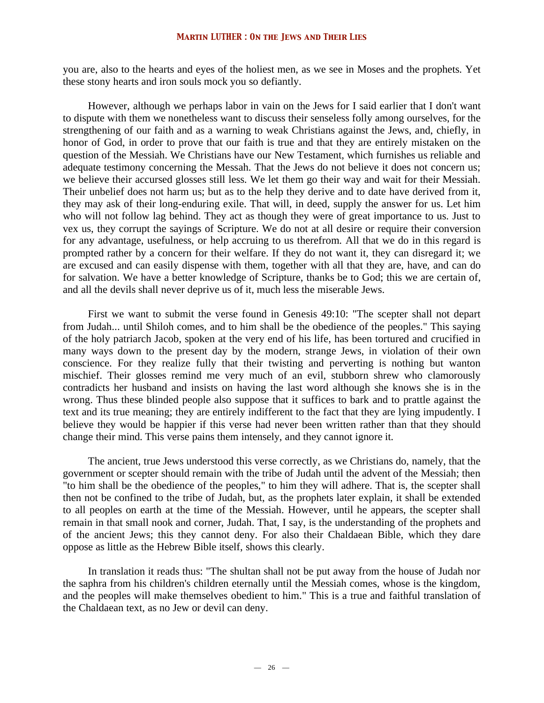you are, also to the hearts and eyes of the holiest men, as we see in Moses and the prophets. Yet these stony hearts and iron souls mock you so defiantly.

However, although we perhaps labor in vain on the Jews for I said earlier that I don't want to dispute with them we nonetheless want to discuss their senseless folly among ourselves, for the strengthening of our faith and as a warning to weak Christians against the Jews, and, chiefly, in honor of God, in order to prove that our faith is true and that they are entirely mistaken on the question of the Messiah. We Christians have our New Testament, which furnishes us reliable and adequate testimony concerning the Messah. That the Jews do not believe it does not concern us; we believe their accursed glosses still less. We let them go their way and wait for their Messiah. Their unbelief does not harm us; but as to the help they derive and to date have derived from it, they may ask of their long-enduring exile. That will, in deed, supply the answer for us. Let him who will not follow lag behind. They act as though they were of great importance to us. Just to vex us, they corrupt the sayings of Scripture. We do not at all desire or require their conversion for any advantage, usefulness, or help accruing to us therefrom. All that we do in this regard is prompted rather by a concern for their welfare. If they do not want it, they can disregard it; we are excused and can easily dispense with them, together with all that they are, have, and can do for salvation. We have a better knowledge of Scripture, thanks be to God; this we are certain of, and all the devils shall never deprive us of it, much less the miserable Jews.

First we want to submit the verse found in Genesis 49:10: "The scepter shall not depart from Judah... until Shiloh comes, and to him shall be the obedience of the peoples." This saying of the holy patriarch Jacob, spoken at the very end of his life, has been tortured and crucified in many ways down to the present day by the modern, strange Jews, in violation of their own conscience. For they realize fully that their twisting and perverting is nothing but wanton mischief. Their glosses remind me very much of an evil, stubborn shrew who clamorously contradicts her husband and insists on having the last word although she knows she is in the wrong. Thus these blinded people also suppose that it suffices to bark and to prattle against the text and its true meaning; they are entirely indifferent to the fact that they are lying impudently. I believe they would be happier if this verse had never been written rather than that they should change their mind. This verse pains them intensely, and they cannot ignore it.

The ancient, true Jews understood this verse correctly, as we Christians do, namely, that the government or scepter should remain with the tribe of Judah until the advent of the Messiah; then "to him shall be the obedience of the peoples," to him they will adhere. That is, the scepter shall then not be confined to the tribe of Judah, but, as the prophets later explain, it shall be extended to all peoples on earth at the time of the Messiah. However, until he appears, the scepter shall remain in that small nook and corner, Judah. That, I say, is the understanding of the prophets and of the ancient Jews; this they cannot deny. For also their Chaldaean Bible, which they dare oppose as little as the Hebrew Bible itself, shows this clearly.

In translation it reads thus: "The shultan shall not be put away from the house of Judah nor the saphra from his children's children eternally until the Messiah comes, whose is the kingdom, and the peoples will make themselves obedient to him." This is a true and faithful translation of the Chaldaean text, as no Jew or devil can deny.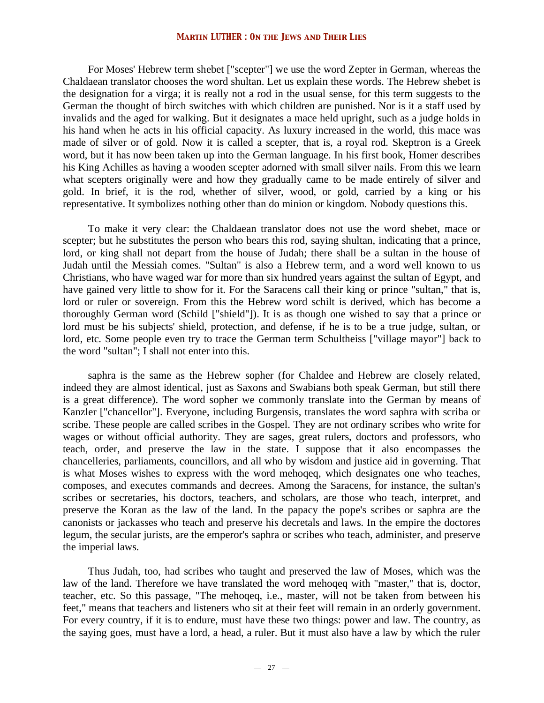For Moses' Hebrew term shebet ["scepter"] we use the word Zepter in German, whereas the Chaldaean translator chooses the word shultan. Let us explain these words. The Hebrew shebet is the designation for a virga; it is really not a rod in the usual sense, for this term suggests to the German the thought of birch switches with which children are punished. Nor is it a staff used by invalids and the aged for walking. But it designates a mace held upright, such as a judge holds in his hand when he acts in his official capacity. As luxury increased in the world, this mace was made of silver or of gold. Now it is called a scepter, that is, a royal rod. Skeptron is a Greek word, but it has now been taken up into the German language. In his first book, Homer describes his King Achilles as having a wooden scepter adorned with small silver nails. From this we learn what scepters originally were and how they gradually came to be made entirely of silver and gold. In brief, it is the rod, whether of silver, wood, or gold, carried by a king or his representative. It symbolizes nothing other than do minion or kingdom. Nobody questions this.

To make it very clear: the Chaldaean translator does not use the word shebet, mace or scepter; but he substitutes the person who bears this rod, saying shultan, indicating that a prince, lord, or king shall not depart from the house of Judah; there shall be a sultan in the house of Judah until the Messiah comes. "Sultan" is also a Hebrew term, and a word well known to us Christians, who have waged war for more than six hundred years against the sultan of Egypt, and have gained very little to show for it. For the Saracens call their king or prince "sultan," that is, lord or ruler or sovereign. From this the Hebrew word schilt is derived, which has become a thoroughly German word (Schild ["shield"]). It is as though one wished to say that a prince or lord must be his subjects' shield, protection, and defense, if he is to be a true judge, sultan, or lord, etc. Some people even try to trace the German term Schultheiss ["village mayor"] back to the word "sultan"; I shall not enter into this.

saphra is the same as the Hebrew sopher (for Chaldee and Hebrew are closely related, indeed they are almost identical, just as Saxons and Swabians both speak German, but still there is a great difference). The word sopher we commonly translate into the German by means of Kanzler ["chancellor"]. Everyone, including Burgensis, translates the word saphra with scriba or scribe. These people are called scribes in the Gospel. They are not ordinary scribes who write for wages or without official authority. They are sages, great rulers, doctors and professors, who teach, order, and preserve the law in the state. I suppose that it also encompasses the chancelleries, parliaments, councillors, and all who by wisdom and justice aid in governing. That is what Moses wishes to express with the word mehoqeq, which designates one who teaches, composes, and executes commands and decrees. Among the Saracens, for instance, the sultan's scribes or secretaries, his doctors, teachers, and scholars, are those who teach, interpret, and preserve the Koran as the law of the land. In the papacy the pope's scribes or saphra are the canonists or jackasses who teach and preserve his decretals and laws. In the empire the doctores legum, the secular jurists, are the emperor's saphra or scribes who teach, administer, and preserve the imperial laws.

Thus Judah, too, had scribes who taught and preserved the law of Moses, which was the law of the land. Therefore we have translated the word mehoqeq with "master," that is, doctor, teacher, etc. So this passage, "The mehoqeq, i.e., master, will not be taken from between his feet," means that teachers and listeners who sit at their feet will remain in an orderly government. For every country, if it is to endure, must have these two things: power and law. The country, as the saying goes, must have a lord, a head, a ruler. But it must also have a law by which the ruler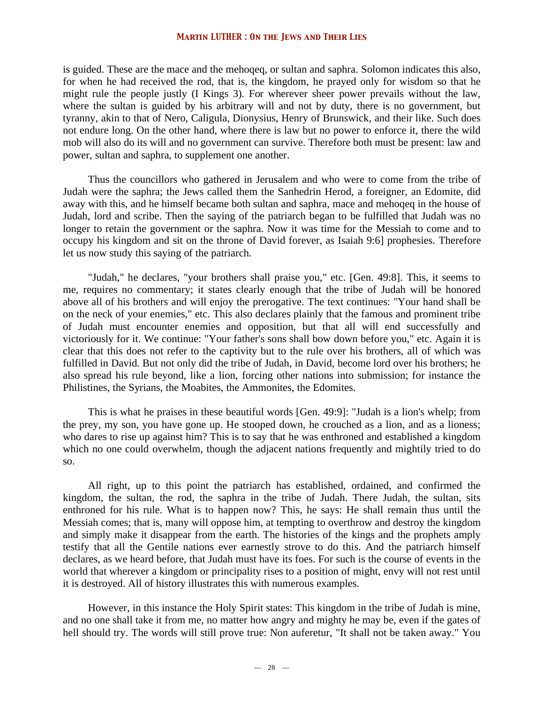is guided. These are the mace and the mehoqeq, or sultan and saphra. Solomon indicates this also, for when he had received the rod, that is, the kingdom, he prayed only for wisdom so that he might rule the people justly (I Kings 3). For wherever sheer power prevails without the law, where the sultan is guided by his arbitrary will and not by duty, there is no government, but tyranny, akin to that of Nero, Caligula, Dionysius, Henry of Brunswick, and their like. Such does not endure long. On the other hand, where there is law but no power to enforce it, there the wild mob will also do its will and no government can survive. Therefore both must be present: law and power, sultan and saphra, to supplement one another.

Thus the councillors who gathered in Jerusalem and who were to come from the tribe of Judah were the saphra; the Jews called them the Sanhedrin Herod, a foreigner, an Edomite, did away with this, and he himself became both sultan and saphra, mace and mehoqeq in the house of Judah, lord and scribe. Then the saying of the patriarch began to be fulfilled that Judah was no longer to retain the government or the saphra. Now it was time for the Messiah to come and to occupy his kingdom and sit on the throne of David forever, as Isaiah 9:6] prophesies. Therefore let us now study this saying of the patriarch.

"Judah," he declares, "your brothers shall praise you," etc. [Gen. 49:8]. This, it seems to me, requires no commentary; it states clearly enough that the tribe of Judah will be honored above all of his brothers and will enjoy the prerogative. The text continues: "Your hand shall be on the neck of your enemies," etc. This also declares plainly that the famous and prominent tribe of Judah must encounter enemies and opposition, but that all will end successfully and victoriously for it. We continue: "Your father's sons shall bow down before you," etc. Again it is clear that this does not refer to the captivity but to the rule over his brothers, all of which was fulfilled in David. But not only did the tribe of Judah, in David, become lord over his brothers; he also spread his rule beyond, like a lion, forcing other nations into submission; for instance the Philistines, the Syrians, the Moabites, the Ammonites, the Edomites.

This is what he praises in these beautiful words [Gen. 49:9]: "Judah is a lion's whelp; from the prey, my son, you have gone up. He stooped down, he crouched as a lion, and as a lioness; who dares to rise up against him? This is to say that he was enthroned and established a kingdom which no one could overwhelm, though the adjacent nations frequently and mightily tried to do so.

All right, up to this point the patriarch has established, ordained, and confirmed the kingdom, the sultan, the rod, the saphra in the tribe of Judah. There Judah, the sultan, sits enthroned for his rule. What is to happen now? This, he says: He shall remain thus until the Messiah comes; that is, many will oppose him, at tempting to overthrow and destroy the kingdom and simply make it disappear from the earth. The histories of the kings and the prophets amply testify that all the Gentile nations ever earnestly strove to do this. And the patriarch himself declares, as we heard before, that Judah must have its foes. For such is the course of events in the world that wherever a kingdom or principality rises to a position of might, envy will not rest until it is destroyed. All of history illustrates this with numerous examples.

However, in this instance the Holy Spirit states: This kingdom in the tribe of Judah is mine, and no one shall take it from me, no matter how angry and mighty he may be, even if the gates of hell should try. The words will still prove true: Non auferetur, "It shall not be taken away." You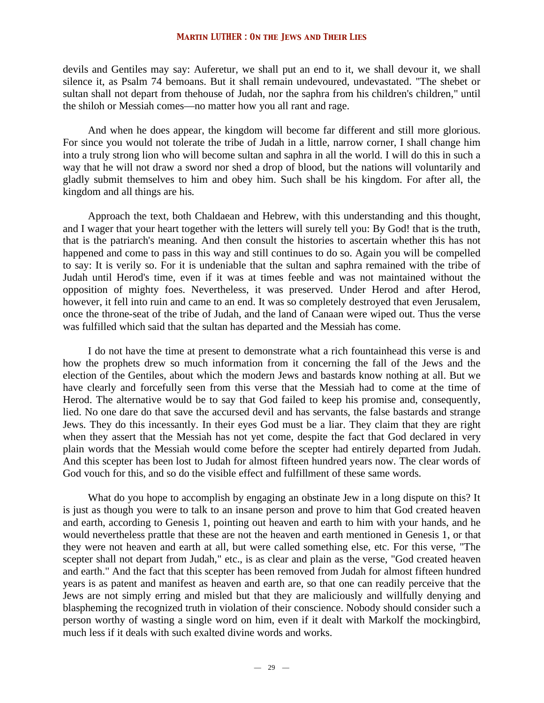devils and Gentiles may say: Auferetur, we shall put an end to it, we shall devour it, we shall silence it, as Psalm 74 bemoans. But it shall remain undevoured, undevastated. "The shebet or sultan shall not depart from thehouse of Judah, nor the saphra from his children's children," until the shiloh or Messiah comes—no matter how you all rant and rage.

And when he does appear, the kingdom will become far different and still more glorious. For since you would not tolerate the tribe of Judah in a little, narrow corner, I shall change him into a truly strong lion who will become sultan and saphra in all the world. I will do this in such a way that he will not draw a sword nor shed a drop of blood, but the nations will voluntarily and gladly submit themselves to him and obey him. Such shall be his kingdom. For after all, the kingdom and all things are his.

Approach the text, both Chaldaean and Hebrew, with this understanding and this thought, and I wager that your heart together with the letters will surely tell you: By God! that is the truth, that is the patriarch's meaning. And then consult the histories to ascertain whether this has not happened and come to pass in this way and still continues to do so. Again you will be compelled to say: It is verily so. For it is undeniable that the sultan and saphra remained with the tribe of Judah until Herod's time, even if it was at times feeble and was not maintained without the opposition of mighty foes. Nevertheless, it was preserved. Under Herod and after Herod, however, it fell into ruin and came to an end. It was so completely destroyed that even Jerusalem, once the throne-seat of the tribe of Judah, and the land of Canaan were wiped out. Thus the verse was fulfilled which said that the sultan has departed and the Messiah has come.

I do not have the time at present to demonstrate what a rich fountainhead this verse is and how the prophets drew so much information from it concerning the fall of the Jews and the election of the Gentiles, about which the modern Jews and bastards know nothing at all. But we have clearly and forcefully seen from this verse that the Messiah had to come at the time of Herod. The alternative would be to say that God failed to keep his promise and, consequently, lied. No one dare do that save the accursed devil and has servants, the false bastards and strange Jews. They do this incessantly. In their eyes God must be a liar. They claim that they are right when they assert that the Messiah has not yet come, despite the fact that God declared in very plain words that the Messiah would come before the scepter had entirely departed from Judah. And this scepter has been lost to Judah for almost fifteen hundred years now. The clear words of God vouch for this, and so do the visible effect and fulfillment of these same words.

What do you hope to accomplish by engaging an obstinate Jew in a long dispute on this? It is just as though you were to talk to an insane person and prove to him that God created heaven and earth, according to Genesis 1, pointing out heaven and earth to him with your hands, and he would nevertheless prattle that these are not the heaven and earth mentioned in Genesis 1, or that they were not heaven and earth at all, but were called something else, etc. For this verse, "The scepter shall not depart from Judah," etc., is as clear and plain as the verse, "God created heaven and earth." And the fact that this scepter has been removed from Judah for almost fifteen hundred years is as patent and manifest as heaven and earth are, so that one can readily perceive that the Jews are not simply erring and misled but that they are maliciously and willfully denying and blaspheming the recognized truth in violation of their conscience. Nobody should consider such a person worthy of wasting a single word on him, even if it dealt with Markolf the mockingbird, much less if it deals with such exalted divine words and works.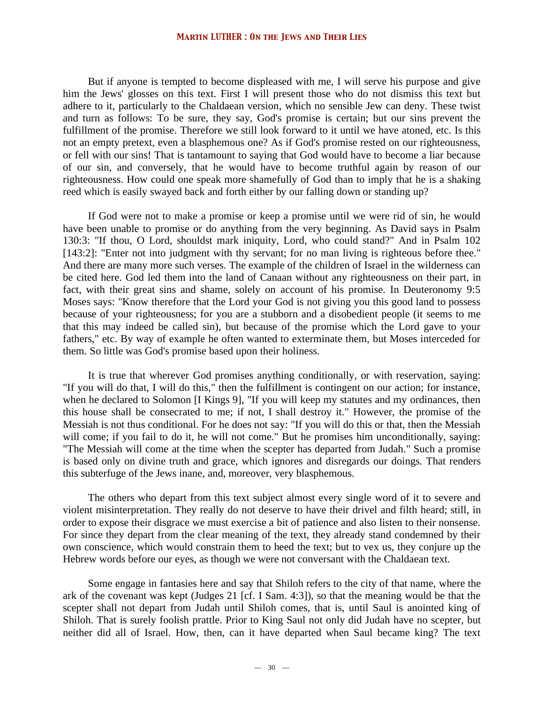But if anyone is tempted to become displeased with me, I will serve his purpose and give him the Jews' glosses on this text. First I will present those who do not dismiss this text but adhere to it, particularly to the Chaldaean version, which no sensible Jew can deny. These twist and turn as follows: To be sure, they say, God's promise is certain; but our sins prevent the fulfillment of the promise. Therefore we still look forward to it until we have atoned, etc. Is this not an empty pretext, even a blasphemous one? As if God's promise rested on our righteousness, or fell with our sins! That is tantamount to saying that God would have to become a liar because of our sin, and conversely, that he would have to become truthful again by reason of our righteousness. How could one speak more shamefully of God than to imply that he is a shaking reed which is easily swayed back and forth either by our falling down or standing up?

If God were not to make a promise or keep a promise until we were rid of sin, he would have been unable to promise or do anything from the very beginning. As David says in Psalm 130:3: "If thou, O Lord, shouldst mark iniquity, Lord, who could stand?" And in Psalm 102 [143:2]: "Enter not into judgment with thy servant; for no man living is righteous before thee." And there are many more such verses. The example of the children of Israel in the wilderness can be cited here. God led them into the land of Canaan without any righteousness on their part, in fact, with their great sins and shame, solely on account of his promise. In Deuteronomy 9:5 Moses says: "Know therefore that the Lord your God is not giving you this good land to possess because of your righteousness; for you are a stubborn and a disobedient people (it seems to me that this may indeed be called sin), but because of the promise which the Lord gave to your fathers," etc. By way of example he often wanted to exterminate them, but Moses interceded for them. So little was God's promise based upon their holiness.

It is true that wherever God promises anything conditionally, or with reservation, saying: "If you will do that, I will do this," then the fulfillment is contingent on our action; for instance, when he declared to Solomon [I Kings 9], "If you will keep my statutes and my ordinances, then this house shall be consecrated to me; if not, I shall destroy it." However, the promise of the Messiah is not thus conditional. For he does not say: "If you will do this or that, then the Messiah will come; if you fail to do it, he will not come." But he promises him unconditionally, saying: "The Messiah will come at the time when the scepter has departed from Judah." Such a promise is based only on divine truth and grace, which ignores and disregards our doings. That renders this subterfuge of the Jews inane, and, moreover, very blasphemous.

The others who depart from this text subject almost every single word of it to severe and violent misinterpretation. They really do not deserve to have their drivel and filth heard; still, in order to expose their disgrace we must exercise a bit of patience and also listen to their nonsense. For since they depart from the clear meaning of the text, they already stand condemned by their own conscience, which would constrain them to heed the text; but to vex us, they conjure up the Hebrew words before our eyes, as though we were not conversant with the Chaldaean text.

Some engage in fantasies here and say that Shiloh refers to the city of that name, where the ark of the covenant was kept (Judges 21 [cf. I Sam. 4:3]), so that the meaning would be that the scepter shall not depart from Judah until Shiloh comes, that is, until Saul is anointed king of Shiloh. That is surely foolish prattle. Prior to King Saul not only did Judah have no scepter, but neither did all of Israel. How, then, can it have departed when Saul became king? The text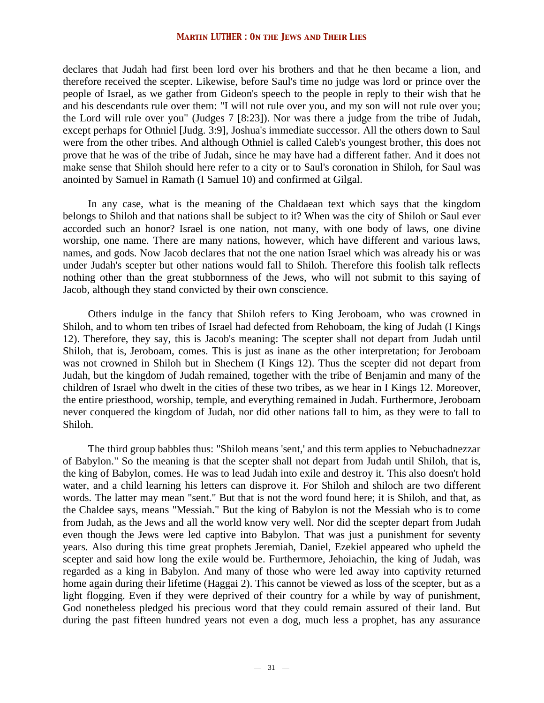declares that Judah had first been lord over his brothers and that he then became a lion, and therefore received the scepter. Likewise, before Saul's time no judge was lord or prince over the people of Israel, as we gather from Gideon's speech to the people in reply to their wish that he and his descendants rule over them: "I will not rule over you, and my son will not rule over you; the Lord will rule over you" (Judges 7 [8:23]). Nor was there a judge from the tribe of Judah, except perhaps for Othniel [Judg. 3:9], Joshua's immediate successor. All the others down to Saul were from the other tribes. And although Othniel is called Caleb's youngest brother, this does not prove that he was of the tribe of Judah, since he may have had a different father. And it does not make sense that Shiloh should here refer to a city or to Saul's coronation in Shiloh, for Saul was anointed by Samuel in Ramath (I Samuel 10) and confirmed at Gilgal.

In any case, what is the meaning of the Chaldaean text which says that the kingdom belongs to Shiloh and that nations shall be subject to it? When was the city of Shiloh or Saul ever accorded such an honor? Israel is one nation, not many, with one body of laws, one divine worship, one name. There are many nations, however, which have different and various laws, names, and gods. Now Jacob declares that not the one nation Israel which was already his or was under Judah's scepter but other nations would fall to Shiloh. Therefore this foolish talk reflects nothing other than the great stubbornness of the Jews, who will not submit to this saying of Jacob, although they stand convicted by their own conscience.

Others indulge in the fancy that Shiloh refers to King Jeroboam, who was crowned in Shiloh, and to whom ten tribes of Israel had defected from Rehoboam, the king of Judah (I Kings 12). Therefore, they say, this is Jacob's meaning: The scepter shall not depart from Judah until Shiloh, that is, Jeroboam, comes. This is just as inane as the other interpretation; for Jeroboam was not crowned in Shiloh but in Shechem (I Kings 12). Thus the scepter did not depart from Judah, but the kingdom of Judah remained, together with the tribe of Benjamin and many of the children of Israel who dwelt in the cities of these two tribes, as we hear in I Kings 12. Moreover, the entire priesthood, worship, temple, and everything remained in Judah. Furthermore, Jeroboam never conquered the kingdom of Judah, nor did other nations fall to him, as they were to fall to Shiloh.

The third group babbles thus: "Shiloh means 'sent,' and this term applies to Nebuchadnezzar of Babylon." So the meaning is that the scepter shall not depart from Judah until Shiloh, that is, the king of Babylon, comes. He was to lead Judah into exile and destroy it. This also doesn't hold water, and a child learning his letters can disprove it. For Shiloh and shiloch are two different words. The latter may mean "sent." But that is not the word found here; it is Shiloh, and that, as the Chaldee says, means "Messiah." But the king of Babylon is not the Messiah who is to come from Judah, as the Jews and all the world know very well. Nor did the scepter depart from Judah even though the Jews were led captive into Babylon. That was just a punishment for seventy years. Also during this time great prophets Jeremiah, Daniel, Ezekiel appeared who upheld the scepter and said how long the exile would be. Furthermore, Jehoiachin, the king of Judah, was regarded as a king in Babylon. And many of those who were led away into captivity returned home again during their lifetime (Haggai 2). This cannot be viewed as loss of the scepter, but as a light flogging. Even if they were deprived of their country for a while by way of punishment, God nonetheless pledged his precious word that they could remain assured of their land. But during the past fifteen hundred years not even a dog, much less a prophet, has any assurance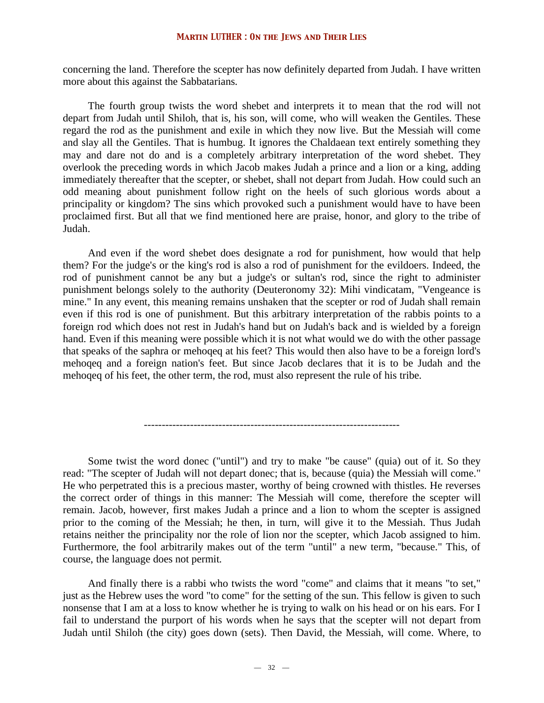concerning the land. Therefore the scepter has now definitely departed from Judah. I have written more about this against the Sabbatarians.

The fourth group twists the word shebet and interprets it to mean that the rod will not depart from Judah until Shiloh, that is, his son, will come, who will weaken the Gentiles. These regard the rod as the punishment and exile in which they now live. But the Messiah will come and slay all the Gentiles. That is humbug. It ignores the Chaldaean text entirely something they may and dare not do and is a completely arbitrary interpretation of the word shebet. They overlook the preceding words in which Jacob makes Judah a prince and a lion or a king, adding immediately thereafter that the scepter, or shebet, shall not depart from Judah. How could such an odd meaning about punishment follow right on the heels of such glorious words about a principality or kingdom? The sins which provoked such a punishment would have to have been proclaimed first. But all that we find mentioned here are praise, honor, and glory to the tribe of Judah.

And even if the word shebet does designate a rod for punishment, how would that help them? For the judge's or the king's rod is also a rod of punishment for the evildoers. Indeed, the rod of punishment cannot be any but a judge's or sultan's rod, since the right to administer punishment belongs solely to the authority (Deuteronomy 32): Mihi vindicatam, "Vengeance is mine." In any event, this meaning remains unshaken that the scepter or rod of Judah shall remain even if this rod is one of punishment. But this arbitrary interpretation of the rabbis points to a foreign rod which does not rest in Judah's hand but on Judah's back and is wielded by a foreign hand. Even if this meaning were possible which it is not what would we do with the other passage that speaks of the saphra or mehoqeq at his feet? This would then also have to be a foreign lord's mehoqeq and a foreign nation's feet. But since Jacob declares that it is to be Judah and the mehoqeq of his feet, the other term, the rod, must also represent the rule of his tribe.

Some twist the word donec ("until") and try to make "be cause" (quia) out of it. So they read: "The scepter of Judah will not depart donec; that is, because (quia) the Messiah will come." He who perpetrated this is a precious master, worthy of being crowned with thistles. He reverses the correct order of things in this manner: The Messiah will come, therefore the scepter will remain. Jacob, however, first makes Judah a prince and a lion to whom the scepter is assigned prior to the coming of the Messiah; he then, in turn, will give it to the Messiah. Thus Judah retains neither the principality nor the role of lion nor the scepter, which Jacob assigned to him. Furthermore, the fool arbitrarily makes out of the term "until" a new term, "because." This, of course, the language does not permit.

------------------------------------------------------------------------

And finally there is a rabbi who twists the word "come" and claims that it means "to set," just as the Hebrew uses the word "to come" for the setting of the sun. This fellow is given to such nonsense that I am at a loss to know whether he is trying to walk on his head or on his ears. For I fail to understand the purport of his words when he says that the scepter will not depart from Judah until Shiloh (the city) goes down (sets). Then David, the Messiah, will come. Where, to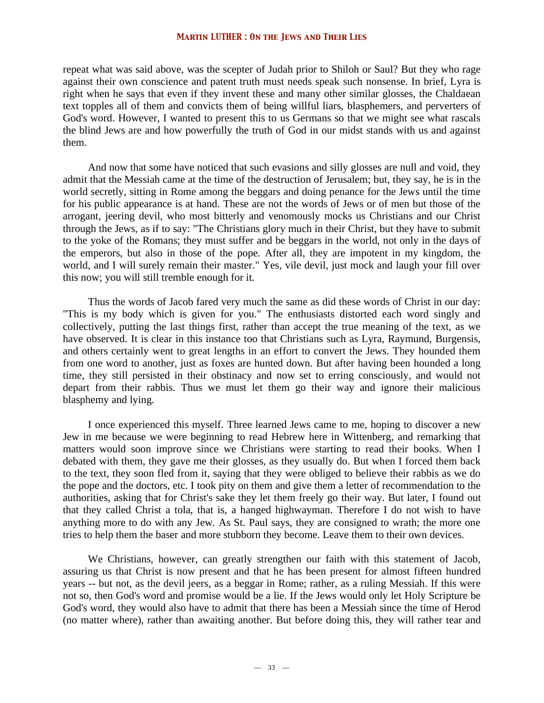repeat what was said above, was the scepter of Judah prior to Shiloh or Saul? But they who rage against their own conscience and patent truth must needs speak such nonsense. In brief, Lyra is right when he says that even if they invent these and many other similar glosses, the Chaldaean text topples all of them and convicts them of being willful liars, blasphemers, and perverters of God's word. However, I wanted to present this to us Germans so that we might see what rascals the blind Jews are and how powerfully the truth of God in our midst stands with us and against them.

And now that some have noticed that such evasions and silly glosses are null and void, they admit that the Messiah came at the time of the destruction of Jerusalem; but, they say, he is in the world secretly, sitting in Rome among the beggars and doing penance for the Jews until the time for his public appearance is at hand. These are not the words of Jews or of men but those of the arrogant, jeering devil, who most bitterly and venomously mocks us Christians and our Christ through the Jews, as if to say: "The Christians glory much in their Christ, but they have to submit to the yoke of the Romans; they must suffer and be beggars in the world, not only in the days of the emperors, but also in those of the pope. After all, they are impotent in my kingdom, the world, and I will surely remain their master." Yes, vile devil, just mock and laugh your fill over this now; you will still tremble enough for it.

Thus the words of Jacob fared very much the same as did these words of Christ in our day: "This is my body which is given for you." The enthusiasts distorted each word singly and collectively, putting the last things first, rather than accept the true meaning of the text, as we have observed. It is clear in this instance too that Christians such as Lyra, Raymund, Burgensis, and others certainly went to great lengths in an effort to convert the Jews. They hounded them from one word to another, just as foxes are hunted down. But after having been hounded a long time, they still persisted in their obstinacy and now set to erring consciously, and would not depart from their rabbis. Thus we must let them go their way and ignore their malicious blasphemy and lying.

I once experienced this myself. Three learned Jews came to me, hoping to discover a new Jew in me because we were beginning to read Hebrew here in Wittenberg, and remarking that matters would soon improve since we Christians were starting to read their books. When I debated with them, they gave me their glosses, as they usually do. But when I forced them back to the text, they soon fled from it, saying that they were obliged to believe their rabbis as we do the pope and the doctors, etc. I took pity on them and give them a letter of recommendation to the authorities, asking that for Christ's sake they let them freely go their way. But later, I found out that they called Christ a tola, that is, a hanged highwayman. Therefore I do not wish to have anything more to do with any Jew. As St. Paul says, they are consigned to wrath; the more one tries to help them the baser and more stubborn they become. Leave them to their own devices.

We Christians, however, can greatly strengthen our faith with this statement of Jacob, assuring us that Christ is now present and that he has been present for almost fifteen hundred years -- but not, as the devil jeers, as a beggar in Rome; rather, as a ruling Messiah. If this were not so, then God's word and promise would be a lie. If the Jews would only let Holy Scripture be God's word, they would also have to admit that there has been a Messiah since the time of Herod (no matter where), rather than awaiting another. But before doing this, they will rather tear and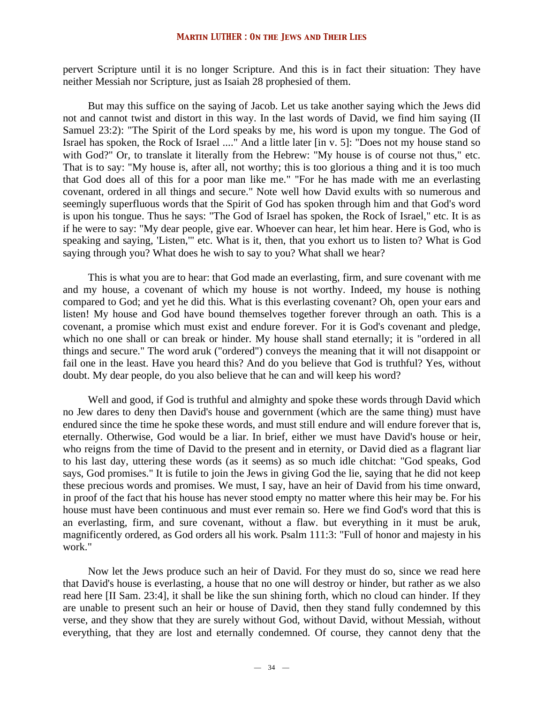pervert Scripture until it is no longer Scripture. And this is in fact their situation: They have neither Messiah nor Scripture, just as Isaiah 28 prophesied of them.

But may this suffice on the saying of Jacob. Let us take another saying which the Jews did not and cannot twist and distort in this way. In the last words of David, we find him saying (II Samuel 23:2): "The Spirit of the Lord speaks by me, his word is upon my tongue. The God of Israel has spoken, the Rock of Israel ...." And a little later [in v. 5]: "Does not my house stand so with God?" Or, to translate it literally from the Hebrew: "My house is of course not thus," etc. That is to say: "My house is, after all, not worthy; this is too glorious a thing and it is too much that God does all of this for a poor man like me." "For he has made with me an everlasting covenant, ordered in all things and secure." Note well how David exults with so numerous and seemingly superfluous words that the Spirit of God has spoken through him and that God's word is upon his tongue. Thus he says: "The God of Israel has spoken, the Rock of Israel," etc. It is as if he were to say: "My dear people, give ear. Whoever can hear, let him hear. Here is God, who is speaking and saying, 'Listen,'" etc. What is it, then, that you exhort us to listen to? What is God saying through you? What does he wish to say to you? What shall we hear?

This is what you are to hear: that God made an everlasting, firm, and sure covenant with me and my house, a covenant of which my house is not worthy. Indeed, my house is nothing compared to God; and yet he did this. What is this everlasting covenant? Oh, open your ears and listen! My house and God have bound themselves together forever through an oath. This is a covenant, a promise which must exist and endure forever. For it is God's covenant and pledge, which no one shall or can break or hinder. My house shall stand eternally; it is "ordered in all things and secure." The word aruk ("ordered") conveys the meaning that it will not disappoint or fail one in the least. Have you heard this? And do you believe that God is truthful? Yes, without doubt. My dear people, do you also believe that he can and will keep his word?

Well and good, if God is truthful and almighty and spoke these words through David which no Jew dares to deny then David's house and government (which are the same thing) must have endured since the time he spoke these words, and must still endure and will endure forever that is, eternally. Otherwise, God would be a liar. In brief, either we must have David's house or heir, who reigns from the time of David to the present and in eternity, or David died as a flagrant liar to his last day, uttering these words (as it seems) as so much idle chitchat: "God speaks, God says, God promises." It is futile to join the Jews in giving God the lie, saying that he did not keep these precious words and promises. We must, I say, have an heir of David from his time onward, in proof of the fact that his house has never stood empty no matter where this heir may be. For his house must have been continuous and must ever remain so. Here we find God's word that this is an everlasting, firm, and sure covenant, without a flaw. but everything in it must be aruk, magnificently ordered, as God orders all his work. Psalm 111:3: "Full of honor and majesty in his work."

Now let the Jews produce such an heir of David. For they must do so, since we read here that David's house is everlasting, a house that no one will destroy or hinder, but rather as we also read here [II Sam. 23:4], it shall be like the sun shining forth, which no cloud can hinder. If they are unable to present such an heir or house of David, then they stand fully condemned by this verse, and they show that they are surely without God, without David, without Messiah, without everything, that they are lost and eternally condemned. Of course, they cannot deny that the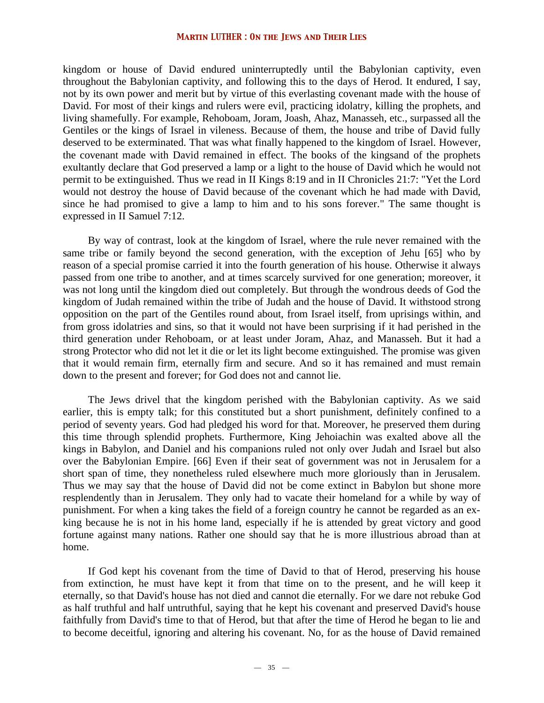kingdom or house of David endured uninterruptedly until the Babylonian captivity, even throughout the Babylonian captivity, and following this to the days of Herod. It endured, I say, not by its own power and merit but by virtue of this everlasting covenant made with the house of David. For most of their kings and rulers were evil, practicing idolatry, killing the prophets, and living shamefully. For example, Rehoboam, Joram, Joash, Ahaz, Manasseh, etc., surpassed all the Gentiles or the kings of Israel in vileness. Because of them, the house and tribe of David fully deserved to be exterminated. That was what finally happened to the kingdom of Israel. However, the covenant made with David remained in effect. The books of the kingsand of the prophets exultantly declare that God preserved a lamp or a light to the house of David which he would not permit to be extinguished. Thus we read in II Kings 8:19 and in II Chronicles 21:7: "Yet the Lord would not destroy the house of David because of the covenant which he had made with David, since he had promised to give a lamp to him and to his sons forever." The same thought is expressed in II Samuel 7:12.

By way of contrast, look at the kingdom of Israel, where the rule never remained with the same tribe or family beyond the second generation, with the exception of Jehu [65] who by reason of a special promise carried it into the fourth generation of his house. Otherwise it always passed from one tribe to another, and at times scarcely survived for one generation; moreover, it was not long until the kingdom died out completely. But through the wondrous deeds of God the kingdom of Judah remained within the tribe of Judah and the house of David. It withstood strong opposition on the part of the Gentiles round about, from Israel itself, from uprisings within, and from gross idolatries and sins, so that it would not have been surprising if it had perished in the third generation under Rehoboam, or at least under Joram, Ahaz, and Manasseh. But it had a strong Protector who did not let it die or let its light become extinguished. The promise was given that it would remain firm, eternally firm and secure. And so it has remained and must remain down to the present and forever; for God does not and cannot lie.

The Jews drivel that the kingdom perished with the Babylonian captivity. As we said earlier, this is empty talk; for this constituted but a short punishment, definitely confined to a period of seventy years. God had pledged his word for that. Moreover, he preserved them during this time through splendid prophets. Furthermore, King Jehoiachin was exalted above all the kings in Babylon, and Daniel and his companions ruled not only over Judah and Israel but also over the Babylonian Empire. [66] Even if their seat of government was not in Jerusalem for a short span of time, they nonetheless ruled elsewhere much more gloriously than in Jerusalem. Thus we may say that the house of David did not be come extinct in Babylon but shone more resplendently than in Jerusalem. They only had to vacate their homeland for a while by way of punishment. For when a king takes the field of a foreign country he cannot be regarded as an exking because he is not in his home land, especially if he is attended by great victory and good fortune against many nations. Rather one should say that he is more illustrious abroad than at home.

If God kept his covenant from the time of David to that of Herod, preserving his house from extinction, he must have kept it from that time on to the present, and he will keep it eternally, so that David's house has not died and cannot die eternally. For we dare not rebuke God as half truthful and half untruthful, saying that he kept his covenant and preserved David's house faithfully from David's time to that of Herod, but that after the time of Herod he began to lie and to become deceitful, ignoring and altering his covenant. No, for as the house of David remained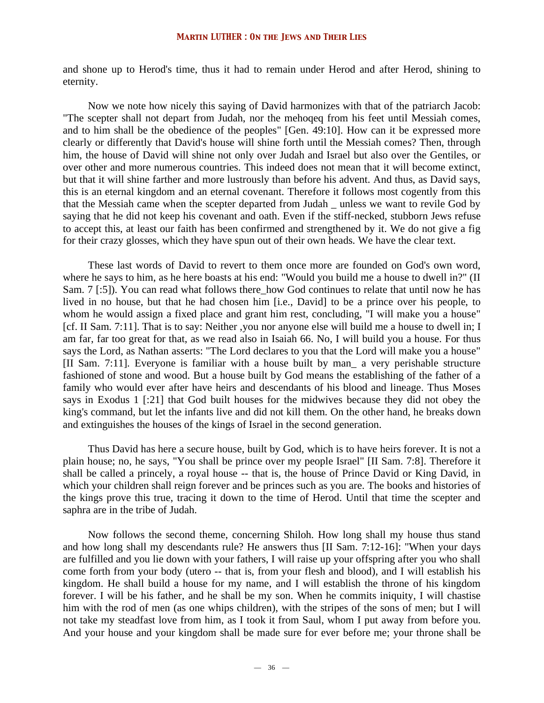and shone up to Herod's time, thus it had to remain under Herod and after Herod, shining to eternity.

Now we note how nicely this saying of David harmonizes with that of the patriarch Jacob: "The scepter shall not depart from Judah, nor the mehoqeq from his feet until Messiah comes, and to him shall be the obedience of the peoples" [Gen. 49:10]. How can it be expressed more clearly or differently that David's house will shine forth until the Messiah comes? Then, through him, the house of David will shine not only over Judah and Israel but also over the Gentiles, or over other and more numerous countries. This indeed does not mean that it will become extinct, but that it will shine farther and more lustrously than before his advent. And thus, as David says, this is an eternal kingdom and an eternal covenant. Therefore it follows most cogently from this that the Messiah came when the scepter departed from Judah \_ unless we want to revile God by saying that he did not keep his covenant and oath. Even if the stiff-necked, stubborn Jews refuse to accept this, at least our faith has been confirmed and strengthened by it. We do not give a fig for their crazy glosses, which they have spun out of their own heads. We have the clear text.

These last words of David to revert to them once more are founded on God's own word, where he says to him, as he here boasts at his end: "Would you build me a house to dwell in?" (II Sam. 7 [:5]). You can read what follows there\_how God continues to relate that until now he has lived in no house, but that he had chosen him [i.e., David] to be a prince over his people, to whom he would assign a fixed place and grant him rest, concluding, "I will make you a house" [cf. II Sam. 7:11]. That is to say: Neither ,you nor anyone else will build me a house to dwell in; I am far, far too great for that, as we read also in Isaiah 66. No, I will build you a house. For thus says the Lord, as Nathan asserts: "The Lord declares to you that the Lord will make you a house" [II Sam. 7:11]. Everyone is familiar with a house built by man\_ a very perishable structure fashioned of stone and wood. But a house built by God means the establishing of the father of a family who would ever after have heirs and descendants of his blood and lineage. Thus Moses says in Exodus 1 [:21] that God built houses for the midwives because they did not obey the king's command, but let the infants live and did not kill them. On the other hand, he breaks down and extinguishes the houses of the kings of Israel in the second generation.

Thus David has here a secure house, built by God, which is to have heirs forever. It is not a plain house; no, he says, "You shall be prince over my people Israel" [II Sam. 7:8]. Therefore it shall be called a princely, a royal house -- that is, the house of Prince David or King David, in which your children shall reign forever and be princes such as you are. The books and histories of the kings prove this true, tracing it down to the time of Herod. Until that time the scepter and saphra are in the tribe of Judah.

Now follows the second theme, concerning Shiloh. How long shall my house thus stand and how long shall my descendants rule? He answers thus [II Sam. 7:12-16]: "When your days are fulfilled and you lie down with your fathers, I will raise up your offspring after you who shall come forth from your body (utero -- that is, from your flesh and blood), and I will establish his kingdom. He shall build a house for my name, and I will establish the throne of his kingdom forever. I will be his father, and he shall be my son. When he commits iniquity, I will chastise him with the rod of men (as one whips children), with the stripes of the sons of men; but I will not take my steadfast love from him, as I took it from Saul, whom I put away from before you. And your house and your kingdom shall be made sure for ever before me; your throne shall be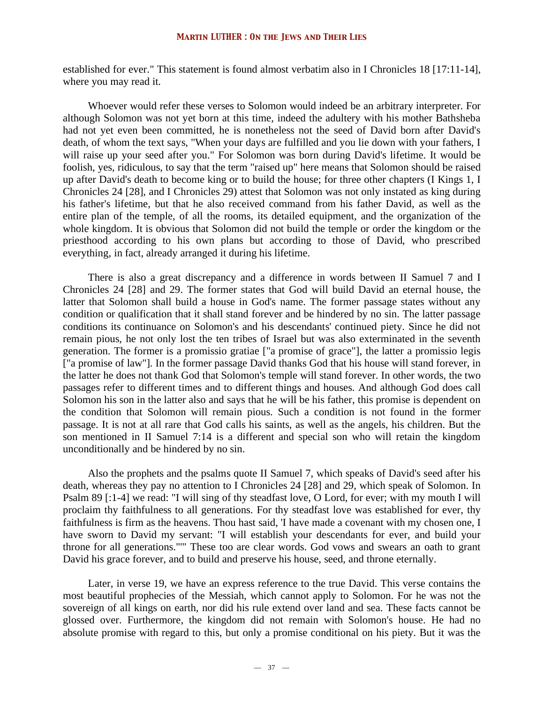established for ever." This statement is found almost verbatim also in I Chronicles 18 [17:11-14], where you may read it.

Whoever would refer these verses to Solomon would indeed be an arbitrary interpreter. For although Solomon was not yet born at this time, indeed the adultery with his mother Bathsheba had not yet even been committed, he is nonetheless not the seed of David born after David's death, of whom the text says, "When your days are fulfilled and you lie down with your fathers, I will raise up your seed after you." For Solomon was born during David's lifetime. It would be foolish, yes, ridiculous, to say that the term "raised up" here means that Solomon should be raised up after David's death to become king or to build the house; for three other chapters (I Kings 1, I Chronicles 24 [28], and I Chronicles 29) attest that Solomon was not only instated as king during his father's lifetime, but that he also received command from his father David, as well as the entire plan of the temple, of all the rooms, its detailed equipment, and the organization of the whole kingdom. It is obvious that Solomon did not build the temple or order the kingdom or the priesthood according to his own plans but according to those of David, who prescribed everything, in fact, already arranged it during his lifetime.

There is also a great discrepancy and a difference in words between II Samuel 7 and I Chronicles 24 [28] and 29. The former states that God will build David an eternal house, the latter that Solomon shall build a house in God's name. The former passage states without any condition or qualification that it shall stand forever and be hindered by no sin. The latter passage conditions its continuance on Solomon's and his descendants' continued piety. Since he did not remain pious, he not only lost the ten tribes of Israel but was also exterminated in the seventh generation. The former is a promissio gratiae ["a promise of grace"], the latter a promissio legis ["a promise of law"]. In the former passage David thanks God that his house will stand forever, in the latter he does not thank God that Solomon's temple will stand forever. In other words, the two passages refer to different times and to different things and houses. And although God does call Solomon his son in the latter also and says that he will be his father, this promise is dependent on the condition that Solomon will remain pious. Such a condition is not found in the former passage. It is not at all rare that God calls his saints, as well as the angels, his children. But the son mentioned in II Samuel 7:14 is a different and special son who will retain the kingdom unconditionally and be hindered by no sin.

Also the prophets and the psalms quote II Samuel 7, which speaks of David's seed after his death, whereas they pay no attention to I Chronicles 24 [28] and 29, which speak of Solomon. In Psalm 89 [:1-4] we read: "I will sing of thy steadfast love, O Lord, for ever; with my mouth I will proclaim thy faithfulness to all generations. For thy steadfast love was established for ever, thy faithfulness is firm as the heavens. Thou hast said, 'I have made a covenant with my chosen one, I have sworn to David my servant: "I will establish your descendants for ever, and build your throne for all generations."'" These too are clear words. God vows and swears an oath to grant David his grace forever, and to build and preserve his house, seed, and throne eternally.

Later, in verse 19, we have an express reference to the true David. This verse contains the most beautiful prophecies of the Messiah, which cannot apply to Solomon. For he was not the sovereign of all kings on earth, nor did his rule extend over land and sea. These facts cannot be glossed over. Furthermore, the kingdom did not remain with Solomon's house. He had no absolute promise with regard to this, but only a promise conditional on his piety. But it was the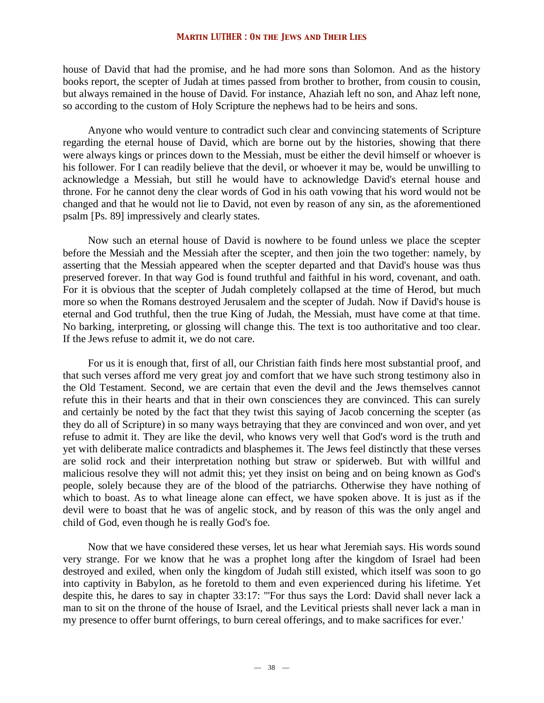house of David that had the promise, and he had more sons than Solomon. And as the history books report, the scepter of Judah at times passed from brother to brother, from cousin to cousin, but always remained in the house of David. For instance, Ahaziah left no son, and Ahaz left none, so according to the custom of Holy Scripture the nephews had to be heirs and sons.

Anyone who would venture to contradict such clear and convincing statements of Scripture regarding the eternal house of David, which are borne out by the histories, showing that there were always kings or princes down to the Messiah, must be either the devil himself or whoever is his follower. For I can readily believe that the devil, or whoever it may be, would be unwilling to acknowledge a Messiah, but still he would have to acknowledge David's eternal house and throne. For he cannot deny the clear words of God in his oath vowing that his word would not be changed and that he would not lie to David, not even by reason of any sin, as the aforementioned psalm [Ps. 89] impressively and clearly states.

Now such an eternal house of David is nowhere to be found unless we place the scepter before the Messiah and the Messiah after the scepter, and then join the two together: namely, by asserting that the Messiah appeared when the scepter departed and that David's house was thus preserved forever. In that way God is found truthful and faithful in his word, covenant, and oath. For it is obvious that the scepter of Judah completely collapsed at the time of Herod, but much more so when the Romans destroyed Jerusalem and the scepter of Judah. Now if David's house is eternal and God truthful, then the true King of Judah, the Messiah, must have come at that time. No barking, interpreting, or glossing will change this. The text is too authoritative and too clear. If the Jews refuse to admit it, we do not care.

For us it is enough that, first of all, our Christian faith finds here most substantial proof, and that such verses afford me very great joy and comfort that we have such strong testimony also in the Old Testament. Second, we are certain that even the devil and the Jews themselves cannot refute this in their hearts and that in their own consciences they are convinced. This can surely and certainly be noted by the fact that they twist this saying of Jacob concerning the scepter (as they do all of Scripture) in so many ways betraying that they are convinced and won over, and yet refuse to admit it. They are like the devil, who knows very well that God's word is the truth and yet with deliberate malice contradicts and blasphemes it. The Jews feel distinctly that these verses are solid rock and their interpretation nothing but straw or spiderweb. But with willful and malicious resolve they will not admit this; yet they insist on being and on being known as God's people, solely because they are of the blood of the patriarchs. Otherwise they have nothing of which to boast. As to what lineage alone can effect, we have spoken above. It is just as if the devil were to boast that he was of angelic stock, and by reason of this was the only angel and child of God, even though he is really God's foe.

Now that we have considered these verses, let us hear what Jeremiah says. His words sound very strange. For we know that he was a prophet long after the kingdom of Israel had been destroyed and exiled, when only the kingdom of Judah still existed, which itself was soon to go into captivity in Babylon, as he foretold to them and even experienced during his lifetime. Yet despite this, he dares to say in chapter 33:17: "'For thus says the Lord: David shall never lack a man to sit on the throne of the house of Israel, and the Levitical priests shall never lack a man in my presence to offer burnt offerings, to burn cereal offerings, and to make sacrifices for ever.'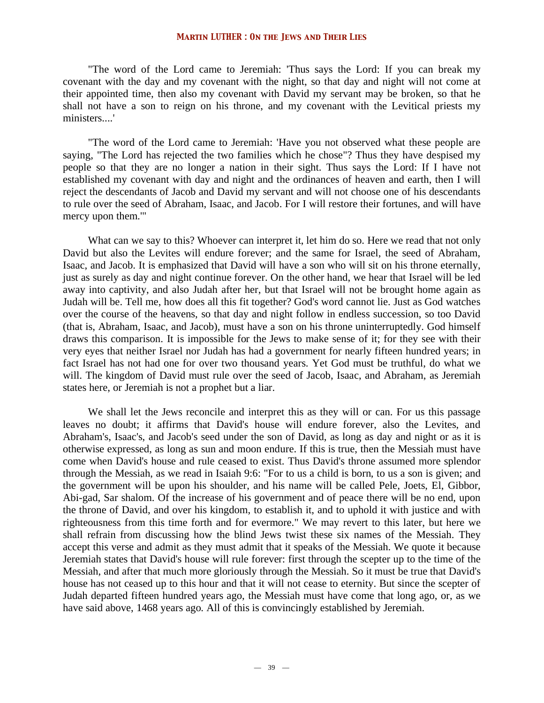"The word of the Lord came to Jeremiah: 'Thus says the Lord: If you can break my covenant with the day and my covenant with the night, so that day and night will not come at their appointed time, then also my covenant with David my servant may be broken, so that he shall not have a son to reign on his throne, and my covenant with the Levitical priests my ministers....'

"The word of the Lord came to Jeremiah: 'Have you not observed what these people are saying, "The Lord has rejected the two families which he chose"? Thus they have despised my people so that they are no longer a nation in their sight. Thus says the Lord: If I have not established my covenant with day and night and the ordinances of heaven and earth, then I will reject the descendants of Jacob and David my servant and will not choose one of his descendants to rule over the seed of Abraham, Isaac, and Jacob. For I will restore their fortunes, and will have mercy upon them.'"

What can we say to this? Whoever can interpret it, let him do so. Here we read that not only David but also the Levites will endure forever; and the same for Israel, the seed of Abraham, Isaac, and Jacob. It is emphasized that David will have a son who will sit on his throne eternally, just as surely as day and night continue forever. On the other hand, we hear that Israel will be led away into captivity, and also Judah after her, but that Israel will not be brought home again as Judah will be. Tell me, how does all this fit together? God's word cannot lie. Just as God watches over the course of the heavens, so that day and night follow in endless succession, so too David (that is, Abraham, Isaac, and Jacob), must have a son on his throne uninterruptedly. God himself draws this comparison. It is impossible for the Jews to make sense of it; for they see with their very eyes that neither Israel nor Judah has had a government for nearly fifteen hundred years; in fact Israel has not had one for over two thousand years. Yet God must be truthful, do what we will. The kingdom of David must rule over the seed of Jacob, Isaac, and Abraham, as Jeremiah states here, or Jeremiah is not a prophet but a liar.

We shall let the Jews reconcile and interpret this as they will or can. For us this passage leaves no doubt; it affirms that David's house will endure forever, also the Levites, and Abraham's, Isaac's, and Jacob's seed under the son of David, as long as day and night or as it is otherwise expressed, as long as sun and moon endure. If this is true, then the Messiah must have come when David's house and rule ceased to exist. Thus David's throne assumed more splendor through the Messiah, as we read in Isaiah 9:6: "For to us a child is born, to us a son is given; and the government will be upon his shoulder, and his name will be called Pele, Joets, El, Gibbor, Abi-gad, Sar shalom. Of the increase of his government and of peace there will be no end, upon the throne of David, and over his kingdom, to establish it, and to uphold it with justice and with righteousness from this time forth and for evermore." We may revert to this later, but here we shall refrain from discussing how the blind Jews twist these six names of the Messiah. They accept this verse and admit as they must admit that it speaks of the Messiah. We quote it because Jeremiah states that David's house will rule forever: first through the scepter up to the time of the Messiah, and after that much more gloriously through the Messiah. So it must be true that David's house has not ceased up to this hour and that it will not cease to eternity. But since the scepter of Judah departed fifteen hundred years ago, the Messiah must have come that long ago, or, as we have said above, 1468 years ago. All of this is convincingly established by Jeremiah.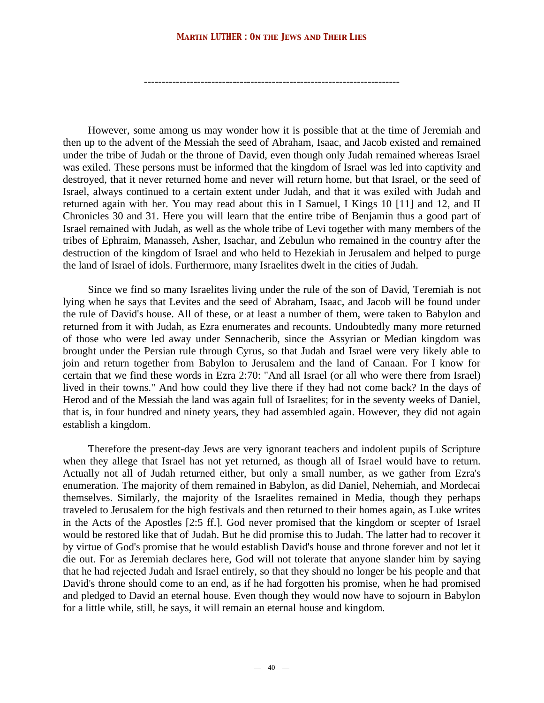------------------------------------------------------------------------

However, some among us may wonder how it is possible that at the time of Jeremiah and then up to the advent of the Messiah the seed of Abraham, Isaac, and Jacob existed and remained under the tribe of Judah or the throne of David, even though only Judah remained whereas Israel was exiled. These persons must be informed that the kingdom of Israel was led into captivity and destroyed, that it never returned home and never will return home, but that Israel, or the seed of Israel, always continued to a certain extent under Judah, and that it was exiled with Judah and returned again with her. You may read about this in I Samuel, I Kings 10 [11] and 12, and II Chronicles 30 and 31. Here you will learn that the entire tribe of Benjamin thus a good part of Israel remained with Judah, as well as the whole tribe of Levi together with many members of the tribes of Ephraim, Manasseh, Asher, Isachar, and Zebulun who remained in the country after the destruction of the kingdom of Israel and who held to Hezekiah in Jerusalem and helped to purge the land of Israel of idols. Furthermore, many Israelites dwelt in the cities of Judah.

Since we find so many Israelites living under the rule of the son of David, Teremiah is not lying when he says that Levites and the seed of Abraham, Isaac, and Jacob will be found under the rule of David's house. All of these, or at least a number of them, were taken to Babylon and returned from it with Judah, as Ezra enumerates and recounts. Undoubtedly many more returned of those who were led away under Sennacherib, since the Assyrian or Median kingdom was brought under the Persian rule through Cyrus, so that Judah and Israel were very likely able to join and return together from Babylon to Jerusalem and the land of Canaan. For I know for certain that we find these words in Ezra 2:70: "And all Israel (or all who were there from Israel) lived in their towns." And how could they live there if they had not come back? In the days of Herod and of the Messiah the land was again full of Israelites; for in the seventy weeks of Daniel, that is, in four hundred and ninety years, they had assembled again. However, they did not again establish a kingdom.

Therefore the present-day Jews are very ignorant teachers and indolent pupils of Scripture when they allege that Israel has not yet returned, as though all of Israel would have to return. Actually not all of Judah returned either, but only a small number, as we gather from Ezra's enumeration. The majority of them remained in Babylon, as did Daniel, Nehemiah, and Mordecai themselves. Similarly, the majority of the Israelites remained in Media, though they perhaps traveled to Jerusalem for the high festivals and then returned to their homes again, as Luke writes in the Acts of the Apostles [2:5 ff.]. God never promised that the kingdom or scepter of Israel would be restored like that of Judah. But he did promise this to Judah. The latter had to recover it by virtue of God's promise that he would establish David's house and throne forever and not let it die out. For as Jeremiah declares here, God will not tolerate that anyone slander him by saying that he had rejected Judah and Israel entirely, so that they should no longer be his people and that David's throne should come to an end, as if he had forgotten his promise, when he had promised and pledged to David an eternal house. Even though they would now have to sojourn in Babylon for a little while, still, he says, it will remain an eternal house and kingdom.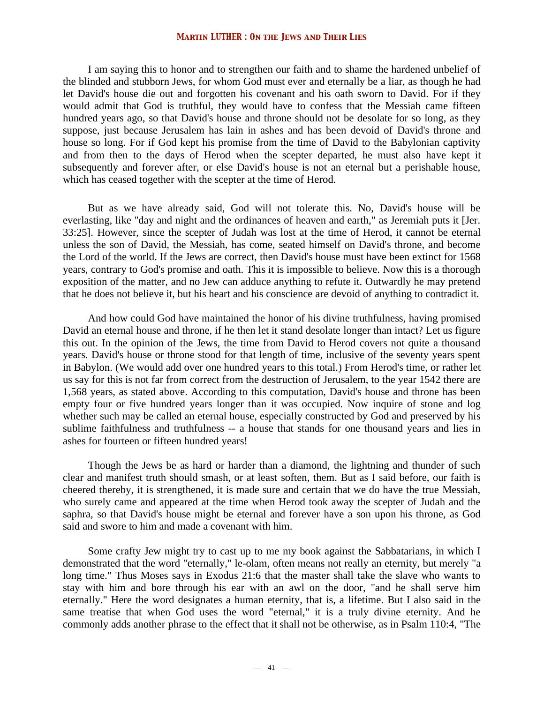I am saying this to honor and to strengthen our faith and to shame the hardened unbelief of the blinded and stubborn Jews, for whom God must ever and eternally be a liar, as though he had let David's house die out and forgotten his covenant and his oath sworn to David. For if they would admit that God is truthful, they would have to confess that the Messiah came fifteen hundred years ago, so that David's house and throne should not be desolate for so long, as they suppose, just because Jerusalem has lain in ashes and has been devoid of David's throne and house so long. For if God kept his promise from the time of David to the Babylonian captivity and from then to the days of Herod when the scepter departed, he must also have kept it subsequently and forever after, or else David's house is not an eternal but a perishable house, which has ceased together with the scepter at the time of Herod.

But as we have already said, God will not tolerate this. No, David's house will be everlasting, like "day and night and the ordinances of heaven and earth," as Jeremiah puts it [Jer. 33:25]. However, since the scepter of Judah was lost at the time of Herod, it cannot be eternal unless the son of David, the Messiah, has come, seated himself on David's throne, and become the Lord of the world. If the Jews are correct, then David's house must have been extinct for 1568 years, contrary to God's promise and oath. This it is impossible to believe. Now this is a thorough exposition of the matter, and no Jew can adduce anything to refute it. Outwardly he may pretend that he does not believe it, but his heart and his conscience are devoid of anything to contradict it.

And how could God have maintained the honor of his divine truthfulness, having promised David an eternal house and throne, if he then let it stand desolate longer than intact? Let us figure this out. In the opinion of the Jews, the time from David to Herod covers not quite a thousand years. David's house or throne stood for that length of time, inclusive of the seventy years spent in Babylon. (We would add over one hundred years to this total.) From Herod's time, or rather let us say for this is not far from correct from the destruction of Jerusalem, to the year 1542 there are 1,568 years, as stated above. According to this computation, David's house and throne has been empty four or five hundred years longer than it was occupied. Now inquire of stone and log whether such may be called an eternal house, especially constructed by God and preserved by his sublime faithfulness and truthfulness -- a house that stands for one thousand years and lies in ashes for fourteen or fifteen hundred years!

Though the Jews be as hard or harder than a diamond, the lightning and thunder of such clear and manifest truth should smash, or at least soften, them. But as I said before, our faith is cheered thereby, it is strengthened, it is made sure and certain that we do have the true Messiah, who surely came and appeared at the time when Herod took away the scepter of Judah and the saphra, so that David's house might be eternal and forever have a son upon his throne, as God said and swore to him and made a covenant with him.

Some crafty Jew might try to cast up to me my book against the Sabbatarians, in which I demonstrated that the word "eternally," le-olam, often means not really an eternity, but merely "a long time." Thus Moses says in Exodus 21:6 that the master shall take the slave who wants to stay with him and bore through his ear with an awl on the door, "and he shall serve him eternally." Here the word designates a human eternity, that is, a lifetime. But I also said in the same treatise that when God uses the word "eternal," it is a truly divine eternity. And he commonly adds another phrase to the effect that it shall not be otherwise, as in Psalm 110:4, "The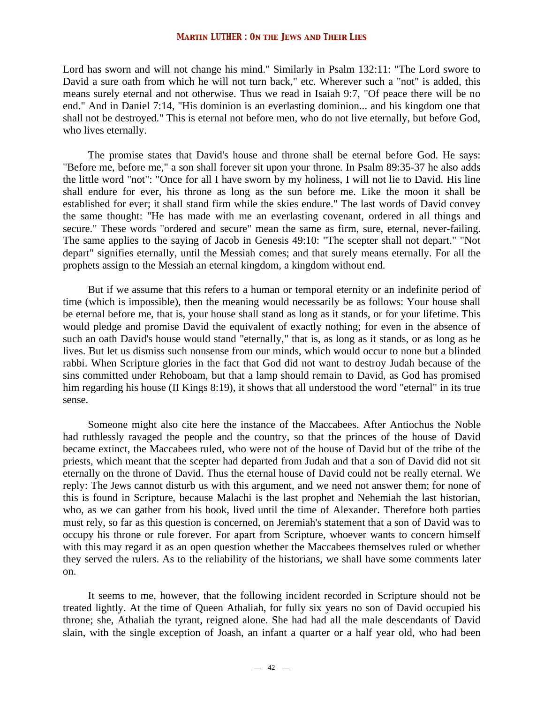Lord has sworn and will not change his mind." Similarly in Psalm 132:11: "The Lord swore to David a sure oath from which he will not turn back," etc. Wherever such a "not" is added, this means surely eternal and not otherwise. Thus we read in Isaiah 9:7, "Of peace there will be no end." And in Daniel 7:14, "His dominion is an everlasting dominion... and his kingdom one that shall not be destroyed." This is eternal not before men, who do not live eternally, but before God, who lives eternally.

The promise states that David's house and throne shall be eternal before God. He says: "Before me, before me," a son shall forever sit upon your throne. In Psalm 89:35-37 he also adds the little word "not": "Once for all I have sworn by my holiness, I will not lie to David. His line shall endure for ever, his throne as long as the sun before me. Like the moon it shall be established for ever; it shall stand firm while the skies endure." The last words of David convey the same thought: "He has made with me an everlasting covenant, ordered in all things and secure." These words "ordered and secure" mean the same as firm, sure, eternal, never-failing. The same applies to the saying of Jacob in Genesis 49:10: "The scepter shall not depart." "Not depart" signifies eternally, until the Messiah comes; and that surely means eternally. For all the prophets assign to the Messiah an eternal kingdom, a kingdom without end.

But if we assume that this refers to a human or temporal eternity or an indefinite period of time (which is impossible), then the meaning would necessarily be as follows: Your house shall be eternal before me, that is, your house shall stand as long as it stands, or for your lifetime. This would pledge and promise David the equivalent of exactly nothing; for even in the absence of such an oath David's house would stand "eternally," that is, as long as it stands, or as long as he lives. But let us dismiss such nonsense from our minds, which would occur to none but a blinded rabbi. When Scripture glories in the fact that God did not want to destroy Judah because of the sins committed under Rehoboam, but that a lamp should remain to David, as God has promised him regarding his house (II Kings 8:19), it shows that all understood the word "eternal" in its true sense.

Someone might also cite here the instance of the Maccabees. After Antiochus the Noble had ruthlessly ravaged the people and the country, so that the princes of the house of David became extinct, the Maccabees ruled, who were not of the house of David but of the tribe of the priests, which meant that the scepter had departed from Judah and that a son of David did not sit eternally on the throne of David. Thus the eternal house of David could not be really eternal. We reply: The Jews cannot disturb us with this argument, and we need not answer them; for none of this is found in Scripture, because Malachi is the last prophet and Nehemiah the last historian, who, as we can gather from his book, lived until the time of Alexander. Therefore both parties must rely, so far as this question is concerned, on Jeremiah's statement that a son of David was to occupy his throne or rule forever. For apart from Scripture, whoever wants to concern himself with this may regard it as an open question whether the Maccabees themselves ruled or whether they served the rulers. As to the reliability of the historians, we shall have some comments later on.

It seems to me, however, that the following incident recorded in Scripture should not be treated lightly. At the time of Queen Athaliah, for fully six years no son of David occupied his throne; she, Athaliah the tyrant, reigned alone. She had had all the male descendants of David slain, with the single exception of Joash, an infant a quarter or a half year old, who had been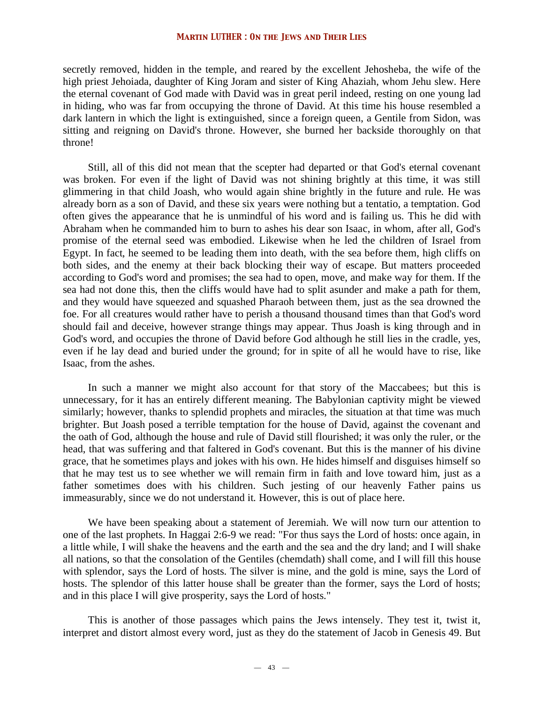secretly removed, hidden in the temple, and reared by the excellent Jehosheba, the wife of the high priest Jehoiada, daughter of King Joram and sister of King Ahaziah, whom Jehu slew. Here the eternal covenant of God made with David was in great peril indeed, resting on one young lad in hiding, who was far from occupying the throne of David. At this time his house resembled a dark lantern in which the light is extinguished, since a foreign queen, a Gentile from Sidon, was sitting and reigning on David's throne. However, she burned her backside thoroughly on that throne!

Still, all of this did not mean that the scepter had departed or that God's eternal covenant was broken. For even if the light of David was not shining brightly at this time, it was still glimmering in that child Joash, who would again shine brightly in the future and rule. He was already born as a son of David, and these six years were nothing but a tentatio, a temptation. God often gives the appearance that he is unmindful of his word and is failing us. This he did with Abraham when he commanded him to burn to ashes his dear son Isaac, in whom, after all, God's promise of the eternal seed was embodied. Likewise when he led the children of Israel from Egypt. In fact, he seemed to be leading them into death, with the sea before them, high cliffs on both sides, and the enemy at their back blocking their way of escape. But matters proceeded according to God's word and promises; the sea had to open, move, and make way for them. If the sea had not done this, then the cliffs would have had to split asunder and make a path for them, and they would have squeezed and squashed Pharaoh between them, just as the sea drowned the foe. For all creatures would rather have to perish a thousand thousand times than that God's word should fail and deceive, however strange things may appear. Thus Joash is king through and in God's word, and occupies the throne of David before God although he still lies in the cradle, yes, even if he lay dead and buried under the ground; for in spite of all he would have to rise, like Isaac, from the ashes.

In such a manner we might also account for that story of the Maccabees; but this is unnecessary, for it has an entirely different meaning. The Babylonian captivity might be viewed similarly; however, thanks to splendid prophets and miracles, the situation at that time was much brighter. But Joash posed a terrible temptation for the house of David, against the covenant and the oath of God, although the house and rule of David still flourished; it was only the ruler, or the head, that was suffering and that faltered in God's covenant. But this is the manner of his divine grace, that he sometimes plays and jokes with his own. He hides himself and disguises himself so that he may test us to see whether we will remain firm in faith and love toward him, just as a father sometimes does with his children. Such jesting of our heavenly Father pains us immeasurably, since we do not understand it. However, this is out of place here.

We have been speaking about a statement of Jeremiah. We will now turn our attention to one of the last prophets. In Haggai 2:6-9 we read: "For thus says the Lord of hosts: once again, in a little while, I will shake the heavens and the earth and the sea and the dry land; and I will shake all nations, so that the consolation of the Gentiles (chemdath) shall come, and I will fill this house with splendor, says the Lord of hosts. The silver is mine, and the gold is mine, says the Lord of hosts. The splendor of this latter house shall be greater than the former, says the Lord of hosts; and in this place I will give prosperity, says the Lord of hosts."

This is another of those passages which pains the Jews intensely. They test it, twist it, interpret and distort almost every word, just as they do the statement of Jacob in Genesis 49. But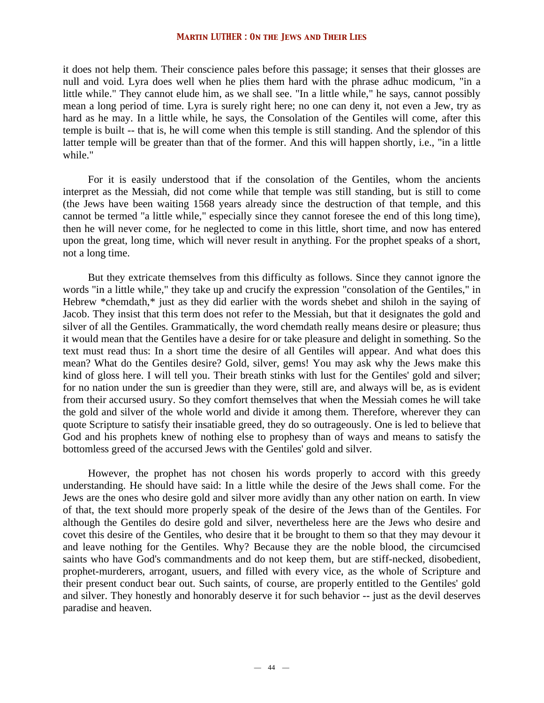it does not help them. Their conscience pales before this passage; it senses that their glosses are null and void. Lyra does well when he plies them hard with the phrase adhuc modicum, "in a little while." They cannot elude him, as we shall see. "In a little while," he says, cannot possibly mean a long period of time. Lyra is surely right here; no one can deny it, not even a Jew, try as hard as he may. In a little while, he says, the Consolation of the Gentiles will come, after this temple is built -- that is, he will come when this temple is still standing. And the splendor of this latter temple will be greater than that of the former. And this will happen shortly, i.e., "in a little while."

For it is easily understood that if the consolation of the Gentiles, whom the ancients interpret as the Messiah, did not come while that temple was still standing, but is still to come (the Jews have been waiting 1568 years already since the destruction of that temple, and this cannot be termed "a little while," especially since they cannot foresee the end of this long time), then he will never come, for he neglected to come in this little, short time, and now has entered upon the great, long time, which will never result in anything. For the prophet speaks of a short, not a long time.

But they extricate themselves from this difficulty as follows. Since they cannot ignore the words "in a little while," they take up and crucify the expression "consolation of the Gentiles," in Hebrew \*chemdath,\* just as they did earlier with the words shebet and shiloh in the saying of Jacob. They insist that this term does not refer to the Messiah, but that it designates the gold and silver of all the Gentiles. Grammatically, the word chemdath really means desire or pleasure; thus it would mean that the Gentiles have a desire for or take pleasure and delight in something. So the text must read thus: In a short time the desire of all Gentiles will appear. And what does this mean? What do the Gentiles desire? Gold, silver, gems! You may ask why the Jews make this kind of gloss here. I will tell you. Their breath stinks with lust for the Gentiles' gold and silver; for no nation under the sun is greedier than they were, still are, and always will be, as is evident from their accursed usury. So they comfort themselves that when the Messiah comes he will take the gold and silver of the whole world and divide it among them. Therefore, wherever they can quote Scripture to satisfy their insatiable greed, they do so outrageously. One is led to believe that God and his prophets knew of nothing else to prophesy than of ways and means to satisfy the bottomless greed of the accursed Jews with the Gentiles' gold and silver.

However, the prophet has not chosen his words properly to accord with this greedy understanding. He should have said: In a little while the desire of the Jews shall come. For the Jews are the ones who desire gold and silver more avidly than any other nation on earth. In view of that, the text should more properly speak of the desire of the Jews than of the Gentiles. For although the Gentiles do desire gold and silver, nevertheless here are the Jews who desire and covet this desire of the Gentiles, who desire that it be brought to them so that they may devour it and leave nothing for the Gentiles. Why? Because they are the noble blood, the circumcised saints who have God's commandments and do not keep them, but are stiff-necked, disobedient, prophet-murderers, arrogant, usuers, and filled with every vice, as the whole of Scripture and their present conduct bear out. Such saints, of course, are properly entitled to the Gentiles' gold and silver. They honestly and honorably deserve it for such behavior -- just as the devil deserves paradise and heaven.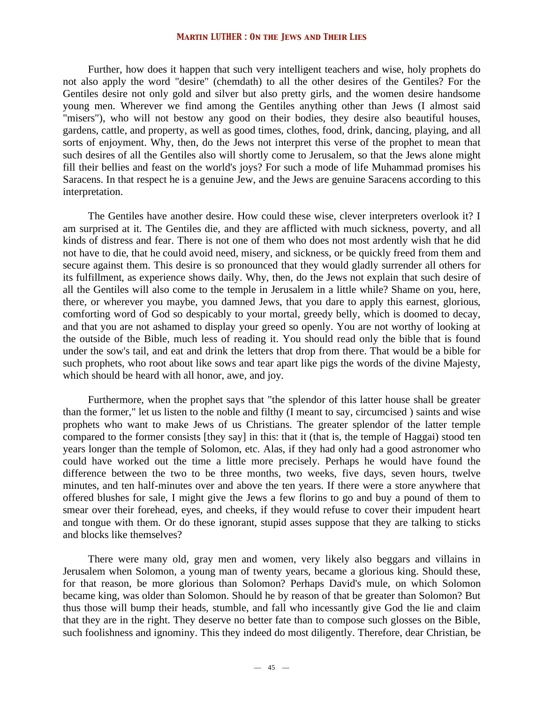Further, how does it happen that such very intelligent teachers and wise, holy prophets do not also apply the word "desire" (chemdath) to all the other desires of the Gentiles? For the Gentiles desire not only gold and silver but also pretty girls, and the women desire handsome young men. Wherever we find among the Gentiles anything other than Jews (I almost said "misers"), who will not bestow any good on their bodies, they desire also beautiful houses, gardens, cattle, and property, as well as good times, clothes, food, drink, dancing, playing, and all sorts of enjoyment. Why, then, do the Jews not interpret this verse of the prophet to mean that such desires of all the Gentiles also will shortly come to Jerusalem, so that the Jews alone might fill their bellies and feast on the world's joys? For such a mode of life Muhammad promises his Saracens. In that respect he is a genuine Jew, and the Jews are genuine Saracens according to this interpretation.

The Gentiles have another desire. How could these wise, clever interpreters overlook it? I am surprised at it. The Gentiles die, and they are afflicted with much sickness, poverty, and all kinds of distress and fear. There is not one of them who does not most ardently wish that he did not have to die, that he could avoid need, misery, and sickness, or be quickly freed from them and secure against them. This desire is so pronounced that they would gladly surrender all others for its fulfillment, as experience shows daily. Why, then, do the Jews not explain that such desire of all the Gentiles will also come to the temple in Jerusalem in a little while? Shame on you, here, there, or wherever you maybe, you damned Jews, that you dare to apply this earnest, glorious, comforting word of God so despicably to your mortal, greedy belly, which is doomed to decay, and that you are not ashamed to display your greed so openly. You are not worthy of looking at the outside of the Bible, much less of reading it. You should read only the bible that is found under the sow's tail, and eat and drink the letters that drop from there. That would be a bible for such prophets, who root about like sows and tear apart like pigs the words of the divine Majesty, which should be heard with all honor, awe, and joy.

Furthermore, when the prophet says that "the splendor of this latter house shall be greater than the former," let us listen to the noble and filthy (I meant to say, circumcised ) saints and wise prophets who want to make Jews of us Christians. The greater splendor of the latter temple compared to the former consists [they say] in this: that it (that is, the temple of Haggai) stood ten years longer than the temple of Solomon, etc. Alas, if they had only had a good astronomer who could have worked out the time a little more precisely. Perhaps he would have found the difference between the two to be three months, two weeks, five days, seven hours, twelve minutes, and ten half-minutes over and above the ten years. If there were a store anywhere that offered blushes for sale, I might give the Jews a few florins to go and buy a pound of them to smear over their forehead, eyes, and cheeks, if they would refuse to cover their impudent heart and tongue with them. Or do these ignorant, stupid asses suppose that they are talking to sticks and blocks like themselves?

There were many old, gray men and women, very likely also beggars and villains in Jerusalem when Solomon, a young man of twenty years, became a glorious king. Should these, for that reason, be more glorious than Solomon? Perhaps David's mule, on which Solomon became king, was older than Solomon. Should he by reason of that be greater than Solomon? But thus those will bump their heads, stumble, and fall who incessantly give God the lie and claim that they are in the right. They deserve no better fate than to compose such glosses on the Bible, such foolishness and ignominy. This they indeed do most diligently. Therefore, dear Christian, be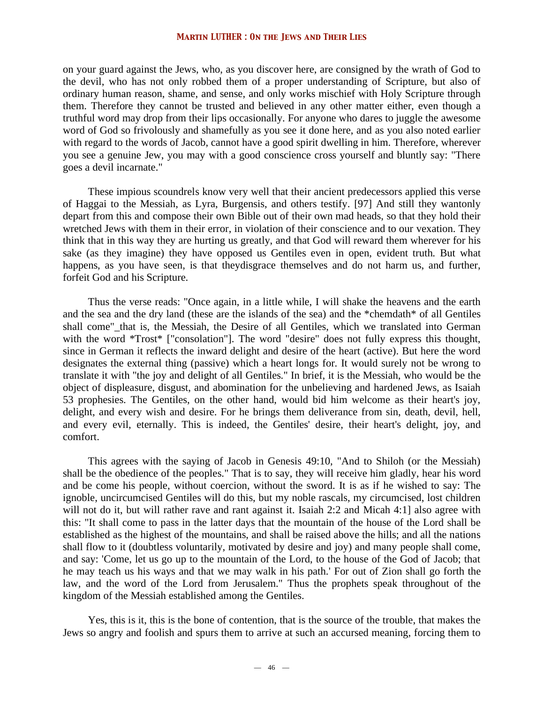on your guard against the Jews, who, as you discover here, are consigned by the wrath of God to the devil, who has not only robbed them of a proper understanding of Scripture, but also of ordinary human reason, shame, and sense, and only works mischief with Holy Scripture through them. Therefore they cannot be trusted and believed in any other matter either, even though a truthful word may drop from their lips occasionally. For anyone who dares to juggle the awesome word of God so frivolously and shamefully as you see it done here, and as you also noted earlier with regard to the words of Jacob, cannot have a good spirit dwelling in him. Therefore, wherever you see a genuine Jew, you may with a good conscience cross yourself and bluntly say: "There goes a devil incarnate."

These impious scoundrels know very well that their ancient predecessors applied this verse of Haggai to the Messiah, as Lyra, Burgensis, and others testify. [97] And still they wantonly depart from this and compose their own Bible out of their own mad heads, so that they hold their wretched Jews with them in their error, in violation of their conscience and to our vexation. They think that in this way they are hurting us greatly, and that God will reward them wherever for his sake (as they imagine) they have opposed us Gentiles even in open, evident truth. But what happens, as you have seen, is that theydisgrace themselves and do not harm us, and further, forfeit God and his Scripture.

Thus the verse reads: "Once again, in a little while, I will shake the heavens and the earth and the sea and the dry land (these are the islands of the sea) and the \*chemdath\* of all Gentiles shall come"\_that is, the Messiah, the Desire of all Gentiles, which we translated into German with the word \*Trost\* ["consolation"]. The word "desire" does not fully express this thought, since in German it reflects the inward delight and desire of the heart (active). But here the word designates the external thing (passive) which a heart longs for. It would surely not be wrong to translate it with "the joy and delight of all Gentiles." In brief, it is the Messiah, who would be the object of displeasure, disgust, and abomination for the unbelieving and hardened Jews, as Isaiah 53 prophesies. The Gentiles, on the other hand, would bid him welcome as their heart's joy, delight, and every wish and desire. For he brings them deliverance from sin, death, devil, hell, and every evil, eternally. This is indeed, the Gentiles' desire, their heart's delight, joy, and comfort.

This agrees with the saying of Jacob in Genesis 49:10, "And to Shiloh (or the Messiah) shall be the obedience of the peoples." That is to say, they will receive him gladly, hear his word and be come his people, without coercion, without the sword. It is as if he wished to say: The ignoble, uncircumcised Gentiles will do this, but my noble rascals, my circumcised, lost children will not do it, but will rather rave and rant against it. Isaiah 2:2 and Micah 4:1] also agree with this: "It shall come to pass in the latter days that the mountain of the house of the Lord shall be established as the highest of the mountains, and shall be raised above the hills; and all the nations shall flow to it (doubtless voluntarily, motivated by desire and joy) and many people shall come, and say: 'Come, let us go up to the mountain of the Lord, to the house of the God of Jacob; that he may teach us his ways and that we may walk in his path.' For out of Zion shall go forth the law, and the word of the Lord from Jerusalem." Thus the prophets speak throughout of the kingdom of the Messiah established among the Gentiles.

Yes, this is it, this is the bone of contention, that is the source of the trouble, that makes the Jews so angry and foolish and spurs them to arrive at such an accursed meaning, forcing them to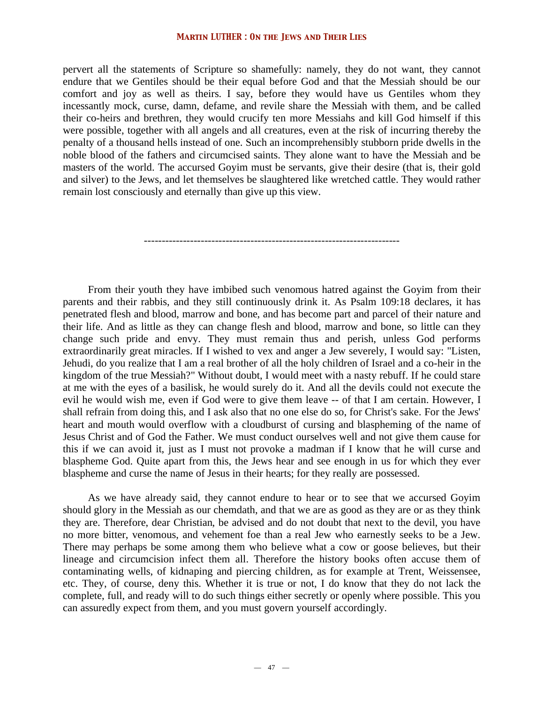pervert all the statements of Scripture so shamefully: namely, they do not want, they cannot endure that we Gentiles should be their equal before God and that the Messiah should be our comfort and joy as well as theirs. I say, before they would have us Gentiles whom they incessantly mock, curse, damn, defame, and revile share the Messiah with them, and be called their co-heirs and brethren, they would crucify ten more Messiahs and kill God himself if this were possible, together with all angels and all creatures, even at the risk of incurring thereby the penalty of a thousand hells instead of one. Such an incomprehensibly stubborn pride dwells in the noble blood of the fathers and circumcised saints. They alone want to have the Messiah and be masters of the world. The accursed Goyim must be servants, give their desire (that is, their gold and silver) to the Jews, and let themselves be slaughtered like wretched cattle. They would rather remain lost consciously and eternally than give up this view.

------------------------------------------------------------------------

From their youth they have imbibed such venomous hatred against the Goyim from their parents and their rabbis, and they still continuously drink it. As Psalm 109:18 declares, it has penetrated flesh and blood, marrow and bone, and has become part and parcel of their nature and their life. And as little as they can change flesh and blood, marrow and bone, so little can they change such pride and envy. They must remain thus and perish, unless God performs extraordinarily great miracles. If I wished to vex and anger a Jew severely, I would say: "Listen, Jehudi, do you realize that I am a real brother of all the holy children of Israel and a co-heir in the kingdom of the true Messiah?" Without doubt, I would meet with a nasty rebuff. If he could stare at me with the eyes of a basilisk, he would surely do it. And all the devils could not execute the evil he would wish me, even if God were to give them leave -- of that I am certain. However, I shall refrain from doing this, and I ask also that no one else do so, for Christ's sake. For the Jews' heart and mouth would overflow with a cloudburst of cursing and blaspheming of the name of Jesus Christ and of God the Father. We must conduct ourselves well and not give them cause for this if we can avoid it, just as I must not provoke a madman if I know that he will curse and blaspheme God. Quite apart from this, the Jews hear and see enough in us for which they ever blaspheme and curse the name of Jesus in their hearts; for they really are possessed.

As we have already said, they cannot endure to hear or to see that we accursed Goyim should glory in the Messiah as our chemdath, and that we are as good as they are or as they think they are. Therefore, dear Christian, be advised and do not doubt that next to the devil, you have no more bitter, venomous, and vehement foe than a real Jew who earnestly seeks to be a Jew. There may perhaps be some among them who believe what a cow or goose believes, but their lineage and circumcision infect them all. Therefore the history books often accuse them of contaminating wells, of kidnaping and piercing children, as for example at Trent, Weissensee, etc. They, of course, deny this. Whether it is true or not, I do know that they do not lack the complete, full, and ready will to do such things either secretly or openly where possible. This you can assuredly expect from them, and you must govern yourself accordingly.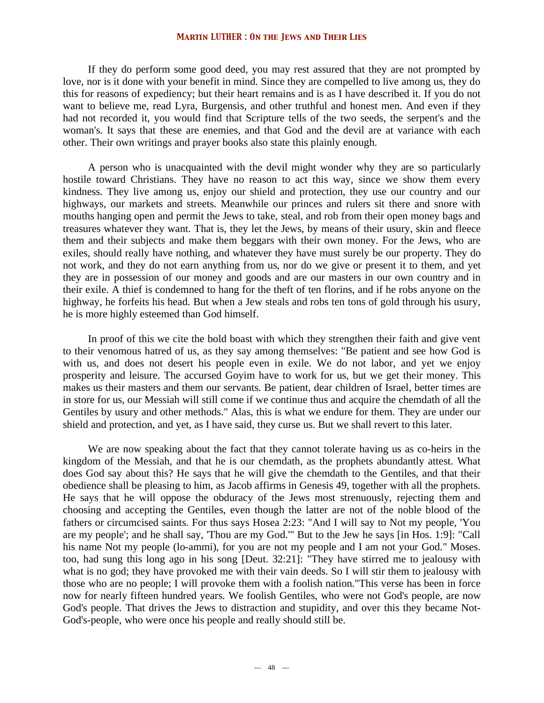If they do perform some good deed, you may rest assured that they are not prompted by love, nor is it done with your benefit in mind. Since they are compelled to live among us, they do this for reasons of expediency; but their heart remains and is as I have described it. If you do not want to believe me, read Lyra, Burgensis, and other truthful and honest men. And even if they had not recorded it, you would find that Scripture tells of the two seeds, the serpent's and the woman's. It says that these are enemies, and that God and the devil are at variance with each other. Their own writings and prayer books also state this plainly enough.

A person who is unacquainted with the devil might wonder why they are so particularly hostile toward Christians. They have no reason to act this way, since we show them every kindness. They live among us, enjoy our shield and protection, they use our country and our highways, our markets and streets. Meanwhile our princes and rulers sit there and snore with mouths hanging open and permit the Jews to take, steal, and rob from their open money bags and treasures whatever they want. That is, they let the Jews, by means of their usury, skin and fleece them and their subjects and make them beggars with their own money. For the Jews, who are exiles, should really have nothing, and whatever they have must surely be our property. They do not work, and they do not earn anything from us, nor do we give or present it to them, and yet they are in possession of our money and goods and are our masters in our own country and in their exile. A thief is condemned to hang for the theft of ten florins, and if he robs anyone on the highway, he forfeits his head. But when a Jew steals and robs ten tons of gold through his usury, he is more highly esteemed than God himself.

In proof of this we cite the bold boast with which they strengthen their faith and give vent to their venomous hatred of us, as they say among themselves: "Be patient and see how God is with us, and does not desert his people even in exile. We do not labor, and yet we enjoy prosperity and leisure. The accursed Goyim have to work for us, but we get their money. This makes us their masters and them our servants. Be patient, dear children of Israel, better times are in store for us, our Messiah will still come if we continue thus and acquire the chemdath of all the Gentiles by usury and other methods." Alas, this is what we endure for them. They are under our shield and protection, and yet, as I have said, they curse us. But we shall revert to this later.

We are now speaking about the fact that they cannot tolerate having us as co-heirs in the kingdom of the Messiah, and that he is our chemdath, as the prophets abundantly attest. What does God say about this? He says that he will give the chemdath to the Gentiles, and that their obedience shall be pleasing to him, as Jacob affirms in Genesis 49, together with all the prophets. He says that he will oppose the obduracy of the Jews most strenuously, rejecting them and choosing and accepting the Gentiles, even though the latter are not of the noble blood of the fathers or circumcised saints. For thus says Hosea 2:23: "And I will say to Not my people, 'You are my people'; and he shall say, 'Thou are my God.'" But to the Jew he says [in Hos. 1:9]: "Call his name Not my people (lo-ammi), for you are not my people and I am not your God." Moses. too, had sung this long ago in his song [Deut. 32:21]: "They have stirred me to jealousy with what is no god; they have provoked me with their vain deeds. So I will stir them to jealousy with those who are no people; I will provoke them with a foolish nation."This verse has been in force now for nearly fifteen hundred years. We foolish Gentiles, who were not God's people, are now God's people. That drives the Jews to distraction and stupidity, and over this they became Not-God's-people, who were once his people and really should still be.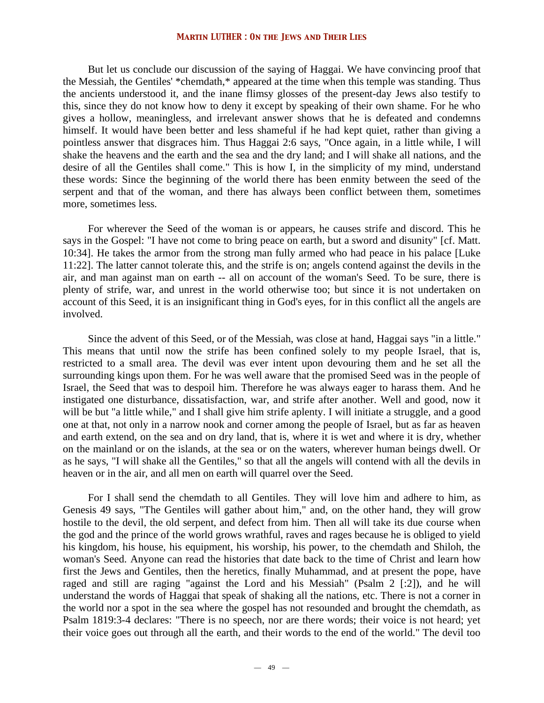But let us conclude our discussion of the saying of Haggai. We have convincing proof that the Messiah, the Gentiles' \*chemdath,\* appeared at the time when this temple was standing. Thus the ancients understood it, and the inane flimsy glosses of the present-day Jews also testify to this, since they do not know how to deny it except by speaking of their own shame. For he who gives a hollow, meaningless, and irrelevant answer shows that he is defeated and condemns himself. It would have been better and less shameful if he had kept quiet, rather than giving a pointless answer that disgraces him. Thus Haggai 2:6 says, "Once again, in a little while, I will shake the heavens and the earth and the sea and the dry land; and I will shake all nations, and the desire of all the Gentiles shall come." This is how I, in the simplicity of my mind, understand these words: Since the beginning of the world there has been enmity between the seed of the serpent and that of the woman, and there has always been conflict between them, sometimes more, sometimes less.

For wherever the Seed of the woman is or appears, he causes strife and discord. This he says in the Gospel: "I have not come to bring peace on earth, but a sword and disunity" [cf. Matt. 10:34]. He takes the armor from the strong man fully armed who had peace in his palace [Luke 11:22]. The latter cannot tolerate this, and the strife is on; angels contend against the devils in the air, and man against man on earth -- all on account of the woman's Seed. To be sure, there is plenty of strife, war, and unrest in the world otherwise too; but since it is not undertaken on account of this Seed, it is an insignificant thing in God's eyes, for in this conflict all the angels are involved.

Since the advent of this Seed, or of the Messiah, was close at hand, Haggai says "in a little." This means that until now the strife has been confined solely to my people Israel, that is, restricted to a small area. The devil was ever intent upon devouring them and he set all the surrounding kings upon them. For he was well aware that the promised Seed was in the people of Israel, the Seed that was to despoil him. Therefore he was always eager to harass them. And he instigated one disturbance, dissatisfaction, war, and strife after another. Well and good, now it will be but "a little while," and I shall give him strife aplenty. I will initiate a struggle, and a good one at that, not only in a narrow nook and corner among the people of Israel, but as far as heaven and earth extend, on the sea and on dry land, that is, where it is wet and where it is dry, whether on the mainland or on the islands, at the sea or on the waters, wherever human beings dwell. Or as he says, "I will shake all the Gentiles," so that all the angels will contend with all the devils in heaven or in the air, and all men on earth will quarrel over the Seed.

For I shall send the chemdath to all Gentiles. They will love him and adhere to him, as Genesis 49 says, "The Gentiles will gather about him," and, on the other hand, they will grow hostile to the devil, the old serpent, and defect from him. Then all will take its due course when the god and the prince of the world grows wrathful, raves and rages because he is obliged to yield his kingdom, his house, his equipment, his worship, his power, to the chemdath and Shiloh, the woman's Seed. Anyone can read the histories that date back to the time of Christ and learn how first the Jews and Gentiles, then the heretics, finally Muhammad, and at present the pope, have raged and still are raging "against the Lord and his Messiah" (Psalm 2 [:2]), and he will understand the words of Haggai that speak of shaking all the nations, etc. There is not a corner in the world nor a spot in the sea where the gospel has not resounded and brought the chemdath, as Psalm 1819:3-4 declares: "There is no speech, nor are there words; their voice is not heard; yet their voice goes out through all the earth, and their words to the end of the world." The devil too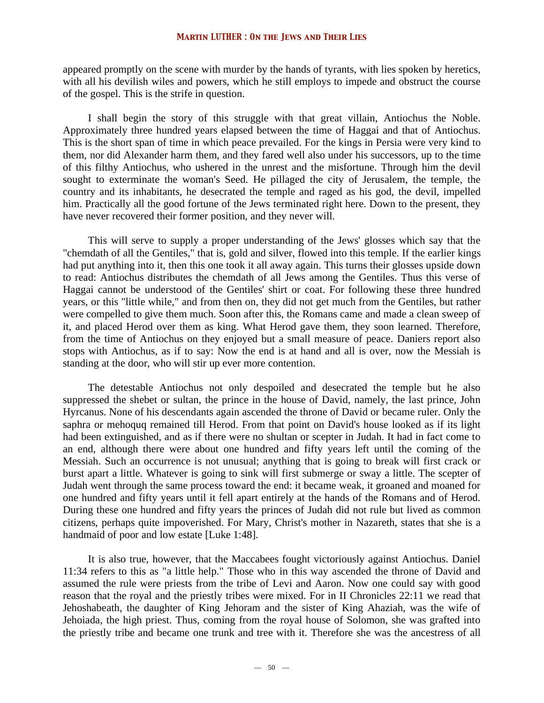appeared promptly on the scene with murder by the hands of tyrants, with lies spoken by heretics, with all his devilish wiles and powers, which he still employs to impede and obstruct the course of the gospel. This is the strife in question.

I shall begin the story of this struggle with that great villain, Antiochus the Noble. Approximately three hundred years elapsed between the time of Haggai and that of Antiochus. This is the short span of time in which peace prevailed. For the kings in Persia were very kind to them, nor did Alexander harm them, and they fared well also under his successors, up to the time of this filthy Antiochus, who ushered in the unrest and the misfortune. Through him the devil sought to exterminate the woman's Seed. He pillaged the city of Jerusalem, the temple, the country and its inhabitants, he desecrated the temple and raged as his god, the devil, impelled him. Practically all the good fortune of the Jews terminated right here. Down to the present, they have never recovered their former position, and they never will.

This will serve to supply a proper understanding of the Jews' glosses which say that the "chemdath of all the Gentiles," that is, gold and silver, flowed into this temple. If the earlier kings had put anything into it, then this one took it all away again. This turns their glosses upside down to read: Antiochus distributes the chemdath of all Jews among the Gentiles. Thus this verse of Haggai cannot be understood of the Gentiles' shirt or coat. For following these three hundred years, or this "little while," and from then on, they did not get much from the Gentiles, but rather were compelled to give them much. Soon after this, the Romans came and made a clean sweep of it, and placed Herod over them as king. What Herod gave them, they soon learned. Therefore, from the time of Antiochus on they enjoyed but a small measure of peace. Daniers report also stops with Antiochus, as if to say: Now the end is at hand and all is over, now the Messiah is standing at the door, who will stir up ever more contention.

The detestable Antiochus not only despoiled and desecrated the temple but he also suppressed the shebet or sultan, the prince in the house of David, namely, the last prince, John Hyrcanus. None of his descendants again ascended the throne of David or became ruler. Only the saphra or mehoquq remained till Herod. From that point on David's house looked as if its light had been extinguished, and as if there were no shultan or scepter in Judah. It had in fact come to an end, although there were about one hundred and fifty years left until the coming of the Messiah. Such an occurrence is not unusual; anything that is going to break will first crack or burst apart a little. Whatever is going to sink will first submerge or sway a little. The scepter of Judah went through the same process toward the end: it became weak, it groaned and moaned for one hundred and fifty years until it fell apart entirely at the hands of the Romans and of Herod. During these one hundred and fifty years the princes of Judah did not rule but lived as common citizens, perhaps quite impoverished. For Mary, Christ's mother in Nazareth, states that she is a handmaid of poor and low estate [Luke 1:48].

It is also true, however, that the Maccabees fought victoriously against Antiochus. Daniel 11:34 refers to this as "a little help." Those who in this way ascended the throne of David and assumed the rule were priests from the tribe of Levi and Aaron. Now one could say with good reason that the royal and the priestly tribes were mixed. For in II Chronicles 22:11 we read that Jehoshabeath, the daughter of King Jehoram and the sister of King Ahaziah, was the wife of Jehoiada, the high priest. Thus, coming from the royal house of Solomon, she was grafted into the priestly tribe and became one trunk and tree with it. Therefore she was the ancestress of all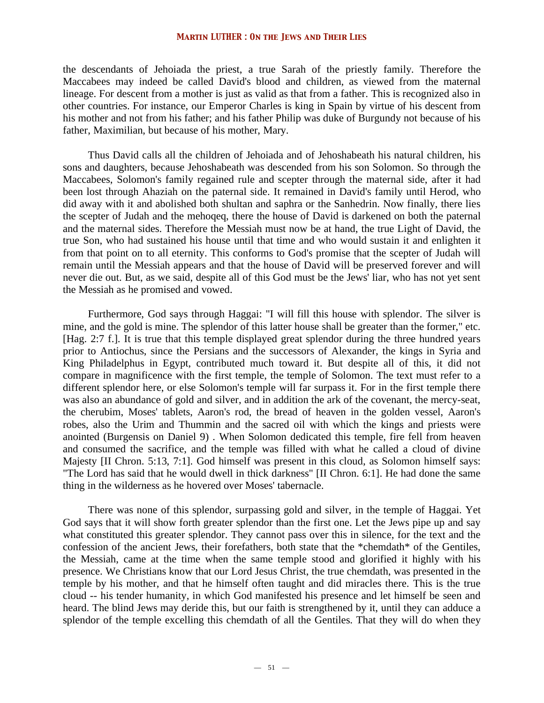the descendants of Jehoiada the priest, a true Sarah of the priestly family. Therefore the Maccabees may indeed be called David's blood and children, as viewed from the maternal lineage. For descent from a mother is just as valid as that from a father. This is recognized also in other countries. For instance, our Emperor Charles is king in Spain by virtue of his descent from his mother and not from his father; and his father Philip was duke of Burgundy not because of his father, Maximilian, but because of his mother, Mary.

Thus David calls all the children of Jehoiada and of Jehoshabeath his natural children, his sons and daughters, because Jehoshabeath was descended from his son Solomon. So through the Maccabees, Solomon's family regained rule and scepter through the maternal side, after it had been lost through Ahaziah on the paternal side. It remained in David's family until Herod, who did away with it and abolished both shultan and saphra or the Sanhedrin. Now finally, there lies the scepter of Judah and the mehoqeq, there the house of David is darkened on both the paternal and the maternal sides. Therefore the Messiah must now be at hand, the true Light of David, the true Son, who had sustained his house until that time and who would sustain it and enlighten it from that point on to all eternity. This conforms to God's promise that the scepter of Judah will remain until the Messiah appears and that the house of David will be preserved forever and will never die out. But, as we said, despite all of this God must be the Jews' liar, who has not yet sent the Messiah as he promised and vowed.

Furthermore, God says through Haggai: "I will fill this house with splendor. The silver is mine, and the gold is mine. The splendor of this latter house shall be greater than the former," etc. [Hag. 2:7 f.]. It is true that this temple displayed great splendor during the three hundred years prior to Antiochus, since the Persians and the successors of Alexander, the kings in Syria and King Philadelphus in Egypt, contributed much toward it. But despite all of this, it did not compare in magnificence with the first temple, the temple of Solomon. The text must refer to a different splendor here, or else Solomon's temple will far surpass it. For in the first temple there was also an abundance of gold and silver, and in addition the ark of the covenant, the mercy-seat, the cherubim, Moses' tablets, Aaron's rod, the bread of heaven in the golden vessel, Aaron's robes, also the Urim and Thummin and the sacred oil with which the kings and priests were anointed (Burgensis on Daniel 9) . When Solomon dedicated this temple, fire fell from heaven and consumed the sacrifice, and the temple was filled with what he called a cloud of divine Majesty [II Chron. 5:13, 7:1]. God himself was present in this cloud, as Solomon himself says: "The Lord has said that he would dwell in thick darkness" [II Chron. 6:1]. He had done the same thing in the wilderness as he hovered over Moses' tabernacle.

There was none of this splendor, surpassing gold and silver, in the temple of Haggai. Yet God says that it will show forth greater splendor than the first one. Let the Jews pipe up and say what constituted this greater splendor. They cannot pass over this in silence, for the text and the confession of the ancient Jews, their forefathers, both state that the \*chemdath\* of the Gentiles, the Messiah, came at the time when the same temple stood and glorified it highly with his presence. We Christians know that our Lord Jesus Christ, the true chemdath, was presented in the temple by his mother, and that he himself often taught and did miracles there. This is the true cloud -- his tender humanity, in which God manifested his presence and let himself be seen and heard. The blind Jews may deride this, but our faith is strengthened by it, until they can adduce a splendor of the temple excelling this chemdath of all the Gentiles. That they will do when they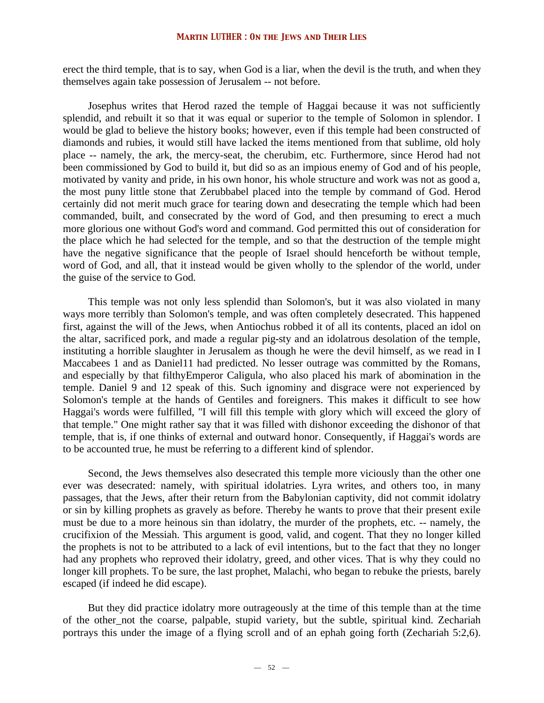erect the third temple, that is to say, when God is a liar, when the devil is the truth, and when they themselves again take possession of Jerusalem -- not before.

Josephus writes that Herod razed the temple of Haggai because it was not sufficiently splendid, and rebuilt it so that it was equal or superior to the temple of Solomon in splendor. I would be glad to believe the history books; however, even if this temple had been constructed of diamonds and rubies, it would still have lacked the items mentioned from that sublime, old holy place -- namely, the ark, the mercy-seat, the cherubim, etc. Furthermore, since Herod had not been commissioned by God to build it, but did so as an impious enemy of God and of his people, motivated by vanity and pride, in his own honor, his whole structure and work was not as good a, the most puny little stone that Zerubbabel placed into the temple by command of God. Herod certainly did not merit much grace for tearing down and desecrating the temple which had been commanded, built, and consecrated by the word of God, and then presuming to erect a much more glorious one without God's word and command. God permitted this out of consideration for the place which he had selected for the temple, and so that the destruction of the temple might have the negative significance that the people of Israel should henceforth be without temple, word of God, and all, that it instead would be given wholly to the splendor of the world, under the guise of the service to God.

This temple was not only less splendid than Solomon's, but it was also violated in many ways more terribly than Solomon's temple, and was often completely desecrated. This happened first, against the will of the Jews, when Antiochus robbed it of all its contents, placed an idol on the altar, sacrificed pork, and made a regular pig-sty and an idolatrous desolation of the temple, instituting a horrible slaughter in Jerusalem as though he were the devil himself, as we read in I Maccabees 1 and as Daniel11 had predicted. No lesser outrage was committed by the Romans, and especially by that filthyEmperor Caligula, who also placed his mark of abomination in the temple. Daniel 9 and 12 speak of this. Such ignominy and disgrace were not experienced by Solomon's temple at the hands of Gentiles and foreigners. This makes it difficult to see how Haggai's words were fulfilled, "I will fill this temple with glory which will exceed the glory of that temple." One might rather say that it was filled with dishonor exceeding the dishonor of that temple, that is, if one thinks of external and outward honor. Consequently, if Haggai's words are to be accounted true, he must be referring to a different kind of splendor.

Second, the Jews themselves also desecrated this temple more viciously than the other one ever was desecrated: namely, with spiritual idolatries. Lyra writes, and others too, in many passages, that the Jews, after their return from the Babylonian captivity, did not commit idolatry or sin by killing prophets as gravely as before. Thereby he wants to prove that their present exile must be due to a more heinous sin than idolatry, the murder of the prophets, etc. -- namely, the crucifixion of the Messiah. This argument is good, valid, and cogent. That they no longer killed the prophets is not to be attributed to a lack of evil intentions, but to the fact that they no longer had any prophets who reproved their idolatry, greed, and other vices. That is why they could no longer kill prophets. To be sure, the last prophet, Malachi, who began to rebuke the priests, barely escaped (if indeed he did escape).

But they did practice idolatry more outrageously at the time of this temple than at the time of the other not the coarse, palpable, stupid variety, but the subtle, spiritual kind. Zechariah portrays this under the image of a flying scroll and of an ephah going forth (Zechariah 5:2,6).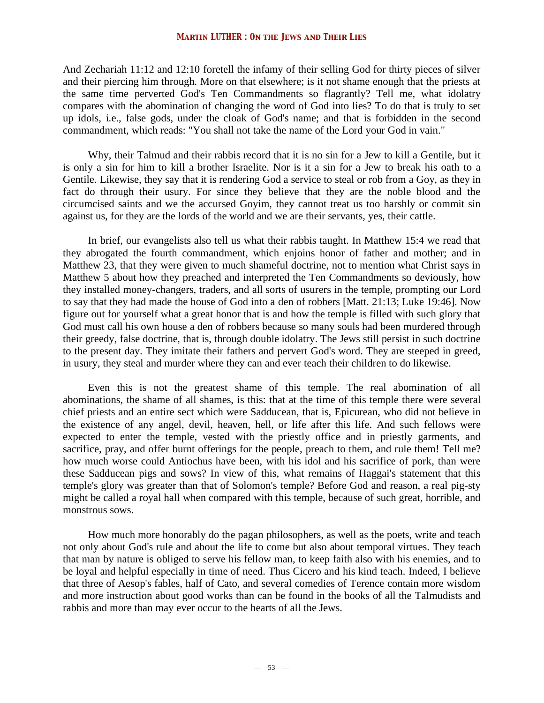And Zechariah 11:12 and 12:10 foretell the infamy of their selling God for thirty pieces of silver and their piercing him through. More on that elsewhere; is it not shame enough that the priests at the same time perverted God's Ten Commandments so flagrantly? Tell me, what idolatry compares with the abomination of changing the word of God into lies? To do that is truly to set up idols, i.e., false gods, under the cloak of God's name; and that is forbidden in the second commandment, which reads: "You shall not take the name of the Lord your God in vain."

Why, their Talmud and their rabbis record that it is no sin for a Jew to kill a Gentile, but it is only a sin for him to kill a brother Israelite. Nor is it a sin for a Jew to break his oath to a Gentile. Likewise, they say that it is rendering God a service to steal or rob from a Goy, as they in fact do through their usury. For since they believe that they are the noble blood and the circumcised saints and we the accursed Goyim, they cannot treat us too harshly or commit sin against us, for they are the lords of the world and we are their servants, yes, their cattle.

In brief, our evangelists also tell us what their rabbis taught. In Matthew 15:4 we read that they abrogated the fourth commandment, which enjoins honor of father and mother; and in Matthew 23, that they were given to much shameful doctrine, not to mention what Christ says in Matthew 5 about how they preached and interpreted the Ten Commandments so deviously, how they installed money-changers, traders, and all sorts of usurers in the temple, prompting our Lord to say that they had made the house of God into a den of robbers [Matt. 21:13; Luke 19:46]. Now figure out for yourself what a great honor that is and how the temple is filled with such glory that God must call his own house a den of robbers because so many souls had been murdered through their greedy, false doctrine, that is, through double idolatry. The Jews still persist in such doctrine to the present day. They imitate their fathers and pervert God's word. They are steeped in greed, in usury, they steal and murder where they can and ever teach their children to do likewise.

Even this is not the greatest shame of this temple. The real abomination of all abominations, the shame of all shames, is this: that at the time of this temple there were several chief priests and an entire sect which were Sadducean, that is, Epicurean, who did not believe in the existence of any angel, devil, heaven, hell, or life after this life. And such fellows were expected to enter the temple, vested with the priestly office and in priestly garments, and sacrifice, pray, and offer burnt offerings for the people, preach to them, and rule them! Tell me? how much worse could Antiochus have been, with his idol and his sacrifice of pork, than were these Sadducean pigs and sows? In view of this, what remains of Haggai's statement that this temple's glory was greater than that of Solomon's temple? Before God and reason, a real pig-sty might be called a royal hall when compared with this temple, because of such great, horrible, and monstrous sows.

How much more honorably do the pagan philosophers, as well as the poets, write and teach not only about God's rule and about the life to come but also about temporal virtues. They teach that man by nature is obliged to serve his fellow man, to keep faith also with his enemies, and to be loyal and helpful especially in time of need. Thus Cicero and his kind teach. Indeed, I believe that three of Aesop's fables, half of Cato, and several comedies of Terence contain more wisdom and more instruction about good works than can be found in the books of all the Talmudists and rabbis and more than may ever occur to the hearts of all the Jews.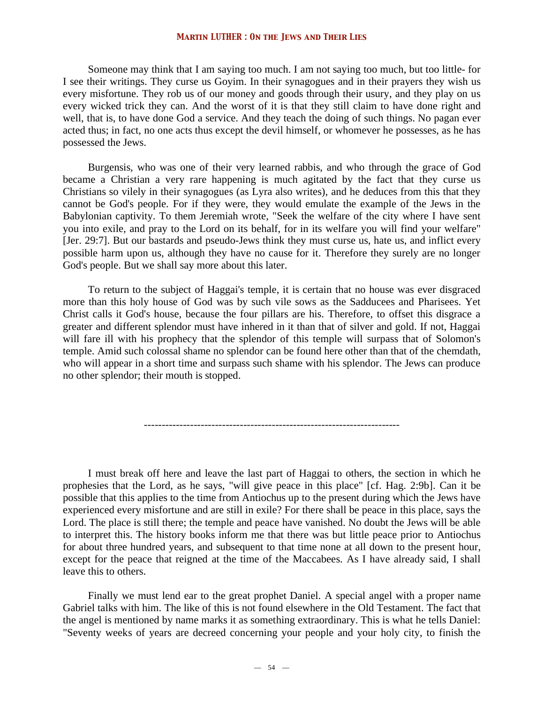Someone may think that I am saying too much. I am not saying too much, but too little- for I see their writings. They curse us Goyim. In their synagogues and in their prayers they wish us every misfortune. They rob us of our money and goods through their usury, and they play on us every wicked trick they can. And the worst of it is that they still claim to have done right and well, that is, to have done God a service. And they teach the doing of such things. No pagan ever acted thus; in fact, no one acts thus except the devil himself, or whomever he possesses, as he has possessed the Jews.

Burgensis, who was one of their very learned rabbis, and who through the grace of God became a Christian a very rare happening is much agitated by the fact that they curse us Christians so vilely in their synagogues (as Lyra also writes), and he deduces from this that they cannot be God's people. For if they were, they would emulate the example of the Jews in the Babylonian captivity. To them Jeremiah wrote, "Seek the welfare of the city where I have sent you into exile, and pray to the Lord on its behalf, for in its welfare you will find your welfare" [Jer. 29:7]. But our bastards and pseudo-Jews think they must curse us, hate us, and inflict every possible harm upon us, although they have no cause for it. Therefore they surely are no longer God's people. But we shall say more about this later.

To return to the subject of Haggai's temple, it is certain that no house was ever disgraced more than this holy house of God was by such vile sows as the Sadducees and Pharisees. Yet Christ calls it God's house, because the four pillars are his. Therefore, to offset this disgrace a greater and different splendor must have inhered in it than that of silver and gold. If not, Haggai will fare ill with his prophecy that the splendor of this temple will surpass that of Solomon's temple. Amid such colossal shame no splendor can be found here other than that of the chemdath, who will appear in a short time and surpass such shame with his splendor. The Jews can produce no other splendor; their mouth is stopped.

------------------------------------------------------------------------

I must break off here and leave the last part of Haggai to others, the section in which he prophesies that the Lord, as he says, "will give peace in this place" [cf. Hag. 2:9b]. Can it be possible that this applies to the time from Antiochus up to the present during which the Jews have experienced every misfortune and are still in exile? For there shall be peace in this place, says the Lord. The place is still there; the temple and peace have vanished. No doubt the Jews will be able to interpret this. The history books inform me that there was but little peace prior to Antiochus for about three hundred years, and subsequent to that time none at all down to the present hour, except for the peace that reigned at the time of the Maccabees. As I have already said, I shall leave this to others.

Finally we must lend ear to the great prophet Daniel. A special angel with a proper name Gabriel talks with him. The like of this is not found elsewhere in the Old Testament. The fact that the angel is mentioned by name marks it as something extraordinary. This is what he tells Daniel: "Seventy weeks of years are decreed concerning your people and your holy city, to finish the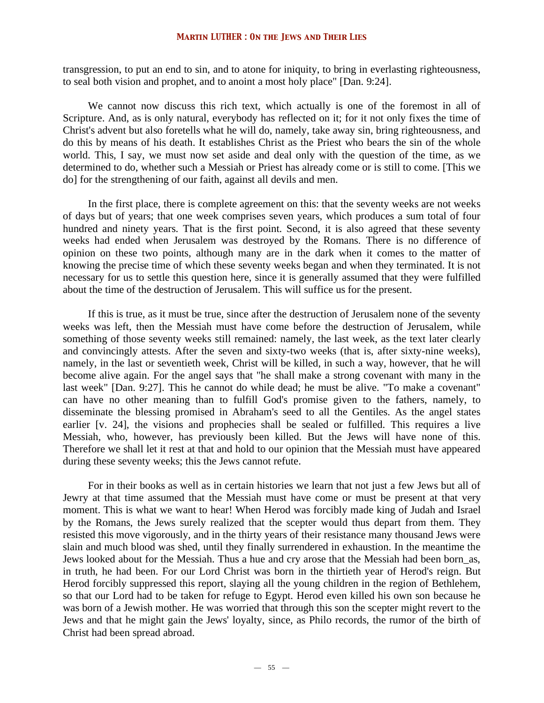transgression, to put an end to sin, and to atone for iniquity, to bring in everlasting righteousness, to seal both vision and prophet, and to anoint a most holy place" [Dan. 9:24].

We cannot now discuss this rich text, which actually is one of the foremost in all of Scripture. And, as is only natural, everybody has reflected on it; for it not only fixes the time of Christ's advent but also foretells what he will do, namely, take away sin, bring righteousness, and do this by means of his death. It establishes Christ as the Priest who bears the sin of the whole world. This, I say, we must now set aside and deal only with the question of the time, as we determined to do, whether such a Messiah or Priest has already come or is still to come. [This we do] for the strengthening of our faith, against all devils and men.

In the first place, there is complete agreement on this: that the seventy weeks are not weeks of days but of years; that one week comprises seven years, which produces a sum total of four hundred and ninety years. That is the first point. Second, it is also agreed that these seventy weeks had ended when Jerusalem was destroyed by the Romans. There is no difference of opinion on these two points, although many are in the dark when it comes to the matter of knowing the precise time of which these seventy weeks began and when they terminated. It is not necessary for us to settle this question here, since it is generally assumed that they were fulfilled about the time of the destruction of Jerusalem. This will suffice us for the present.

If this is true, as it must be true, since after the destruction of Jerusalem none of the seventy weeks was left, then the Messiah must have come before the destruction of Jerusalem, while something of those seventy weeks still remained: namely, the last week, as the text later clearly and convincingly attests. After the seven and sixty-two weeks (that is, after sixty-nine weeks), namely, in the last or seventieth week, Christ will be killed, in such a way, however, that he will become alive again. For the angel says that "he shall make a strong covenant with many in the last week" [Dan. 9:27]. This he cannot do while dead; he must be alive. "To make a covenant" can have no other meaning than to fulfill God's promise given to the fathers, namely, to disseminate the blessing promised in Abraham's seed to all the Gentiles. As the angel states earlier [v. 24], the visions and prophecies shall be sealed or fulfilled. This requires a live Messiah, who, however, has previously been killed. But the Jews will have none of this. Therefore we shall let it rest at that and hold to our opinion that the Messiah must have appeared during these seventy weeks; this the Jews cannot refute.

For in their books as well as in certain histories we learn that not just a few Jews but all of Jewry at that time assumed that the Messiah must have come or must be present at that very moment. This is what we want to hear! When Herod was forcibly made king of Judah and Israel by the Romans, the Jews surely realized that the scepter would thus depart from them. They resisted this move vigorously, and in the thirty years of their resistance many thousand Jews were slain and much blood was shed, until they finally surrendered in exhaustion. In the meantime the Jews looked about for the Messiah. Thus a hue and cry arose that the Messiah had been born\_as, in truth, he had been. For our Lord Christ was born in the thirtieth year of Herod's reign. But Herod forcibly suppressed this report, slaying all the young children in the region of Bethlehem, so that our Lord had to be taken for refuge to Egypt. Herod even killed his own son because he was born of a Jewish mother. He was worried that through this son the scepter might revert to the Jews and that he might gain the Jews' loyalty, since, as Philo records, the rumor of the birth of Christ had been spread abroad.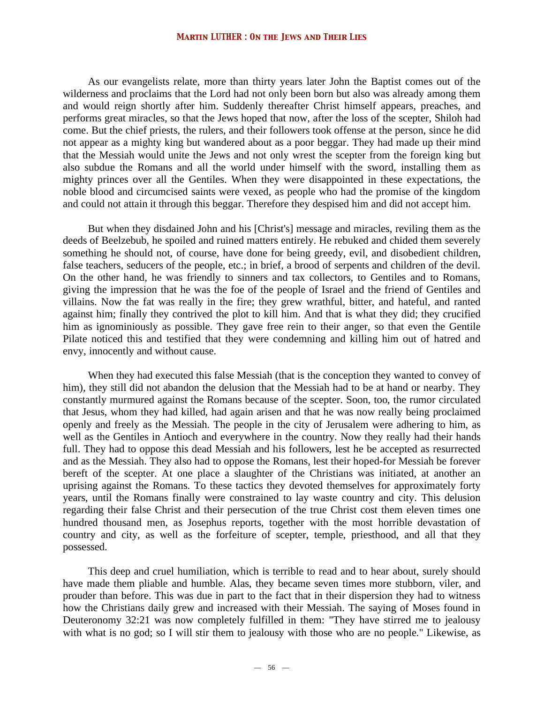As our evangelists relate, more than thirty years later John the Baptist comes out of the wilderness and proclaims that the Lord had not only been born but also was already among them and would reign shortly after him. Suddenly thereafter Christ himself appears, preaches, and performs great miracles, so that the Jews hoped that now, after the loss of the scepter, Shiloh had come. But the chief priests, the rulers, and their followers took offense at the person, since he did not appear as a mighty king but wandered about as a poor beggar. They had made up their mind that the Messiah would unite the Jews and not only wrest the scepter from the foreign king but also subdue the Romans and all the world under himself with the sword, installing them as mighty princes over all the Gentiles. When they were disappointed in these expectations, the noble blood and circumcised saints were vexed, as people who had the promise of the kingdom and could not attain it through this beggar. Therefore they despised him and did not accept him.

But when they disdained John and his [Christ's] message and miracles, reviling them as the deeds of Beelzebub, he spoiled and ruined matters entirely. He rebuked and chided them severely something he should not, of course, have done for being greedy, evil, and disobedient children, false teachers, seducers of the people, etc.; in brief, a brood of serpents and children of the devil. On the other hand, he was friendly to sinners and tax collectors, to Gentiles and to Romans, giving the impression that he was the foe of the people of Israel and the friend of Gentiles and villains. Now the fat was really in the fire; they grew wrathful, bitter, and hateful, and ranted against him; finally they contrived the plot to kill him. And that is what they did; they crucified him as ignominiously as possible. They gave free rein to their anger, so that even the Gentile Pilate noticed this and testified that they were condemning and killing him out of hatred and envy, innocently and without cause.

When they had executed this false Messiah (that is the conception they wanted to convey of him), they still did not abandon the delusion that the Messiah had to be at hand or nearby. They constantly murmured against the Romans because of the scepter. Soon, too, the rumor circulated that Jesus, whom they had killed, had again arisen and that he was now really being proclaimed openly and freely as the Messiah. The people in the city of Jerusalem were adhering to him, as well as the Gentiles in Antioch and everywhere in the country. Now they really had their hands full. They had to oppose this dead Messiah and his followers, lest he be accepted as resurrected and as the Messiah. They also had to oppose the Romans, lest their hoped-for Messiah be forever bereft of the scepter. At one place a slaughter of the Christians was initiated, at another an uprising against the Romans. To these tactics they devoted themselves for approximately forty years, until the Romans finally were constrained to lay waste country and city. This delusion regarding their false Christ and their persecution of the true Christ cost them eleven times one hundred thousand men, as Josephus reports, together with the most horrible devastation of country and city, as well as the forfeiture of scepter, temple, priesthood, and all that they possessed.

This deep and cruel humiliation, which is terrible to read and to hear about, surely should have made them pliable and humble. Alas, they became seven times more stubborn, viler, and prouder than before. This was due in part to the fact that in their dispersion they had to witness how the Christians daily grew and increased with their Messiah. The saying of Moses found in Deuteronomy 32:21 was now completely fulfilled in them: "They have stirred me to jealousy with what is no god; so I will stir them to jealousy with those who are no people." Likewise, as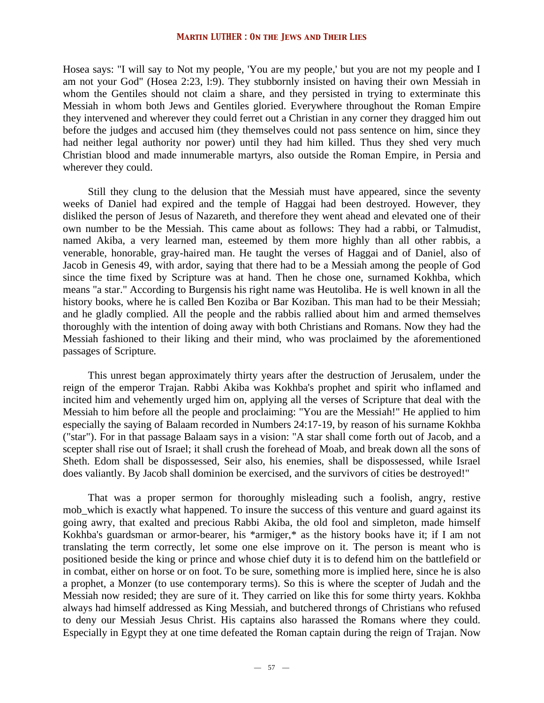Hosea says: "I will say to Not my people, 'You are my people,' but you are not my people and I am not your God" (Hosea 2:23, l:9). They stubbornly insisted on having their own Messiah in whom the Gentiles should not claim a share, and they persisted in trying to exterminate this Messiah in whom both Jews and Gentiles gloried. Everywhere throughout the Roman Empire they intervened and wherever they could ferret out a Christian in any corner they dragged him out before the judges and accused him (they themselves could not pass sentence on him, since they had neither legal authority nor power) until they had him killed. Thus they shed very much Christian blood and made innumerable martyrs, also outside the Roman Empire, in Persia and wherever they could.

Still they clung to the delusion that the Messiah must have appeared, since the seventy weeks of Daniel had expired and the temple of Haggai had been destroyed. However, they disliked the person of Jesus of Nazareth, and therefore they went ahead and elevated one of their own number to be the Messiah. This came about as follows: They had a rabbi, or Talmudist, named Akiba, a very learned man, esteemed by them more highly than all other rabbis, a venerable, honorable, gray-haired man. He taught the verses of Haggai and of Daniel, also of Jacob in Genesis 49, with ardor, saying that there had to be a Messiah among the people of God since the time fixed by Scripture was at hand. Then he chose one, surnamed Kokhba, which means "a star." According to Burgensis his right name was Heutoliba. He is well known in all the history books, where he is called Ben Koziba or Bar Koziban. This man had to be their Messiah; and he gladly complied. All the people and the rabbis rallied about him and armed themselves thoroughly with the intention of doing away with both Christians and Romans. Now they had the Messiah fashioned to their liking and their mind, who was proclaimed by the aforementioned passages of Scripture.

This unrest began approximately thirty years after the destruction of Jerusalem, under the reign of the emperor Trajan. Rabbi Akiba was Kokhba's prophet and spirit who inflamed and incited him and vehemently urged him on, applying all the verses of Scripture that deal with the Messiah to him before all the people and proclaiming: "You are the Messiah!" He applied to him especially the saying of Balaam recorded in Numbers 24:17-19, by reason of his surname Kokhba ("star"). For in that passage Balaam says in a vision: "A star shall come forth out of Jacob, and a scepter shall rise out of Israel; it shall crush the forehead of Moab, and break down all the sons of Sheth. Edom shall be dispossessed, Seir also, his enemies, shall be dispossessed, while Israel does valiantly. By Jacob shall dominion be exercised, and the survivors of cities be destroyed!"

That was a proper sermon for thoroughly misleading such a foolish, angry, restive mob\_which is exactly what happened. To insure the success of this venture and guard against its going awry, that exalted and precious Rabbi Akiba, the old fool and simpleton, made himself Kokhba's guardsman or armor-bearer, his \*armiger,\* as the history books have it; if I am not translating the term correctly, let some one else improve on it. The person is meant who is positioned beside the king or prince and whose chief duty it is to defend him on the battlefield or in combat, either on horse or on foot. To be sure, something more is implied here, since he is also a prophet, a Monzer (to use contemporary terms). So this is where the scepter of Judah and the Messiah now resided; they are sure of it. They carried on like this for some thirty years. Kokhba always had himself addressed as King Messiah, and butchered throngs of Christians who refused to deny our Messiah Jesus Christ. His captains also harassed the Romans where they could. Especially in Egypt they at one time defeated the Roman captain during the reign of Trajan. Now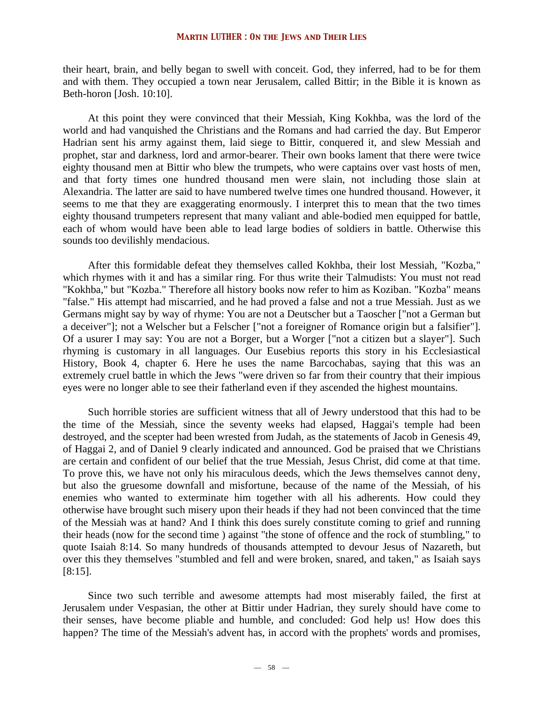their heart, brain, and belly began to swell with conceit. God, they inferred, had to be for them and with them. They occupied a town near Jerusalem, called Bittir; in the Bible it is known as Beth-horon [Josh. 10:10].

At this point they were convinced that their Messiah, King Kokhba, was the lord of the world and had vanquished the Christians and the Romans and had carried the day. But Emperor Hadrian sent his army against them, laid siege to Bittir, conquered it, and slew Messiah and prophet, star and darkness, lord and armor-bearer. Their own books lament that there were twice eighty thousand men at Bittir who blew the trumpets, who were captains over vast hosts of men, and that forty times one hundred thousand men were slain, not including those slain at Alexandria. The latter are said to have numbered twelve times one hundred thousand. However, it seems to me that they are exaggerating enormously. I interpret this to mean that the two times eighty thousand trumpeters represent that many valiant and able-bodied men equipped for battle, each of whom would have been able to lead large bodies of soldiers in battle. Otherwise this sounds too devilishly mendacious.

After this formidable defeat they themselves called Kokhba, their lost Messiah, "Kozba," which rhymes with it and has a similar ring. For thus write their Talmudists: You must not read "Kokhba," but "Kozba." Therefore all history books now refer to him as Koziban. "Kozba" means "false." His attempt had miscarried, and he had proved a false and not a true Messiah. Just as we Germans might say by way of rhyme: You are not a Deutscher but a Taoscher ["not a German but a deceiver"]; not a Welscher but a Felscher ["not a foreigner of Romance origin but a falsifier"]. Of a usurer I may say: You are not a Borger, but a Worger ["not a citizen but a slayer"]. Such rhyming is customary in all languages. Our Eusebius reports this story in his Ecclesiastical History, Book 4, chapter 6. Here he uses the name Barcochabas, saying that this was an extremely cruel battle in which the Jews "were driven so far from their country that their impious eyes were no longer able to see their fatherland even if they ascended the highest mountains.

Such horrible stories are sufficient witness that all of Jewry understood that this had to be the time of the Messiah, since the seventy weeks had elapsed, Haggai's temple had been destroyed, and the scepter had been wrested from Judah, as the statements of Jacob in Genesis 49, of Haggai 2, and of Daniel 9 clearly indicated and announced. God be praised that we Christians are certain and confident of our belief that the true Messiah, Jesus Christ, did come at that time. To prove this, we have not only his miraculous deeds, which the Jews themselves cannot deny, but also the gruesome downfall and misfortune, because of the name of the Messiah, of his enemies who wanted to exterminate him together with all his adherents. How could they otherwise have brought such misery upon their heads if they had not been convinced that the time of the Messiah was at hand? And I think this does surely constitute coming to grief and running their heads (now for the second time ) against "the stone of offence and the rock of stumbling," to quote Isaiah 8:14. So many hundreds of thousands attempted to devour Jesus of Nazareth, but over this they themselves "stumbled and fell and were broken, snared, and taken," as Isaiah says [8:15].

Since two such terrible and awesome attempts had most miserably failed, the first at Jerusalem under Vespasian, the other at Bittir under Hadrian, they surely should have come to their senses, have become pliable and humble, and concluded: God help us! How does this happen? The time of the Messiah's advent has, in accord with the prophets' words and promises,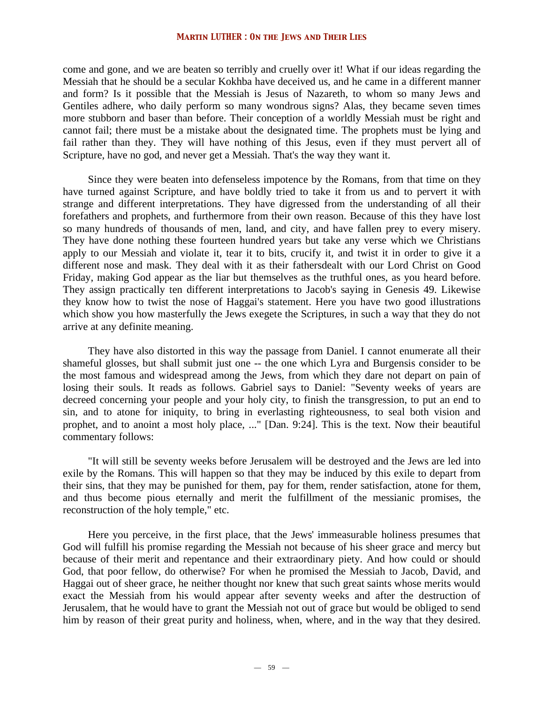come and gone, and we are beaten so terribly and cruelly over it! What if our ideas regarding the Messiah that he should be a secular Kokhba have deceived us, and he came in a different manner and form? Is it possible that the Messiah is Jesus of Nazareth, to whom so many Jews and Gentiles adhere, who daily perform so many wondrous signs? Alas, they became seven times more stubborn and baser than before. Their conception of a worldly Messiah must be right and cannot fail; there must be a mistake about the designated time. The prophets must be lying and fail rather than they. They will have nothing of this Jesus, even if they must pervert all of Scripture, have no god, and never get a Messiah. That's the way they want it.

Since they were beaten into defenseless impotence by the Romans, from that time on they have turned against Scripture, and have boldly tried to take it from us and to pervert it with strange and different interpretations. They have digressed from the understanding of all their forefathers and prophets, and furthermore from their own reason. Because of this they have lost so many hundreds of thousands of men, land, and city, and have fallen prey to every misery. They have done nothing these fourteen hundred years but take any verse which we Christians apply to our Messiah and violate it, tear it to bits, crucify it, and twist it in order to give it a different nose and mask. They deal with it as their fathersdealt with our Lord Christ on Good Friday, making God appear as the liar but themselves as the truthful ones, as you heard before. They assign practically ten different interpretations to Jacob's saying in Genesis 49. Likewise they know how to twist the nose of Haggai's statement. Here you have two good illustrations which show you how masterfully the Jews exegete the Scriptures, in such a way that they do not arrive at any definite meaning.

They have also distorted in this way the passage from Daniel. I cannot enumerate all their shameful glosses, but shall submit just one -- the one which Lyra and Burgensis consider to be the most famous and widespread among the Jews, from which they dare not depart on pain of losing their souls. It reads as follows. Gabriel says to Daniel: "Seventy weeks of years are decreed concerning your people and your holy city, to finish the transgression, to put an end to sin, and to atone for iniquity, to bring in everlasting righteousness, to seal both vision and prophet, and to anoint a most holy place, ..." [Dan. 9:24]. This is the text. Now their beautiful commentary follows:

"It will still be seventy weeks before Jerusalem will be destroyed and the Jews are led into exile by the Romans. This will happen so that they may be induced by this exile to depart from their sins, that they may be punished for them, pay for them, render satisfaction, atone for them, and thus become pious eternally and merit the fulfillment of the messianic promises, the reconstruction of the holy temple," etc.

Here you perceive, in the first place, that the Jews' immeasurable holiness presumes that God will fulfill his promise regarding the Messiah not because of his sheer grace and mercy but because of their merit and repentance and their extraordinary piety. And how could or should God, that poor fellow, do otherwise? For when he promised the Messiah to Jacob, David, and Haggai out of sheer grace, he neither thought nor knew that such great saints whose merits would exact the Messiah from his would appear after seventy weeks and after the destruction of Jerusalem, that he would have to grant the Messiah not out of grace but would be obliged to send him by reason of their great purity and holiness, when, where, and in the way that they desired.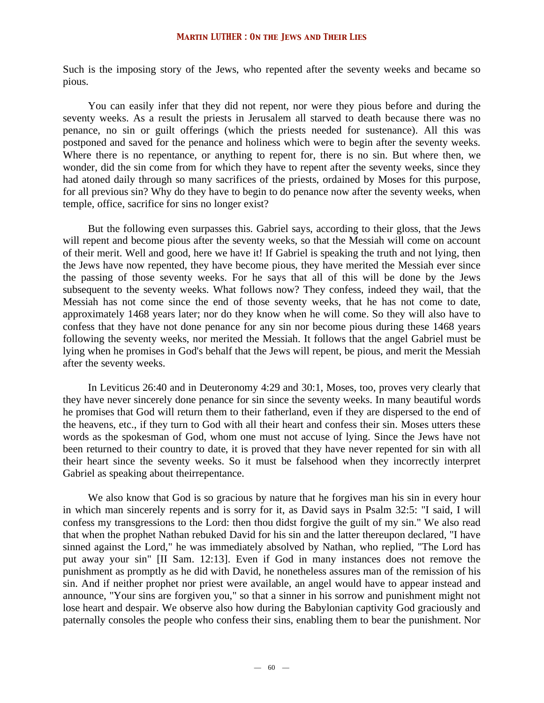Such is the imposing story of the Jews, who repented after the seventy weeks and became so pious.

You can easily infer that they did not repent, nor were they pious before and during the seventy weeks. As a result the priests in Jerusalem all starved to death because there was no penance, no sin or guilt offerings (which the priests needed for sustenance). All this was postponed and saved for the penance and holiness which were to begin after the seventy weeks. Where there is no repentance, or anything to repent for, there is no sin. But where then, we wonder, did the sin come from for which they have to repent after the seventy weeks, since they had atoned daily through so many sacrifices of the priests, ordained by Moses for this purpose, for all previous sin? Why do they have to begin to do penance now after the seventy weeks, when temple, office, sacrifice for sins no longer exist?

But the following even surpasses this. Gabriel says, according to their gloss, that the Jews will repent and become pious after the seventy weeks, so that the Messiah will come on account of their merit. Well and good, here we have it! If Gabriel is speaking the truth and not lying, then the Jews have now repented, they have become pious, they have merited the Messiah ever since the passing of those seventy weeks. For he says that all of this will be done by the Jews subsequent to the seventy weeks. What follows now? They confess, indeed they wail, that the Messiah has not come since the end of those seventy weeks, that he has not come to date, approximately 1468 years later; nor do they know when he will come. So they will also have to confess that they have not done penance for any sin nor become pious during these 1468 years following the seventy weeks, nor merited the Messiah. It follows that the angel Gabriel must be lying when he promises in God's behalf that the Jews will repent, be pious, and merit the Messiah after the seventy weeks.

In Leviticus 26:40 and in Deuteronomy 4:29 and 30:1, Moses, too, proves very clearly that they have never sincerely done penance for sin since the seventy weeks. In many beautiful words he promises that God will return them to their fatherland, even if they are dispersed to the end of the heavens, etc., if they turn to God with all their heart and confess their sin. Moses utters these words as the spokesman of God, whom one must not accuse of lying. Since the Jews have not been returned to their country to date, it is proved that they have never repented for sin with all their heart since the seventy weeks. So it must be falsehood when they incorrectly interpret Gabriel as speaking about theirrepentance.

We also know that God is so gracious by nature that he forgives man his sin in every hour in which man sincerely repents and is sorry for it, as David says in Psalm 32:5: "I said, I will confess my transgressions to the Lord: then thou didst forgive the guilt of my sin." We also read that when the prophet Nathan rebuked David for his sin and the latter thereupon declared, "I have sinned against the Lord," he was immediately absolved by Nathan, who replied, "The Lord has put away your sin" [II Sam. 12:13]. Even if God in many instances does not remove the punishment as promptly as he did with David, he nonetheless assures man of the remission of his sin. And if neither prophet nor priest were available, an angel would have to appear instead and announce, "Your sins are forgiven you," so that a sinner in his sorrow and punishment might not lose heart and despair. We observe also how during the Babylonian captivity God graciously and paternally consoles the people who confess their sins, enabling them to bear the punishment. Nor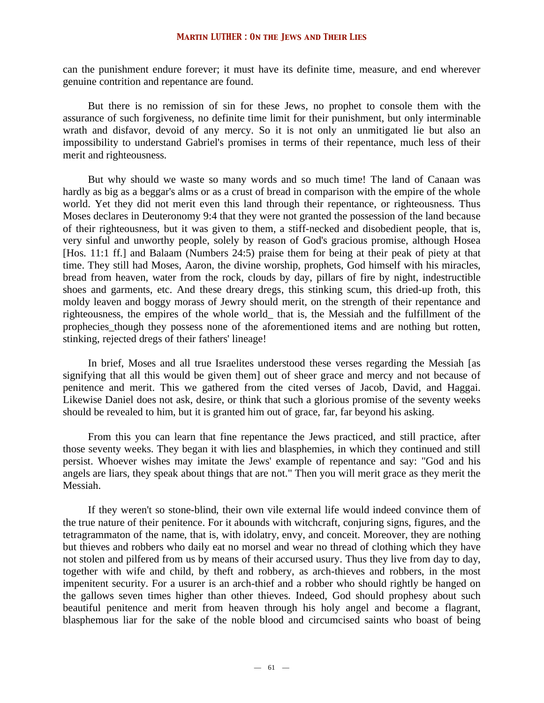can the punishment endure forever; it must have its definite time, measure, and end wherever genuine contrition and repentance are found.

But there is no remission of sin for these Jews, no prophet to console them with the assurance of such forgiveness, no definite time limit for their punishment, but only interminable wrath and disfavor, devoid of any mercy. So it is not only an unmitigated lie but also an impossibility to understand Gabriel's promises in terms of their repentance, much less of their merit and righteousness.

But why should we waste so many words and so much time! The land of Canaan was hardly as big as a beggar's alms or as a crust of bread in comparison with the empire of the whole world. Yet they did not merit even this land through their repentance, or righteousness. Thus Moses declares in Deuteronomy 9:4 that they were not granted the possession of the land because of their righteousness, but it was given to them, a stiff-necked and disobedient people, that is, very sinful and unworthy people, solely by reason of God's gracious promise, although Hosea [Hos. 11:1 ff.] and Balaam (Numbers 24:5) praise them for being at their peak of piety at that time. They still had Moses, Aaron, the divine worship, prophets, God himself with his miracles, bread from heaven, water from the rock, clouds by day, pillars of fire by night, indestructible shoes and garments, etc. And these dreary dregs, this stinking scum, this dried-up froth, this moldy leaven and boggy morass of Jewry should merit, on the strength of their repentance and righteousness, the empires of the whole world\_ that is, the Messiah and the fulfillment of the prophecies\_though they possess none of the aforementioned items and are nothing but rotten, stinking, rejected dregs of their fathers' lineage!

In brief, Moses and all true Israelites understood these verses regarding the Messiah [as signifying that all this would be given them] out of sheer grace and mercy and not because of penitence and merit. This we gathered from the cited verses of Jacob, David, and Haggai. Likewise Daniel does not ask, desire, or think that such a glorious promise of the seventy weeks should be revealed to him, but it is granted him out of grace, far, far beyond his asking.

From this you can learn that fine repentance the Jews practiced, and still practice, after those seventy weeks. They began it with lies and blasphemies, in which they continued and still persist. Whoever wishes may imitate the Jews' example of repentance and say: "God and his angels are liars, they speak about things that are not." Then you will merit grace as they merit the Messiah.

If they weren't so stone-blind, their own vile external life would indeed convince them of the true nature of their penitence. For it abounds with witchcraft, conjuring signs, figures, and the tetragrammaton of the name, that is, with idolatry, envy, and conceit. Moreover, they are nothing but thieves and robbers who daily eat no morsel and wear no thread of clothing which they have not stolen and pilfered from us by means of their accursed usury. Thus they live from day to day, together with wife and child, by theft and robbery, as arch-thieves and robbers, in the most impenitent security. For a usurer is an arch-thief and a robber who should rightly be hanged on the gallows seven times higher than other thieves. Indeed, God should prophesy about such beautiful penitence and merit from heaven through his holy angel and become a flagrant, blasphemous liar for the sake of the noble blood and circumcised saints who boast of being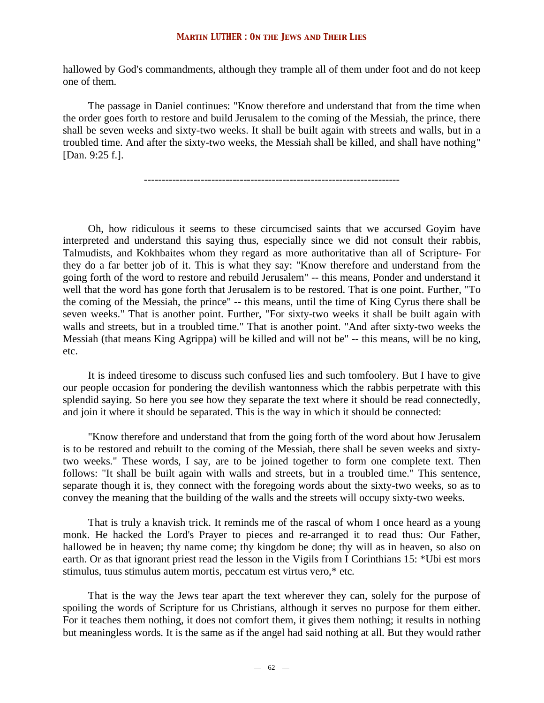hallowed by God's commandments, although they trample all of them under foot and do not keep one of them.

The passage in Daniel continues: "Know therefore and understand that from the time when the order goes forth to restore and build Jerusalem to the coming of the Messiah, the prince, there shall be seven weeks and sixty-two weeks. It shall be built again with streets and walls, but in a troubled time. And after the sixty-two weeks, the Messiah shall be killed, and shall have nothing" [Dan. 9:25 f.].

------------------------------------------------------------------------

Oh, how ridiculous it seems to these circumcised saints that we accursed Goyim have interpreted and understand this saying thus, especially since we did not consult their rabbis, Talmudists, and Kokhbaites whom they regard as more authoritative than all of Scripture- For they do a far better job of it. This is what they say: "Know therefore and understand from the going forth of the word to restore and rebuild Jerusalem" -- this means, Ponder and understand it well that the word has gone forth that Jerusalem is to be restored. That is one point. Further, "To the coming of the Messiah, the prince" -- this means, until the time of King Cyrus there shall be seven weeks." That is another point. Further, "For sixty-two weeks it shall be built again with walls and streets, but in a troubled time." That is another point. "And after sixty-two weeks the Messiah (that means King Agrippa) will be killed and will not be" -- this means, will be no king, etc.

It is indeed tiresome to discuss such confused lies and such tomfoolery. But I have to give our people occasion for pondering the devilish wantonness which the rabbis perpetrate with this splendid saying. So here you see how they separate the text where it should be read connectedly, and join it where it should be separated. This is the way in which it should be connected:

"Know therefore and understand that from the going forth of the word about how Jerusalem is to be restored and rebuilt to the coming of the Messiah, there shall be seven weeks and sixtytwo weeks." These words, I say, are to be joined together to form one complete text. Then follows: "It shall be built again with walls and streets, but in a troubled time." This sentence, separate though it is, they connect with the foregoing words about the sixty-two weeks, so as to convey the meaning that the building of the walls and the streets will occupy sixty-two weeks.

That is truly a knavish trick. It reminds me of the rascal of whom I once heard as a young monk. He hacked the Lord's Prayer to pieces and re-arranged it to read thus: Our Father, hallowed be in heaven; thy name come; thy kingdom be done; thy will as in heaven, so also on earth. Or as that ignorant priest read the lesson in the Vigils from I Corinthians 15: \*Ubi est mors stimulus, tuus stimulus autem mortis, peccatum est virtus vero,\* etc.

That is the way the Jews tear apart the text wherever they can, solely for the purpose of spoiling the words of Scripture for us Christians, although it serves no purpose for them either. For it teaches them nothing, it does not comfort them, it gives them nothing; it results in nothing but meaningless words. It is the same as if the angel had said nothing at all. But they would rather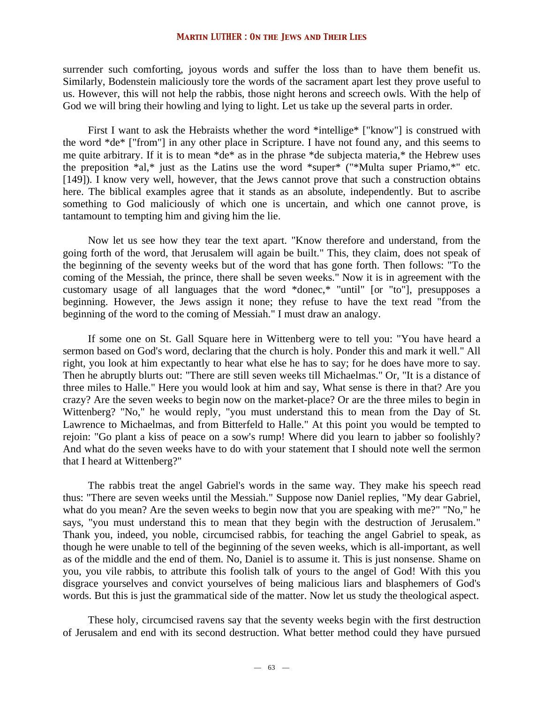surrender such comforting, joyous words and suffer the loss than to have them benefit us. Similarly, Bodenstein maliciously tore the words of the sacrament apart lest they prove useful to us. However, this will not help the rabbis, those night herons and screech owls. With the help of God we will bring their howling and lying to light. Let us take up the several parts in order.

First I want to ask the Hebraists whether the word \*intellige\* ["know"] is construed with the word \*de\* ["from"] in any other place in Scripture. I have not found any, and this seems to me quite arbitrary. If it is to mean \*de\* as in the phrase \*de subjecta materia,\* the Hebrew uses the preposition \*al,\* just as the Latins use the word \*super\* ("\*Multa super Priamo,\*" etc. [149]). I know very well, however, that the Jews cannot prove that such a construction obtains here. The biblical examples agree that it stands as an absolute, independently. But to ascribe something to God maliciously of which one is uncertain, and which one cannot prove, is tantamount to tempting him and giving him the lie.

Now let us see how they tear the text apart. "Know therefore and understand, from the going forth of the word, that Jerusalem will again be built." This, they claim, does not speak of the beginning of the seventy weeks but of the word that has gone forth. Then follows: "To the coming of the Messiah, the prince, there shall be seven weeks." Now it is in agreement with the customary usage of all languages that the word \*donec,\* "until" [or "to"], presupposes a beginning. However, the Jews assign it none; they refuse to have the text read "from the beginning of the word to the coming of Messiah." I must draw an analogy.

If some one on St. Gall Square here in Wittenberg were to tell you: "You have heard a sermon based on God's word, declaring that the church is holy. Ponder this and mark it well." All right, you look at him expectantly to hear what else he has to say; for he does have more to say. Then he abruptly blurts out: "There are still seven weeks till Michaelmas." Or, "It is a distance of three miles to Halle." Here you would look at him and say, What sense is there in that? Are you crazy? Are the seven weeks to begin now on the market-place? Or are the three miles to begin in Wittenberg? "No," he would reply, "you must understand this to mean from the Day of St. Lawrence to Michaelmas, and from Bitterfeld to Halle." At this point you would be tempted to rejoin: "Go plant a kiss of peace on a sow's rump! Where did you learn to jabber so foolishly? And what do the seven weeks have to do with your statement that I should note well the sermon that I heard at Wittenberg?"

The rabbis treat the angel Gabriel's words in the same way. They make his speech read thus: "There are seven weeks until the Messiah." Suppose now Daniel replies, "My dear Gabriel, what do you mean? Are the seven weeks to begin now that you are speaking with me?" "No," he says, "you must understand this to mean that they begin with the destruction of Jerusalem." Thank you, indeed, you noble, circumcised rabbis, for teaching the angel Gabriel to speak, as though he were unable to tell of the beginning of the seven weeks, which is all-important, as well as of the middle and the end of them. No, Daniel is to assume it. This is just nonsense. Shame on you, you vile rabbis, to attribute this foolish talk of yours to the angel of God! With this you disgrace yourselves and convict yourselves of being malicious liars and blasphemers of God's words. But this is just the grammatical side of the matter. Now let us study the theological aspect.

These holy, circumcised ravens say that the seventy weeks begin with the first destruction of Jerusalem and end with its second destruction. What better method could they have pursued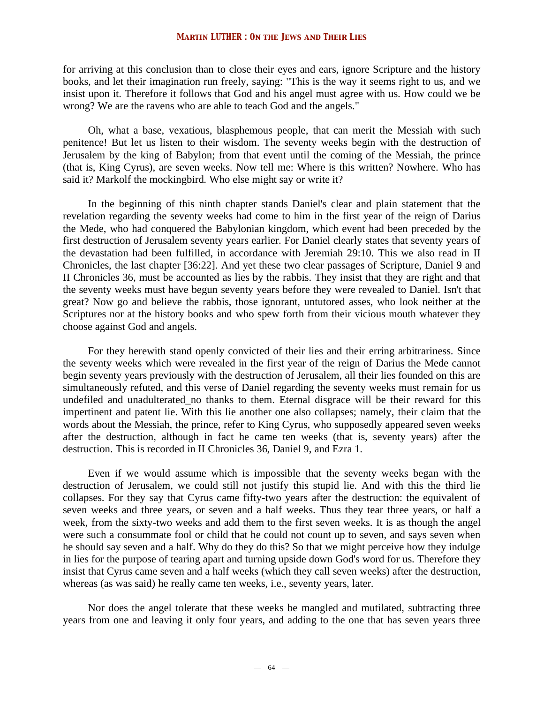for arriving at this conclusion than to close their eyes and ears, ignore Scripture and the history books, and let their imagination run freely, saying: "This is the way it seems right to us, and we insist upon it. Therefore it follows that God and his angel must agree with us. How could we be wrong? We are the ravens who are able to teach God and the angels."

Oh, what a base, vexatious, blasphemous people, that can merit the Messiah with such penitence! But let us listen to their wisdom. The seventy weeks begin with the destruction of Jerusalem by the king of Babylon; from that event until the coming of the Messiah, the prince (that is, King Cyrus), are seven weeks. Now tell me: Where is this written? Nowhere. Who has said it? Markolf the mockingbird. Who else might say or write it?

In the beginning of this ninth chapter stands Daniel's clear and plain statement that the revelation regarding the seventy weeks had come to him in the first year of the reign of Darius the Mede, who had conquered the Babylonian kingdom, which event had been preceded by the first destruction of Jerusalem seventy years earlier. For Daniel clearly states that seventy years of the devastation had been fulfilled, in accordance with Jeremiah 29:10. This we also read in II Chronicles, the last chapter [36:22]. And yet these two clear passages of Scripture, Daniel 9 and II Chronicles 36, must be accounted as lies by the rabbis. They insist that they are right and that the seventy weeks must have begun seventy years before they were revealed to Daniel. Isn't that great? Now go and believe the rabbis, those ignorant, untutored asses, who look neither at the Scriptures nor at the history books and who spew forth from their vicious mouth whatever they choose against God and angels.

For they herewith stand openly convicted of their lies and their erring arbitrariness. Since the seventy weeks which were revealed in the first year of the reign of Darius the Mede cannot begin seventy years previously with the destruction of Jerusalem, all their lies founded on this are simultaneously refuted, and this verse of Daniel regarding the seventy weeks must remain for us undefiled and unadulterated\_no thanks to them. Eternal disgrace will be their reward for this impertinent and patent lie. With this lie another one also collapses; namely, their claim that the words about the Messiah, the prince, refer to King Cyrus, who supposedly appeared seven weeks after the destruction, although in fact he came ten weeks (that is, seventy years) after the destruction. This is recorded in II Chronicles 36, Daniel 9, and Ezra 1.

Even if we would assume which is impossible that the seventy weeks began with the destruction of Jerusalem, we could still not justify this stupid lie. And with this the third lie collapses. For they say that Cyrus came fifty-two years after the destruction: the equivalent of seven weeks and three years, or seven and a half weeks. Thus they tear three years, or half a week, from the sixty-two weeks and add them to the first seven weeks. It is as though the angel were such a consummate fool or child that he could not count up to seven, and says seven when he should say seven and a half. Why do they do this? So that we might perceive how they indulge in lies for the purpose of tearing apart and turning upside down God's word for us. Therefore they insist that Cyrus came seven and a half weeks (which they call seven weeks) after the destruction, whereas (as was said) he really came ten weeks, i.e., seventy years, later.

Nor does the angel tolerate that these weeks be mangled and mutilated, subtracting three years from one and leaving it only four years, and adding to the one that has seven years three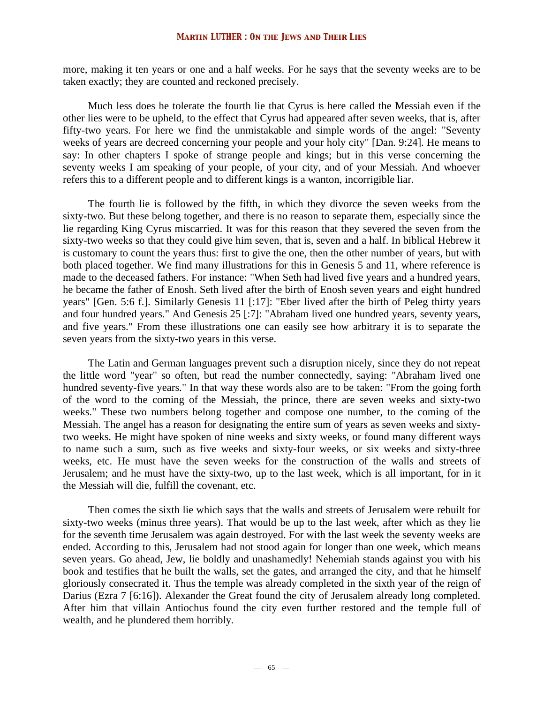more, making it ten years or one and a half weeks. For he says that the seventy weeks are to be taken exactly; they are counted and reckoned precisely.

Much less does he tolerate the fourth lie that Cyrus is here called the Messiah even if the other lies were to be upheld, to the effect that Cyrus had appeared after seven weeks, that is, after fifty-two years. For here we find the unmistakable and simple words of the angel: "Seventy weeks of years are decreed concerning your people and your holy city" [Dan. 9:24]. He means to say: In other chapters I spoke of strange people and kings; but in this verse concerning the seventy weeks I am speaking of your people, of your city, and of your Messiah. And whoever refers this to a different people and to different kings is a wanton, incorrigible liar.

The fourth lie is followed by the fifth, in which they divorce the seven weeks from the sixty-two. But these belong together, and there is no reason to separate them, especially since the lie regarding King Cyrus miscarried. It was for this reason that they severed the seven from the sixty-two weeks so that they could give him seven, that is, seven and a half. In biblical Hebrew it is customary to count the years thus: first to give the one, then the other number of years, but with both placed together. We find many illustrations for this in Genesis 5 and 11, where reference is made to the deceased fathers. For instance: "When Seth had lived five years and a hundred years, he became the father of Enosh. Seth lived after the birth of Enosh seven years and eight hundred years" [Gen. 5:6 f.]. Similarly Genesis 11 [:17]: "Eber lived after the birth of Peleg thirty years and four hundred years." And Genesis 25 [:7]: "Abraham lived one hundred years, seventy years, and five years." From these illustrations one can easily see how arbitrary it is to separate the seven years from the sixty-two years in this verse.

The Latin and German languages prevent such a disruption nicely, since they do not repeat the little word "year" so often, but read the number connectedly, saying: "Abraham lived one hundred seventy-five years." In that way these words also are to be taken: "From the going forth of the word to the coming of the Messiah, the prince, there are seven weeks and sixty-two weeks." These two numbers belong together and compose one number, to the coming of the Messiah. The angel has a reason for designating the entire sum of years as seven weeks and sixtytwo weeks. He might have spoken of nine weeks and sixty weeks, or found many different ways to name such a sum, such as five weeks and sixty-four weeks, or six weeks and sixty-three weeks, etc. He must have the seven weeks for the construction of the walls and streets of Jerusalem; and he must have the sixty-two, up to the last week, which is all important, for in it the Messiah will die, fulfill the covenant, etc.

Then comes the sixth lie which says that the walls and streets of Jerusalem were rebuilt for sixty-two weeks (minus three years). That would be up to the last week, after which as they lie for the seventh time Jerusalem was again destroyed. For with the last week the seventy weeks are ended. According to this, Jerusalem had not stood again for longer than one week, which means seven years. Go ahead, Jew, lie boldly and unashamedly! Nehemiah stands against you with his book and testifies that he built the walls, set the gates, and arranged the city, and that he himself gloriously consecrated it. Thus the temple was already completed in the sixth year of the reign of Darius (Ezra 7 [6:16]). Alexander the Great found the city of Jerusalem already long completed. After him that villain Antiochus found the city even further restored and the temple full of wealth, and he plundered them horribly.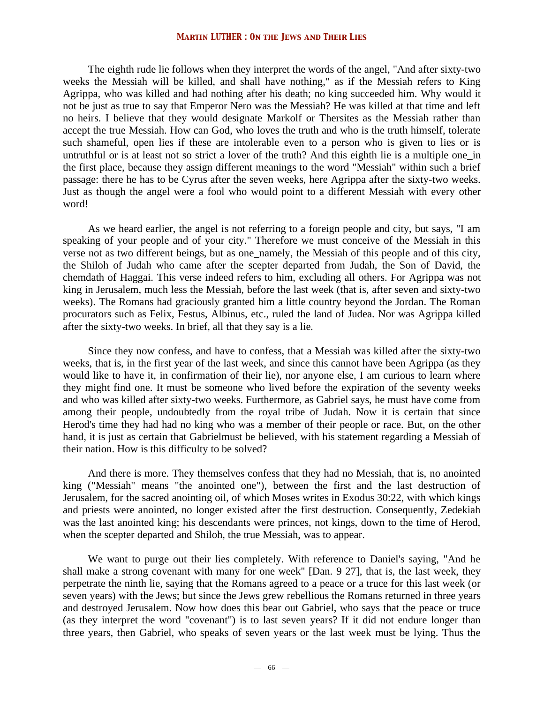The eighth rude lie follows when they interpret the words of the angel, "And after sixty-two weeks the Messiah will be killed, and shall have nothing," as if the Messiah refers to King Agrippa, who was killed and had nothing after his death; no king succeeded him. Why would it not be just as true to say that Emperor Nero was the Messiah? He was killed at that time and left no heirs. I believe that they would designate Markolf or Thersites as the Messiah rather than accept the true Messiah. How can God, who loves the truth and who is the truth himself, tolerate such shameful, open lies if these are intolerable even to a person who is given to lies or is untruthful or is at least not so strict a lover of the truth? And this eighth lie is a multiple one\_in the first place, because they assign different meanings to the word "Messiah" within such a brief passage: there he has to be Cyrus after the seven weeks, here Agrippa after the sixty-two weeks. Just as though the angel were a fool who would point to a different Messiah with every other word!

As we heard earlier, the angel is not referring to a foreign people and city, but says, "I am speaking of your people and of your city." Therefore we must conceive of the Messiah in this verse not as two different beings, but as one\_namely, the Messiah of this people and of this city, the Shiloh of Judah who came after the scepter departed from Judah, the Son of David, the chemdath of Haggai. This verse indeed refers to him, excluding all others. For Agrippa was not king in Jerusalem, much less the Messiah, before the last week (that is, after seven and sixty-two weeks). The Romans had graciously granted him a little country beyond the Jordan. The Roman procurators such as Felix, Festus, Albinus, etc., ruled the land of Judea. Nor was Agrippa killed after the sixty-two weeks. In brief, all that they say is a lie.

Since they now confess, and have to confess, that a Messiah was killed after the sixty-two weeks, that is, in the first year of the last week, and since this cannot have been Agrippa (as they would like to have it, in confirmation of their lie), nor anyone else, I am curious to learn where they might find one. It must be someone who lived before the expiration of the seventy weeks and who was killed after sixty-two weeks. Furthermore, as Gabriel says, he must have come from among their people, undoubtedly from the royal tribe of Judah. Now it is certain that since Herod's time they had had no king who was a member of their people or race. But, on the other hand, it is just as certain that Gabrielmust be believed, with his statement regarding a Messiah of their nation. How is this difficulty to be solved?

And there is more. They themselves confess that they had no Messiah, that is, no anointed king ("Messiah" means "the anointed one"), between the first and the last destruction of Jerusalem, for the sacred anointing oil, of which Moses writes in Exodus 30:22, with which kings and priests were anointed, no longer existed after the first destruction. Consequently, Zedekiah was the last anointed king; his descendants were princes, not kings, down to the time of Herod, when the scepter departed and Shiloh, the true Messiah, was to appear.

We want to purge out their lies completely. With reference to Daniel's saying, "And he shall make a strong covenant with many for one week" [Dan. 9 27], that is, the last week, they perpetrate the ninth lie, saying that the Romans agreed to a peace or a truce for this last week (or seven years) with the Jews; but since the Jews grew rebellious the Romans returned in three years and destroyed Jerusalem. Now how does this bear out Gabriel, who says that the peace or truce (as they interpret the word "covenant") is to last seven years? If it did not endure longer than three years, then Gabriel, who speaks of seven years or the last week must be lying. Thus the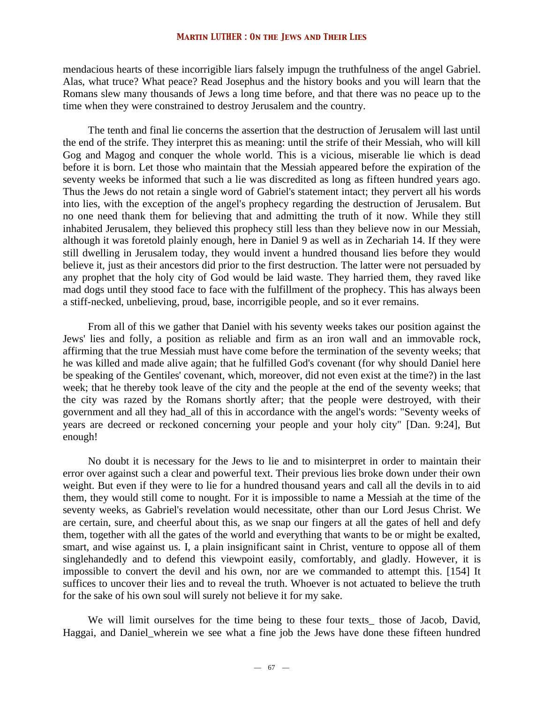mendacious hearts of these incorrigible liars falsely impugn the truthfulness of the angel Gabriel. Alas, what truce? What peace? Read Josephus and the history books and you will learn that the Romans slew many thousands of Jews a long time before, and that there was no peace up to the time when they were constrained to destroy Jerusalem and the country.

The tenth and final lie concerns the assertion that the destruction of Jerusalem will last until the end of the strife. They interpret this as meaning: until the strife of their Messiah, who will kill Gog and Magog and conquer the whole world. This is a vicious, miserable lie which is dead before it is born. Let those who maintain that the Messiah appeared before the expiration of the seventy weeks be informed that such a lie was discredited as long as fifteen hundred years ago. Thus the Jews do not retain a single word of Gabriel's statement intact; they pervert all his words into lies, with the exception of the angel's prophecy regarding the destruction of Jerusalem. But no one need thank them for believing that and admitting the truth of it now. While they still inhabited Jerusalem, they believed this prophecy still less than they believe now in our Messiah, although it was foretold plainly enough, here in Daniel 9 as well as in Zechariah 14. If they were still dwelling in Jerusalem today, they would invent a hundred thousand lies before they would believe it, just as their ancestors did prior to the first destruction. The latter were not persuaded by any prophet that the holy city of God would be laid waste. They harried them, they raved like mad dogs until they stood face to face with the fulfillment of the prophecy. This has always been a stiff-necked, unbelieving, proud, base, incorrigible people, and so it ever remains.

From all of this we gather that Daniel with his seventy weeks takes our position against the Jews' lies and folly, a position as reliable and firm as an iron wall and an immovable rock, affirming that the true Messiah must have come before the termination of the seventy weeks; that he was killed and made alive again; that he fulfilled God's covenant (for why should Daniel here be speaking of the Gentiles' covenant, which, moreover, did not even exist at the time?) in the last week; that he thereby took leave of the city and the people at the end of the seventy weeks; that the city was razed by the Romans shortly after; that the people were destroyed, with their government and all they had\_all of this in accordance with the angel's words: "Seventy weeks of years are decreed or reckoned concerning your people and your holy city" [Dan. 9:24], But enough!

No doubt it is necessary for the Jews to lie and to misinterpret in order to maintain their error over against such a clear and powerful text. Their previous lies broke down under their own weight. But even if they were to lie for a hundred thousand years and call all the devils in to aid them, they would still come to nought. For it is impossible to name a Messiah at the time of the seventy weeks, as Gabriel's revelation would necessitate, other than our Lord Jesus Christ. We are certain, sure, and cheerful about this, as we snap our fingers at all the gates of hell and defy them, together with all the gates of the world and everything that wants to be or might be exalted, smart, and wise against us. I, a plain insignificant saint in Christ, venture to oppose all of them singlehandedly and to defend this viewpoint easily, comfortably, and gladly. However, it is impossible to convert the devil and his own, nor are we commanded to attempt this. [154] It suffices to uncover their lies and to reveal the truth. Whoever is not actuated to believe the truth for the sake of his own soul will surely not believe it for my sake.

We will limit ourselves for the time being to these four texts those of Jacob, David, Haggai, and Daniel\_wherein we see what a fine job the Jews have done these fifteen hundred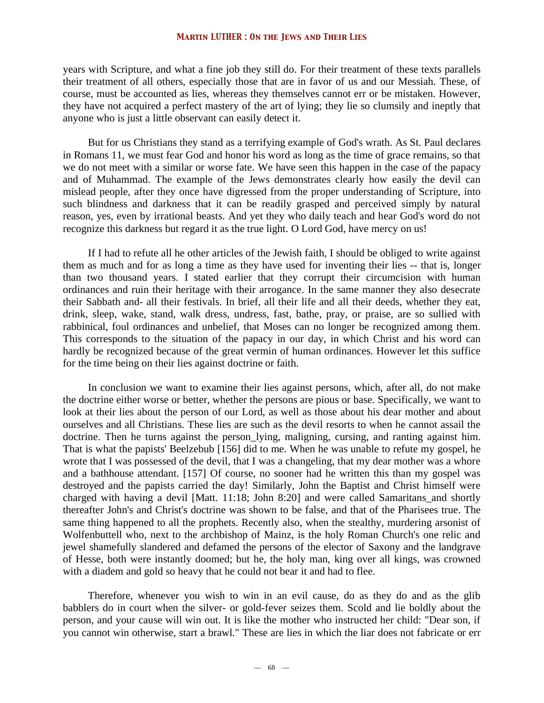years with Scripture, and what a fine job they still do. For their treatment of these texts parallels their treatment of all others, especially those that are in favor of us and our Messiah. These, of course, must be accounted as lies, whereas they themselves cannot err or be mistaken. However, they have not acquired a perfect mastery of the art of lying; they lie so clumsily and ineptly that anyone who is just a little observant can easily detect it.

But for us Christians they stand as a terrifying example of God's wrath. As St. Paul declares in Romans 11, we must fear God and honor his word as long as the time of grace remains, so that we do not meet with a similar or worse fate. We have seen this happen in the case of the papacy and of Muhammad. The example of the Jews demonstrates clearly how easily the devil can mislead people, after they once have digressed from the proper understanding of Scripture, into such blindness and darkness that it can be readily grasped and perceived simply by natural reason, yes, even by irrational beasts. And yet they who daily teach and hear God's word do not recognize this darkness but regard it as the true light. O Lord God, have mercy on us!

If I had to refute all he other articles of the Jewish faith, I should be obliged to write against them as much and for as long a time as they have used for inventing their lies -- that is, longer than two thousand years. I stated earlier that they corrupt their circumcision with human ordinances and ruin their heritage with their arrogance. In the same manner they also desecrate their Sabbath and- all their festivals. In brief, all their life and all their deeds, whether they eat, drink, sleep, wake, stand, walk dress, undress, fast, bathe, pray, or praise, are so sullied with rabbinical, foul ordinances and unbelief, that Moses can no longer be recognized among them. This corresponds to the situation of the papacy in our day, in which Christ and his word can hardly be recognized because of the great vermin of human ordinances. However let this suffice for the time being on their lies against doctrine or faith.

In conclusion we want to examine their lies against persons, which, after all, do not make the doctrine either worse or better, whether the persons are pious or base. Specifically, we want to look at their lies about the person of our Lord, as well as those about his dear mother and about ourselves and all Christians. These lies are such as the devil resorts to when he cannot assail the doctrine. Then he turns against the person\_lying, maligning, cursing, and ranting against him. That is what the papists' Beelzebub [156] did to me. When he was unable to refute my gospel, he wrote that I was possessed of the devil, that I was a changeling, that my dear mother was a whore and a bathhouse attendant. [157] Of course, no sooner had he written this than my gospel was destroyed and the papists carried the day! Similarly, John the Baptist and Christ himself were charged with having a devil [Matt. 11:18; John 8:20] and were called Samaritans\_and shortly thereafter John's and Christ's doctrine was shown to be false, and that of the Pharisees true. The same thing happened to all the prophets. Recently also, when the stealthy, murdering arsonist of Wolfenbuttell who, next to the archbishop of Mainz, is the holy Roman Church's one relic and jewel shamefully slandered and defamed the persons of the elector of Saxony and the landgrave of Hesse, both were instantly doomed; but he, the holy man, king over all kings, was crowned with a diadem and gold so heavy that he could not bear it and had to flee.

Therefore, whenever you wish to win in an evil cause, do as they do and as the glib babblers do in court when the silver- or gold-fever seizes them. Scold and lie boldly about the person, and your cause will win out. It is like the mother who instructed her child: "Dear son, if you cannot win otherwise, start a brawl." These are lies in which the liar does not fabricate or err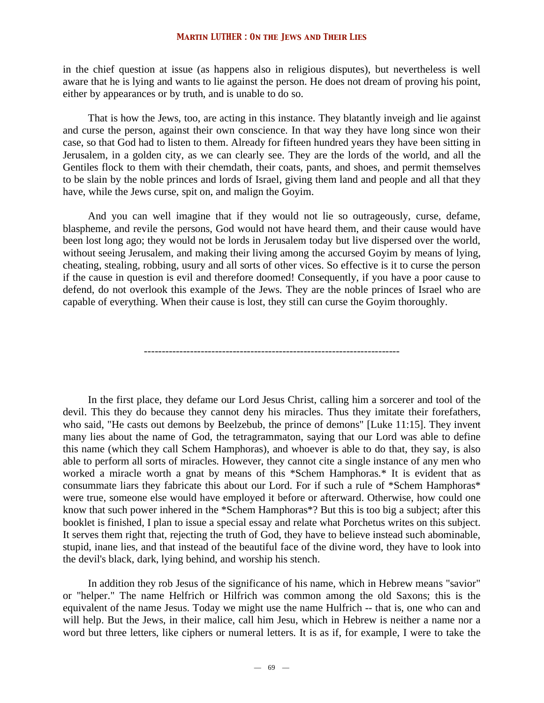in the chief question at issue (as happens also in religious disputes), but nevertheless is well aware that he is lying and wants to lie against the person. He does not dream of proving his point, either by appearances or by truth, and is unable to do so.

That is how the Jews, too, are acting in this instance. They blatantly inveigh and lie against and curse the person, against their own conscience. In that way they have long since won their case, so that God had to listen to them. Already for fifteen hundred years they have been sitting in Jerusalem, in a golden city, as we can clearly see. They are the lords of the world, and all the Gentiles flock to them with their chemdath, their coats, pants, and shoes, and permit themselves to be slain by the noble princes and lords of Israel, giving them land and people and all that they have, while the Jews curse, spit on, and malign the Goyim.

And you can well imagine that if they would not lie so outrageously, curse, defame, blaspheme, and revile the persons, God would not have heard them, and their cause would have been lost long ago; they would not be lords in Jerusalem today but live dispersed over the world, without seeing Jerusalem, and making their living among the accursed Goyim by means of lying, cheating, stealing, robbing, usury and all sorts of other vices. So effective is it to curse the person if the cause in question is evil and therefore doomed! Consequently, if you have a poor cause to defend, do not overlook this example of the Jews. They are the noble princes of Israel who are capable of everything. When their cause is lost, they still can curse the Goyim thoroughly.

------------------------------------------------------------------------

In the first place, they defame our Lord Jesus Christ, calling him a sorcerer and tool of the devil. This they do because they cannot deny his miracles. Thus they imitate their forefathers, who said, "He casts out demons by Beelzebub, the prince of demons" [Luke 11:15]. They invent many lies about the name of God, the tetragrammaton, saying that our Lord was able to define this name (which they call Schem Hamphoras), and whoever is able to do that, they say, is also able to perform all sorts of miracles. However, they cannot cite a single instance of any men who worked a miracle worth a gnat by means of this \*Schem Hamphoras.\* It is evident that as consummate liars they fabricate this about our Lord. For if such a rule of \*Schem Hamphoras\* were true, someone else would have employed it before or afterward. Otherwise, how could one know that such power inhered in the \*Schem Hamphoras\*? But this is too big a subject; after this booklet is finished, I plan to issue a special essay and relate what Porchetus writes on this subject. It serves them right that, rejecting the truth of God, they have to believe instead such abominable, stupid, inane lies, and that instead of the beautiful face of the divine word, they have to look into the devil's black, dark, lying behind, and worship his stench.

In addition they rob Jesus of the significance of his name, which in Hebrew means "savior" or "helper." The name Helfrich or Hilfrich was common among the old Saxons; this is the equivalent of the name Jesus. Today we might use the name Hulfrich -- that is, one who can and will help. But the Jews, in their malice, call him Jesu, which in Hebrew is neither a name nor a word but three letters, like ciphers or numeral letters. It is as if, for example, I were to take the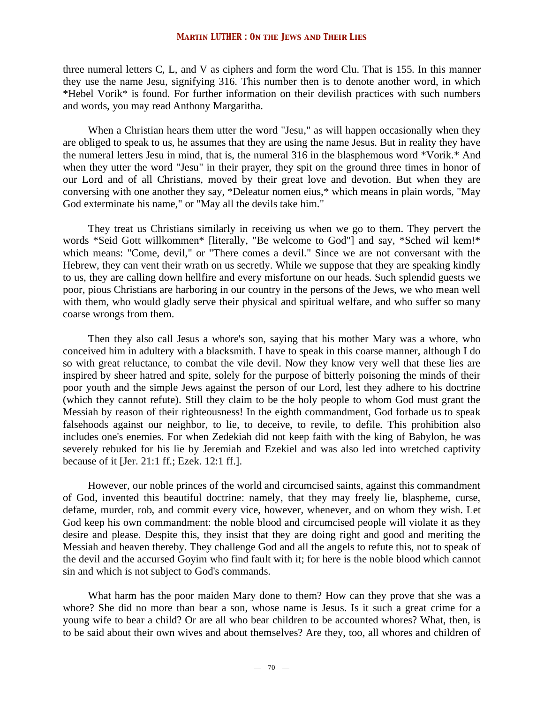three numeral letters C, L, and V as ciphers and form the word Clu. That is 155. In this manner they use the name Jesu, signifying 316. This number then is to denote another word, in which \*Hebel Vorik\* is found. For further information on their devilish practices with such numbers and words, you may read Anthony Margaritha.

When a Christian hears them utter the word "Jesu," as will happen occasionally when they are obliged to speak to us, he assumes that they are using the name Jesus. But in reality they have the numeral letters Jesu in mind, that is, the numeral 316 in the blasphemous word \*Vorik.\* And when they utter the word "Jesu" in their prayer, they spit on the ground three times in honor of our Lord and of all Christians, moved by their great love and devotion. But when they are conversing with one another they say, \*Deleatur nomen eius,\* which means in plain words, "May God exterminate his name," or "May all the devils take him."

They treat us Christians similarly in receiving us when we go to them. They pervert the words \*Seid Gott willkommen\* [literally, "Be welcome to God"] and say, \*Sched wil kem!\* which means: "Come, devil," or "There comes a devil." Since we are not conversant with the Hebrew, they can vent their wrath on us secretly. While we suppose that they are speaking kindly to us, they are calling down hellfire and every misfortune on our heads. Such splendid guests we poor, pious Christians are harboring in our country in the persons of the Jews, we who mean well with them, who would gladly serve their physical and spiritual welfare, and who suffer so many coarse wrongs from them.

Then they also call Jesus a whore's son, saying that his mother Mary was a whore, who conceived him in adultery with a blacksmith. I have to speak in this coarse manner, although I do so with great reluctance, to combat the vile devil. Now they know very well that these lies are inspired by sheer hatred and spite, solely for the purpose of bitterly poisoning the minds of their poor youth and the simple Jews against the person of our Lord, lest they adhere to his doctrine (which they cannot refute). Still they claim to be the holy people to whom God must grant the Messiah by reason of their righteousness! In the eighth commandment, God forbade us to speak falsehoods against our neighbor, to lie, to deceive, to revile, to defile. This prohibition also includes one's enemies. For when Zedekiah did not keep faith with the king of Babylon, he was severely rebuked for his lie by Jeremiah and Ezekiel and was also led into wretched captivity because of it [Jer. 21:1 ff.; Ezek. 12:1 ff.].

However, our noble princes of the world and circumcised saints, against this commandment of God, invented this beautiful doctrine: namely, that they may freely lie, blaspheme, curse, defame, murder, rob, and commit every vice, however, whenever, and on whom they wish. Let God keep his own commandment: the noble blood and circumcised people will violate it as they desire and please. Despite this, they insist that they are doing right and good and meriting the Messiah and heaven thereby. They challenge God and all the angels to refute this, not to speak of the devil and the accursed Goyim who find fault with it; for here is the noble blood which cannot sin and which is not subject to God's commands.

What harm has the poor maiden Mary done to them? How can they prove that she was a whore? She did no more than bear a son, whose name is Jesus. Is it such a great crime for a young wife to bear a child? Or are all who bear children to be accounted whores? What, then, is to be said about their own wives and about themselves? Are they, too, all whores and children of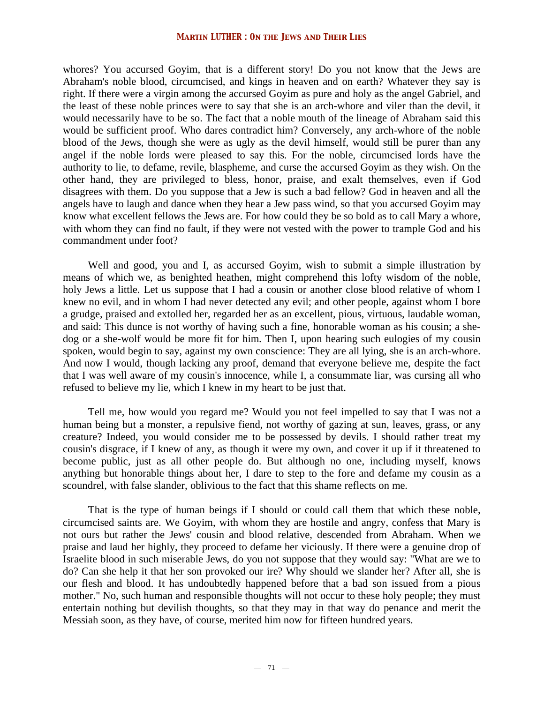whores? You accursed Goyim, that is a different story! Do you not know that the Jews are Abraham's noble blood, circumcised, and kings in heaven and on earth? Whatever they say is right. If there were a virgin among the accursed Goyim as pure and holy as the angel Gabriel, and the least of these noble princes were to say that she is an arch-whore and viler than the devil, it would necessarily have to be so. The fact that a noble mouth of the lineage of Abraham said this would be sufficient proof. Who dares contradict him? Conversely, any arch-whore of the noble blood of the Jews, though she were as ugly as the devil himself, would still be purer than any angel if the noble lords were pleased to say this. For the noble, circumcised lords have the authority to lie, to defame, revile, blaspheme, and curse the accursed Goyim as they wish. On the other hand, they are privileged to bless, honor, praise, and exalt themselves, even if God disagrees with them. Do you suppose that a Jew is such a bad fellow? God in heaven and all the angels have to laugh and dance when they hear a Jew pass wind, so that you accursed Goyim may know what excellent fellows the Jews are. For how could they be so bold as to call Mary a whore, with whom they can find no fault, if they were not vested with the power to trample God and his commandment under foot?

Well and good, you and I, as accursed Goyim, wish to submit a simple illustration by means of which we, as benighted heathen, might comprehend this lofty wisdom of the noble, holy Jews a little. Let us suppose that I had a cousin or another close blood relative of whom I knew no evil, and in whom I had never detected any evil; and other people, against whom I bore a grudge, praised and extolled her, regarded her as an excellent, pious, virtuous, laudable woman, and said: This dunce is not worthy of having such a fine, honorable woman as his cousin; a shedog or a she-wolf would be more fit for him. Then I, upon hearing such eulogies of my cousin spoken, would begin to say, against my own conscience: They are all lying, she is an arch-whore. And now I would, though lacking any proof, demand that everyone believe me, despite the fact that I was well aware of my cousin's innocence, while I, a consummate liar, was cursing all who refused to believe my lie, which I knew in my heart to be just that.

Tell me, how would you regard me? Would you not feel impelled to say that I was not a human being but a monster, a repulsive fiend, not worthy of gazing at sun, leaves, grass, or any creature? Indeed, you would consider me to be possessed by devils. I should rather treat my cousin's disgrace, if I knew of any, as though it were my own, and cover it up if it threatened to become public, just as all other people do. But although no one, including myself, knows anything but honorable things about her, I dare to step to the fore and defame my cousin as a scoundrel, with false slander, oblivious to the fact that this shame reflects on me.

That is the type of human beings if I should or could call them that which these noble, circumcised saints are. We Goyim, with whom they are hostile and angry, confess that Mary is not ours but rather the Jews' cousin and blood relative, descended from Abraham. When we praise and laud her highly, they proceed to defame her viciously. If there were a genuine drop of Israelite blood in such miserable Jews, do you not suppose that they would say: "What are we to do? Can she help it that her son provoked our ire? Why should we slander her? After all, she is our flesh and blood. It has undoubtedly happened before that a bad son issued from a pious mother." No, such human and responsible thoughts will not occur to these holy people; they must entertain nothing but devilish thoughts, so that they may in that way do penance and merit the Messiah soon, as they have, of course, merited him now for fifteen hundred years.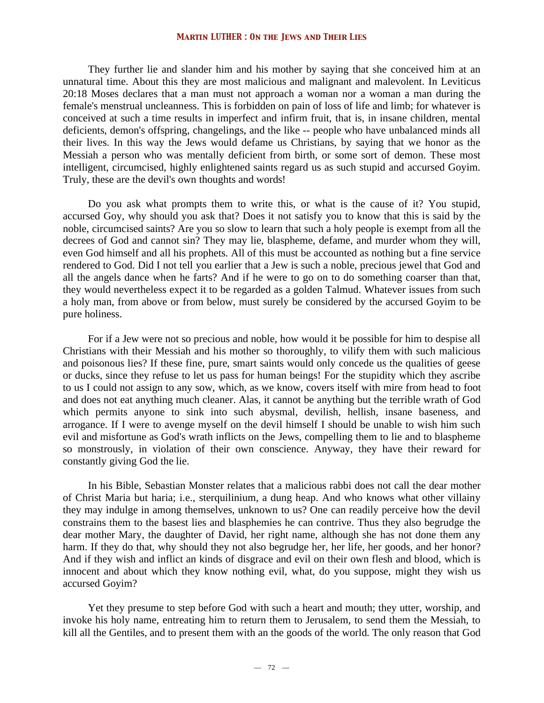They further lie and slander him and his mother by saying that she conceived him at an unnatural time. About this they are most malicious and malignant and malevolent. In Leviticus 20:18 Moses declares that a man must not approach a woman nor a woman a man during the female's menstrual uncleanness. This is forbidden on pain of loss of life and limb; for whatever is conceived at such a time results in imperfect and infirm fruit, that is, in insane children, mental deficients, demon's offspring, changelings, and the like -- people who have unbalanced minds all their lives. In this way the Jews would defame us Christians, by saying that we honor as the Messiah a person who was mentally deficient from birth, or some sort of demon. These most intelligent, circumcised, highly enlightened saints regard us as such stupid and accursed Goyim. Truly, these are the devil's own thoughts and words!

Do you ask what prompts them to write this, or what is the cause of it? You stupid, accursed Goy, why should you ask that? Does it not satisfy you to know that this is said by the noble, circumcised saints? Are you so slow to learn that such a holy people is exempt from all the decrees of God and cannot sin? They may lie, blaspheme, defame, and murder whom they will, even God himself and all his prophets. All of this must be accounted as nothing but a fine service rendered to God. Did I not tell you earlier that a Jew is such a noble, precious jewel that God and all the angels dance when he farts? And if he were to go on to do something coarser than that, they would nevertheless expect it to be regarded as a golden Talmud. Whatever issues from such a holy man, from above or from below, must surely be considered by the accursed Goyim to be pure holiness.

For if a Jew were not so precious and noble, how would it be possible for him to despise all Christians with their Messiah and his mother so thoroughly, to vilify them with such malicious and poisonous lies? If these fine, pure, smart saints would only concede us the qualities of geese or ducks, since they refuse to let us pass for human beings! For the stupidity which they ascribe to us I could not assign to any sow, which, as we know, covers itself with mire from head to foot and does not eat anything much cleaner. Alas, it cannot be anything but the terrible wrath of God which permits anyone to sink into such abysmal, devilish, hellish, insane baseness, and arrogance. If I were to avenge myself on the devil himself I should be unable to wish him such evil and misfortune as God's wrath inflicts on the Jews, compelling them to lie and to blaspheme so monstrously, in violation of their own conscience. Anyway, they have their reward for constantly giving God the lie.

In his Bible, Sebastian Monster relates that a malicious rabbi does not call the dear mother of Christ Maria but haria; i.e., sterquilinium, a dung heap. And who knows what other villainy they may indulge in among themselves, unknown to us? One can readily perceive how the devil constrains them to the basest lies and blasphemies he can contrive. Thus they also begrudge the dear mother Mary, the daughter of David, her right name, although she has not done them any harm. If they do that, why should they not also begrudge her, her life, her goods, and her honor? And if they wish and inflict an kinds of disgrace and evil on their own flesh and blood, which is innocent and about which they know nothing evil, what, do you suppose, might they wish us accursed Goyim?

Yet they presume to step before God with such a heart and mouth; they utter, worship, and invoke his holy name, entreating him to return them to Jerusalem, to send them the Messiah, to kill all the Gentiles, and to present them with an the goods of the world. The only reason that God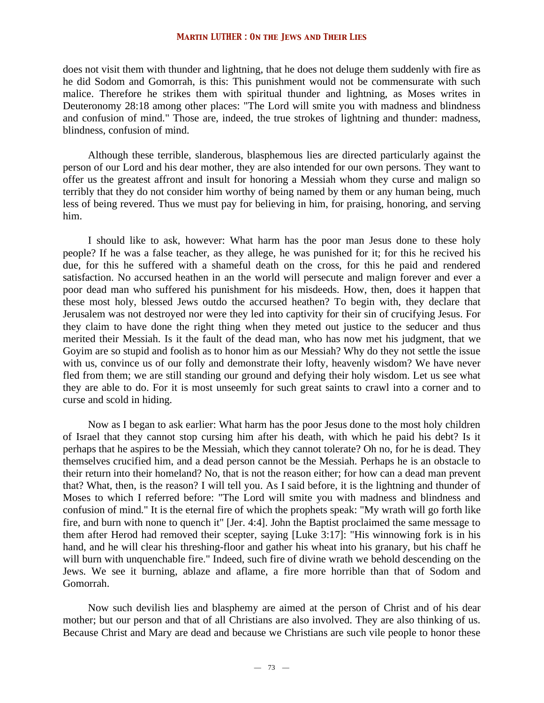does not visit them with thunder and lightning, that he does not deluge them suddenly with fire as he did Sodom and Gomorrah, is this: This punishment would not be commensurate with such malice. Therefore he strikes them with spiritual thunder and lightning, as Moses writes in Deuteronomy 28:18 among other places: "The Lord will smite you with madness and blindness and confusion of mind." Those are, indeed, the true strokes of lightning and thunder: madness, blindness, confusion of mind.

Although these terrible, slanderous, blasphemous lies are directed particularly against the person of our Lord and his dear mother, they are also intended for our own persons. They want to offer us the greatest affront and insult for honoring a Messiah whom they curse and malign so terribly that they do not consider him worthy of being named by them or any human being, much less of being revered. Thus we must pay for believing in him, for praising, honoring, and serving him.

I should like to ask, however: What harm has the poor man Jesus done to these holy people? If he was a false teacher, as they allege, he was punished for it; for this he recived his due, for this he suffered with a shameful death on the cross, for this he paid and rendered satisfaction. No accursed heathen in an the world will persecute and malign forever and ever a poor dead man who suffered his punishment for his misdeeds. How, then, does it happen that these most holy, blessed Jews outdo the accursed heathen? To begin with, they declare that Jerusalem was not destroyed nor were they led into captivity for their sin of crucifying Jesus. For they claim to have done the right thing when they meted out justice to the seducer and thus merited their Messiah. Is it the fault of the dead man, who has now met his judgment, that we Goyim are so stupid and foolish as to honor him as our Messiah? Why do they not settle the issue with us, convince us of our folly and demonstrate their lofty, heavenly wisdom? We have never fled from them; we are still standing our ground and defying their holy wisdom. Let us see what they are able to do. For it is most unseemly for such great saints to crawl into a corner and to curse and scold in hiding.

Now as I began to ask earlier: What harm has the poor Jesus done to the most holy children of Israel that they cannot stop cursing him after his death, with which he paid his debt? Is it perhaps that he aspires to be the Messiah, which they cannot tolerate? Oh no, for he is dead. They themselves crucified him, and a dead person cannot be the Messiah. Perhaps he is an obstacle to their return into their homeland? No, that is not the reason either; for how can a dead man prevent that? What, then, is the reason? I will tell you. As I said before, it is the lightning and thunder of Moses to which I referred before: "The Lord will smite you with madness and blindness and confusion of mind." It is the eternal fire of which the prophets speak: "My wrath will go forth like fire, and burn with none to quench it" [Jer. 4:4]. John the Baptist proclaimed the same message to them after Herod had removed their scepter, saying [Luke 3:17]: "His winnowing fork is in his hand, and he will clear his threshing-floor and gather his wheat into his granary, but his chaff he will burn with unquenchable fire." Indeed, such fire of divine wrath we behold descending on the Jews. We see it burning, ablaze and aflame, a fire more horrible than that of Sodom and Gomorrah.

Now such devilish lies and blasphemy are aimed at the person of Christ and of his dear mother; but our person and that of all Christians are also involved. They are also thinking of us. Because Christ and Mary are dead and because we Christians are such vile people to honor these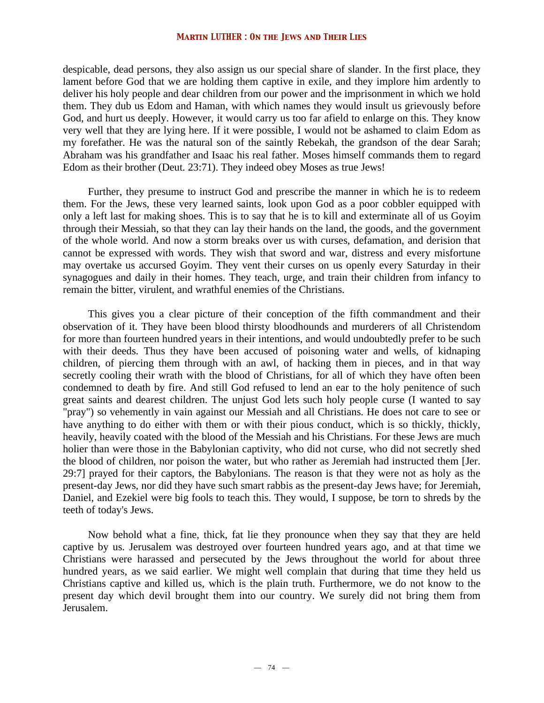despicable, dead persons, they also assign us our special share of slander. In the first place, they lament before God that we are holding them captive in exile, and they implore him ardently to deliver his holy people and dear children from our power and the imprisonment in which we hold them. They dub us Edom and Haman, with which names they would insult us grievously before God, and hurt us deeply. However, it would carry us too far afield to enlarge on this. They know very well that they are lying here. If it were possible, I would not be ashamed to claim Edom as my forefather. He was the natural son of the saintly Rebekah, the grandson of the dear Sarah; Abraham was his grandfather and Isaac his real father. Moses himself commands them to regard Edom as their brother (Deut. 23:71). They indeed obey Moses as true Jews!

Further, they presume to instruct God and prescribe the manner in which he is to redeem them. For the Jews, these very learned saints, look upon God as a poor cobbler equipped with only a left last for making shoes. This is to say that he is to kill and exterminate all of us Goyim through their Messiah, so that they can lay their hands on the land, the goods, and the government of the whole world. And now a storm breaks over us with curses, defamation, and derision that cannot be expressed with words. They wish that sword and war, distress and every misfortune may overtake us accursed Goyim. They vent their curses on us openly every Saturday in their synagogues and daily in their homes. They teach, urge, and train their children from infancy to remain the bitter, virulent, and wrathful enemies of the Christians.

This gives you a clear picture of their conception of the fifth commandment and their observation of it. They have been blood thirsty bloodhounds and murderers of all Christendom for more than fourteen hundred years in their intentions, and would undoubtedly prefer to be such with their deeds. Thus they have been accused of poisoning water and wells, of kidnaping children, of piercing them through with an awl, of hacking them in pieces, and in that way secretly cooling their wrath with the blood of Christians, for all of which they have often been condemned to death by fire. And still God refused to lend an ear to the holy penitence of such great saints and dearest children. The unjust God lets such holy people curse (I wanted to say "pray") so vehemently in vain against our Messiah and all Christians. He does not care to see or have anything to do either with them or with their pious conduct, which is so thickly, thickly, heavily, heavily coated with the blood of the Messiah and his Christians. For these Jews are much holier than were those in the Babylonian captivity, who did not curse, who did not secretly shed the blood of children, nor poison the water, but who rather as Jeremiah had instructed them [Jer. 29:7] prayed for their captors, the Babylonians. The reason is that they were not as holy as the present-day Jews, nor did they have such smart rabbis as the present-day Jews have; for Jeremiah, Daniel, and Ezekiel were big fools to teach this. They would, I suppose, be torn to shreds by the teeth of today's Jews.

Now behold what a fine, thick, fat lie they pronounce when they say that they are held captive by us. Jerusalem was destroyed over fourteen hundred years ago, and at that time we Christians were harassed and persecuted by the Jews throughout the world for about three hundred years, as we said earlier. We might well complain that during that time they held us Christians captive and killed us, which is the plain truth. Furthermore, we do not know to the present day which devil brought them into our country. We surely did not bring them from Jerusalem.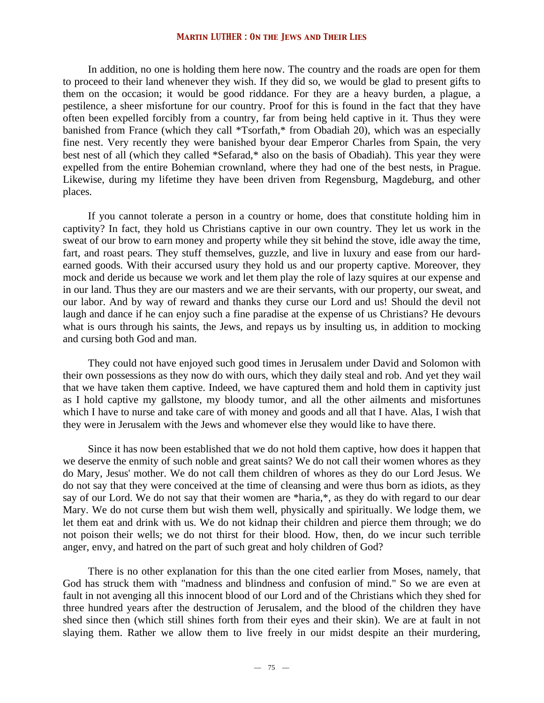In addition, no one is holding them here now. The country and the roads are open for them to proceed to their land whenever they wish. If they did so, we would be glad to present gifts to them on the occasion; it would be good riddance. For they are a heavy burden, a plague, a pestilence, a sheer misfortune for our country. Proof for this is found in the fact that they have often been expelled forcibly from a country, far from being held captive in it. Thus they were banished from France (which they call \*Tsorfath,\* from Obadiah 20), which was an especially fine nest. Very recently they were banished byour dear Emperor Charles from Spain, the very best nest of all (which they called \*Sefarad,\* also on the basis of Obadiah). This year they were expelled from the entire Bohemian crownland, where they had one of the best nests, in Prague. Likewise, during my lifetime they have been driven from Regensburg, Magdeburg, and other places.

If you cannot tolerate a person in a country or home, does that constitute holding him in captivity? In fact, they hold us Christians captive in our own country. They let us work in the sweat of our brow to earn money and property while they sit behind the stove, idle away the time, fart, and roast pears. They stuff themselves, guzzle, and live in luxury and ease from our hardearned goods. With their accursed usury they hold us and our property captive. Moreover, they mock and deride us because we work and let them play the role of lazy squires at our expense and in our land. Thus they are our masters and we are their servants, with our property, our sweat, and our labor. And by way of reward and thanks they curse our Lord and us! Should the devil not laugh and dance if he can enjoy such a fine paradise at the expense of us Christians? He devours what is ours through his saints, the Jews, and repays us by insulting us, in addition to mocking and cursing both God and man.

They could not have enjoyed such good times in Jerusalem under David and Solomon with their own possessions as they now do with ours, which they daily steal and rob. And yet they wail that we have taken them captive. Indeed, we have captured them and hold them in captivity just as I hold captive my gallstone, my bloody tumor, and all the other ailments and misfortunes which I have to nurse and take care of with money and goods and all that I have. Alas, I wish that they were in Jerusalem with the Jews and whomever else they would like to have there.

Since it has now been established that we do not hold them captive, how does it happen that we deserve the enmity of such noble and great saints? We do not call their women whores as they do Mary, Jesus' mother. We do not call them children of whores as they do our Lord Jesus. We do not say that they were conceived at the time of cleansing and were thus born as idiots, as they say of our Lord. We do not say that their women are \*haria,\*, as they do with regard to our dear Mary. We do not curse them but wish them well, physically and spiritually. We lodge them, we let them eat and drink with us. We do not kidnap their children and pierce them through; we do not poison their wells; we do not thirst for their blood. How, then, do we incur such terrible anger, envy, and hatred on the part of such great and holy children of God?

There is no other explanation for this than the one cited earlier from Moses, namely, that God has struck them with "madness and blindness and confusion of mind." So we are even at fault in not avenging all this innocent blood of our Lord and of the Christians which they shed for three hundred years after the destruction of Jerusalem, and the blood of the children they have shed since then (which still shines forth from their eyes and their skin). We are at fault in not slaying them. Rather we allow them to live freely in our midst despite an their murdering,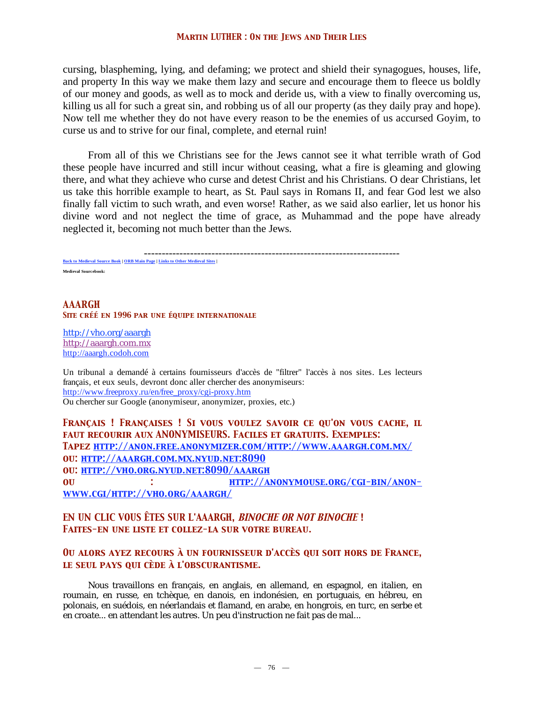cursing, blaspheming, lying, and defaming; we protect and shield their synagogues, houses, life, and property In this way we make them lazy and secure and encourage them to fleece us boldly of our money and goods, as well as to mock and deride us, with a view to finally overcoming us, killing us all for such a great sin, and robbing us of all our property (as they daily pray and hope). Now tell me whether they do not have every reason to be the enemies of us accursed Goyim, to curse us and to strive for our final, complete, and eternal ruin!

From all of this we Christians see for the Jews cannot see it what terrible wrath of God these people have incurred and still incur without ceasing, what a fire is gleaming and glowing there, and what they achieve who curse and detest Christ and his Christians. O dear Christians, let us take this horrible example to heart, as St. Paul says in Romans II, and fear God lest we also finally fall victim to such wrath, and even worse! Rather, as we said also earlier, let us honor his divine word and not neglect the time of grace, as Muhammad and the pope have already neglected it, becoming not much better than the Jews.

------------------------------------------------------------------------ **Back to Medieval Source Book | ORB Main Page | Links to Other Medieval Sites |** 

**Medieval Sourcebook:** 

## *AAARGH Site créé en 1996 par une équipe internationale*

http://vho.org/aaargh http://aaargh.com.mx http://aaargh.codoh.com

Un tribunal a demandé à certains fournisseurs d'accès de "filtrer" l'accès à nos sites. Les lecteurs français, et eux seuls, devront donc aller chercher des anonymiseurs: http://www.freeproxy.ru/en/free\_proxy/cgi-proxy.htm Ou chercher sur Google (anonymiseur, anonymizer, proxies, etc.)

*Français ! Françaises ! Si vous voulez savoir ce qu'on vous cache, il faut recourir aux ANONYMISEURS. Faciles et gratuits. Exemples: Tapez http://anon.free.anonymizer.com/http://www.aaargh.com.mx/ ou: http://aaargh.com.mx.nyud.net:8090 ou: http://vho.org.nyud.net:8090/aaargh ou : http://anonymouse.org/cgi-bin/anonwww.cgi/http://vho.org/aaargh/*

# *EN UN CLIC VOUS ÊTES SUR L'AAARGH, BINOCHE OR NOT BINOCHE ! Faites-en une liste et collez-la sur votre bureau.*

## *Ou alors ayez recours à un fournisseur d'accès qui soit hors de France, le seul pays qui cède à l'obscurantisme.*

Nous travaillons en français, en anglais, en allemand, en espagnol, en italien, en roumain, en russe, en tchèque, en danois, en indonésien, en portuguais, en hébreu, en polonais, en suédois, en néerlandais et flamand, en arabe, en hongrois, en turc, en serbe et en croate... en attendant les autres. Un peu d'instruction ne fait pas de mal...